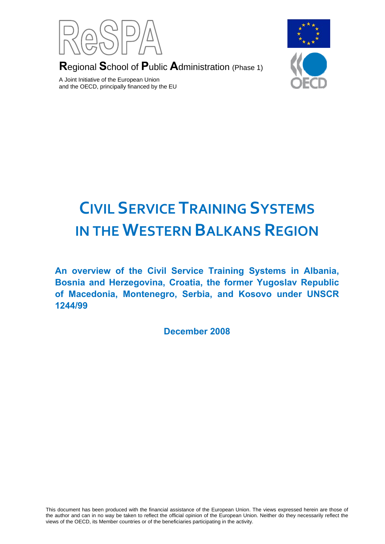

**R**egional **S**chool of **P**ublic **A**dministration (Phase 1)

A Joint Initiative of the European Union and the OECD, principally financed by the EU



# **CIVIL SERVICE TRAINING SYSTEMS IN THE WESTERN BALKANS REGION**

**An overview of the Civil Service Training Systems in Albania, Bosnia and Herzegovina, Croatia, the former Yugoslav Republic of Macedonia, Montenegro, Serbia, and Kosovo under UNSCR 1244/99**

**December 2008**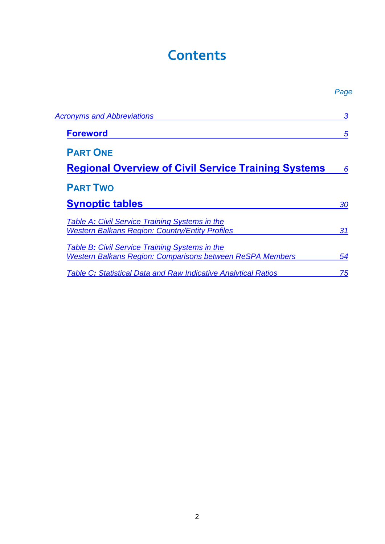## **Contents**

<span id="page-1-0"></span>

|                                                                                                                    | Page |
|--------------------------------------------------------------------------------------------------------------------|------|
| <b>Acronyms and Abbreviations</b>                                                                                  | 3    |
| <b>Foreword</b>                                                                                                    | 5    |
| <b>PART ONE</b><br><b>Regional Overview of Civil Service Training Systems</b>                                      | 6    |
| <b>PART TWO</b><br><b>Synoptic tables</b>                                                                          | 30   |
| <b>Table A: Civil Service Training Systems in the</b><br><b>Western Balkans Region: Country/Entity Profiles</b>    | 31   |
| Table B: Civil Service Training Systems in the<br><b>Western Balkans Region: Comparisons between ReSPA Members</b> | 54   |
| Table C: Statistical Data and Raw Indicative Analytical Ratios                                                     | 75   |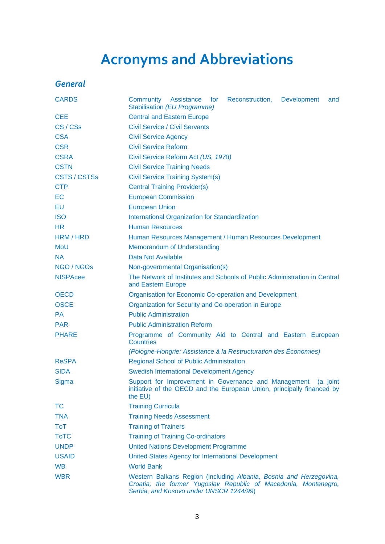# **Acronyms and Abbreviations**

### <span id="page-2-0"></span>*General*

| <b>CARDS</b>        | Community<br>Assistance<br>for<br>Reconstruction,<br><b>Development</b><br>and<br><b>Stabilisation (EU Programme)</b>                                                            |  |  |  |  |  |  |
|---------------------|----------------------------------------------------------------------------------------------------------------------------------------------------------------------------------|--|--|--|--|--|--|
| <b>CEE</b>          | <b>Central and Eastern Europe</b>                                                                                                                                                |  |  |  |  |  |  |
| CS/CSs              | <b>Civil Service / Civil Servants</b>                                                                                                                                            |  |  |  |  |  |  |
| <b>CSA</b>          | <b>Civil Service Agency</b>                                                                                                                                                      |  |  |  |  |  |  |
| <b>CSR</b>          | <b>Civil Service Reform</b>                                                                                                                                                      |  |  |  |  |  |  |
| <b>CSRA</b>         | Civil Service Reform Act (US, 1978)                                                                                                                                              |  |  |  |  |  |  |
| <b>CSTN</b>         | <b>Civil Service Training Needs</b>                                                                                                                                              |  |  |  |  |  |  |
| <b>CSTS / CSTSs</b> | <b>Civil Service Training System(s)</b>                                                                                                                                          |  |  |  |  |  |  |
| <b>CTP</b>          | <b>Central Training Provider(s)</b>                                                                                                                                              |  |  |  |  |  |  |
| EC                  | <b>European Commission</b>                                                                                                                                                       |  |  |  |  |  |  |
| EU                  | <b>European Union</b>                                                                                                                                                            |  |  |  |  |  |  |
| <b>ISO</b>          | <b>International Organization for Standardization</b>                                                                                                                            |  |  |  |  |  |  |
| <b>HR</b>           | <b>Human Resources</b>                                                                                                                                                           |  |  |  |  |  |  |
| HRM / HRD           | Human Resources Management / Human Resources Development                                                                                                                         |  |  |  |  |  |  |
| <b>MoU</b>          | <b>Memorandum of Understanding</b>                                                                                                                                               |  |  |  |  |  |  |
| <b>NA</b>           | Data Not Available                                                                                                                                                               |  |  |  |  |  |  |
| NGO / NGOs          | Non-governmental Organisation(s)                                                                                                                                                 |  |  |  |  |  |  |
| <b>NISPAcee</b>     | The Network of Institutes and Schools of Public Administration in Central<br>and Eastern Europe                                                                                  |  |  |  |  |  |  |
| <b>OECD</b>         | <b>Organisation for Economic Co-operation and Development</b>                                                                                                                    |  |  |  |  |  |  |
| <b>OSCE</b>         | Organization for Security and Co-operation in Europe                                                                                                                             |  |  |  |  |  |  |
| <b>PA</b>           | <b>Public Administration</b>                                                                                                                                                     |  |  |  |  |  |  |
| <b>PAR</b>          | <b>Public Administration Reform</b>                                                                                                                                              |  |  |  |  |  |  |
| <b>PHARE</b>        | Programme of Community Aid to Central and Eastern European<br><b>Countries</b>                                                                                                   |  |  |  |  |  |  |
|                     | (Pologne-Hongrie: Assistance à la Restructuration des Économies)                                                                                                                 |  |  |  |  |  |  |
| <b>ReSPA</b>        | <b>Regional School of Public Administration</b>                                                                                                                                  |  |  |  |  |  |  |
| <b>SIDA</b>         | <b>Swedish International Development Agency</b>                                                                                                                                  |  |  |  |  |  |  |
| Sigma               | Support for Improvement in Governance and Management<br>(a joint<br>initiative of the OECD and the European Union, principally financed by<br>the EU)                            |  |  |  |  |  |  |
| <b>TC</b>           | <b>Training Curricula</b>                                                                                                                                                        |  |  |  |  |  |  |
| <b>TNA</b>          | <b>Training Needs Assessment</b>                                                                                                                                                 |  |  |  |  |  |  |
| <b>ToT</b>          | <b>Training of Trainers</b>                                                                                                                                                      |  |  |  |  |  |  |
| <b>ToTC</b>         | <b>Training of Training Co-ordinators</b>                                                                                                                                        |  |  |  |  |  |  |
| <b>UNDP</b>         | <b>United Nations Development Programme</b>                                                                                                                                      |  |  |  |  |  |  |
| <b>USAID</b>        | United States Agency for International Development                                                                                                                               |  |  |  |  |  |  |
| <b>WB</b>           | <b>World Bank</b>                                                                                                                                                                |  |  |  |  |  |  |
| <b>WBR</b>          | Western Balkans Region (including Albania, Bosnia and Herzegovina,<br>Croatia, the former Yugoslav Republic of Macedonia, Montenegro,<br>Serbia, and Kosovo under UNSCR 1244/99) |  |  |  |  |  |  |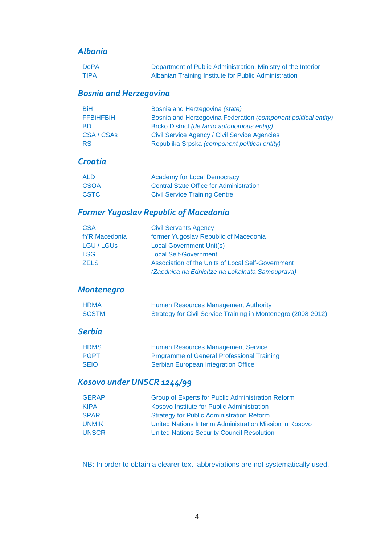#### *Albania*

| <b>DoPA</b> | Department of Public Administration, Ministry of the Interior |
|-------------|---------------------------------------------------------------|
| <b>TIPA</b> | Albanian Training Institute for Public Administration         |

### *Bosnia and Herzegovina*

| <b>BiH</b>       | Bosnia and Herzegovina (state)                                 |
|------------------|----------------------------------------------------------------|
| <b>FFBIHFBIH</b> | Bosnia and Herzegovina Federation (component political entity) |
| <b>BD</b>        | Brcko District (de facto autonomous entity)                    |
| CSA/CSAs         | Civil Service Agency / Civil Service Agencies                  |
| <b>RS</b>        | Republika Srpska (component political entity)                  |

#### *Croatia*

| ALD         | <b>Academy for Local Democracy</b>             |
|-------------|------------------------------------------------|
| <b>CSOA</b> | <b>Central State Office for Administration</b> |
| <b>CSTC</b> | <b>Civil Service Training Centre</b>           |

### *Former Yugoslav Republic of Macedonia*

| <b>CSA</b>      | <b>Civil Servants Agency</b>                      |
|-----------------|---------------------------------------------------|
| fYR Macedonia   | former Yugoslav Republic of Macedonia             |
| <b>LGU/LGUs</b> | <b>Local Government Unit(s)</b>                   |
| <b>LSG</b>      | <b>Local Self-Government</b>                      |
| <b>ZELS</b>     | Association of the Units of Local Self-Government |
|                 | (Zaednica na Ednicitze na Lokalnata Samouprava)   |

### *Montenegro*

| <b>HRMA</b>  | Human Resources Management Authority                          |
|--------------|---------------------------------------------------------------|
| <b>SCSTM</b> | Strategy for Civil Service Training in Montenegro (2008-2012) |

#### *Serbia*

| <b>HRMS</b> | Human Resources Management Service                |
|-------------|---------------------------------------------------|
| <b>PGPT</b> | <b>Programme of General Professional Training</b> |
| <b>SEIO</b> | Serbian European Integration Office               |

### *Kosovo under UNSCR 1244/99*

| <b>GERAP</b> | <b>Group of Experts for Public Administration Reform</b> |
|--------------|----------------------------------------------------------|
| <b>KIPA</b>  | Kosovo Institute for Public Administration               |
| <b>SPAR</b>  | <b>Strategy for Public Administration Reform</b>         |
| <b>UNMIK</b> | United Nations Interim Administration Mission in Kosovo  |
| <b>UNSCR</b> | <b>United Nations Security Council Resolution</b>        |

NB: In order to obtain a clearer text, abbreviations are not systematically used.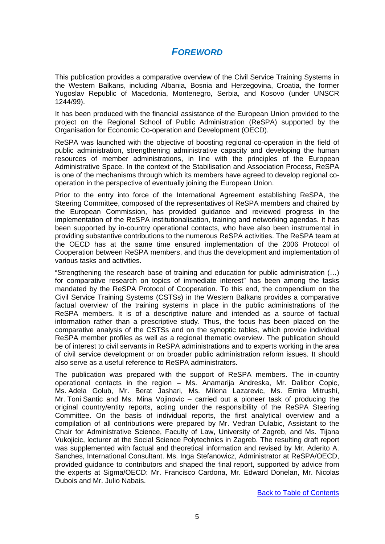#### *FOREWORD*

<span id="page-4-0"></span>This publication provides a comparative overview of the Civil Service Training Systems in the Western Balkans, including Albania, Bosnia and Herzegovina, Croatia, the former Yugoslav Republic of Macedonia, Montenegro, Serbia, and Kosovo (under UNSCR 1244/99).

It has been produced with the financial assistance of the European Union provided to the project on the Regional School of Public Administration (ReSPA) supported by the Organisation for Economic Co-operation and Development (OECD).

ReSPA was launched with the objective of boosting regional co-operation in the field of public administration, strengthening administrative capacity and developing the human resources of member administrations, in line with the principles of the European Administrative Space. In the context of the Stabilisation and Association Process, ReSPA is one of the mechanisms through which its members have agreed to develop regional cooperation in the perspective of eventually joining the European Union.

Prior to the entry into force of the International Agreement establishing ReSPA, the Steering Committee, composed of the representatives of ReSPA members and chaired by the European Commission, has provided guidance and reviewed progress in the implementation of the ReSPA institutionalisation, training and networking agendas. It has been supported by in-country operational contacts, who have also been instrumental in providing substantive contributions to the numerous ReSPA activities. The ReSPA team at the OECD has at the same time ensured implementation of the 2006 Protocol of Cooperation between ReSPA members, and thus the development and implementation of various tasks and activities.

"Strengthening the research base of training and education for public administration (…) for comparative research on topics of immediate interest" has been among the tasks mandated by the ReSPA Protocol of Cooperation. To this end, the compendium on the Civil Service Training Systems (CSTSs) in the Western Balkans provides a comparative factual overview of the training systems in place in the public administrations of the ReSPA members. It is of a descriptive nature and intended as a source of factual information rather than a prescriptive study. Thus, the focus has been placed on the comparative analysis of the CSTSs and on the synoptic tables, which provide individual ReSPA member profiles as well as a regional thematic overview. The publication should be of interest to civil servants in ReSPA administrations and to experts working in the area of civil service development or on broader public administration reform issues. It should also serve as a useful reference to ReSPA administrators.

The publication was prepared with the support of ReSPA members. The in-country operational contacts in the region – Ms. Anamarija Andreska, Mr. Dalibor Copic, Ms. Adela Golub, Mr. Berat Jashari, Ms. Milena Lazarevic, Ms. Emira Mitrushi, Mr. Toni Santic and Ms. Mina Vojinovic – carried out a pioneer task of producing the original country/entity reports, acting under the responsibility of the ReSPA Steering Committee. On the basis of individual reports, the first analytical overview and a compilation of all contributions were prepared by Mr. Vedran Dulabic, Assistant to the Chair for Administrative Science, Faculty of Law, University of Zagreb, and Ms. Tijana Vukojicic, lecturer at the Social Science Polytechnics in Zagreb. The resulting draft report was supplemented with factual and theoretical information and revised by Mr. Aderito A. Sanches, International Consultant. Ms. Inga Stefanowicz, Administrator at ReSPA/OECD, provided guidance to contributors and shaped the final report, supported by advice from the experts at Sigma/OECD: Mr. Francisco Cardona, Mr. Edward Donelan, Mr. Nicolas Dubois and Mr. Julio Nabais.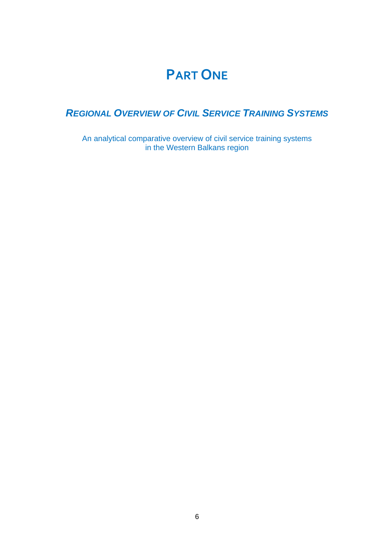### **PART ONE**

### <span id="page-5-0"></span>*REGIONAL OVERVIEW OF CIVIL SERVICE TRAINING SYSTEMS*

An analytical comparative overview of civil service training systems in the Western Balkans region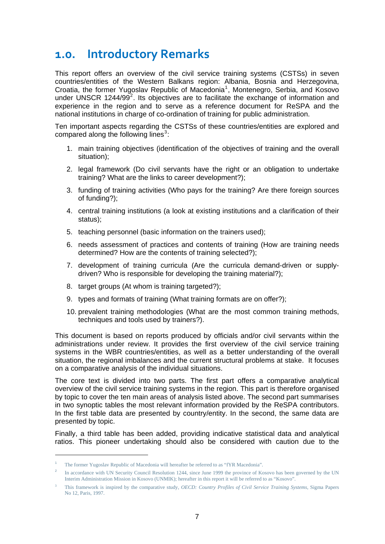### <span id="page-6-0"></span>**1.0. Introductory Remarks**

This report offers an overview of the civil service training systems (CSTSs) in seven countries/entities of the Western Balkans region: Albania, Bosnia and Herzegovina, Croatia, the former Yugoslav Republic of Macedonia<sup>[1](#page-6-0)</sup>, Montenegro, Serbia, and Kosovo under UNSCR 1[2](#page-6-0)44/99 $2^2$ . Its objectives are to facilitate the exchange of information and experience in the region and to serve as a reference document for ReSPA and the national institutions in charge of co-ordination of training for public administration.

Ten important aspects regarding the CSTSs of these countries/entities are explored and compared along the following lines $3$ :

- 1. main training objectives (identification of the objectives of training and the overall situation);
- 2. legal framework (Do civil servants have the right or an obligation to undertake training? What are the links to career development?);
- 3. funding of training activities (Who pays for the training? Are there foreign sources of funding?);
- 4. central training institutions (a look at existing institutions and a clarification of their status);
- 5. teaching personnel (basic information on the trainers used);
- 6. needs assessment of practices and contents of training (How are training needs determined? How are the contents of training selected?);
- 7. development of training curricula (Are the curricula demand-driven or supplydriven? Who is responsible for developing the training material?);
- 8. target groups (At whom is training targeted?);
- 9. types and formats of training (What training formats are on offer?);
- 10. prevalent training methodologies (What are the most common training methods, techniques and tools used by trainers?).

This document is based on reports produced by officials and/or civil servants within the administrations under review. It provides the first overview of the civil service training systems in the WBR countries/entities, as well as a better understanding of the overall situation, the regional imbalances and the current structural problems at stake. It focuses on a comparative analysis of the individual situations.

The core text is divided into two parts. The first part offers a comparative analytical overview of the civil service training systems in the region. This part is therefore organised by topic to cover the ten main areas of analysis listed above. The second part summarises in two synoptic tables the most relevant information provided by the ReSPA contributors. In the first table data are presented by country/entity. In the second, the same data are presented by topic.

Finally, a third table has been added, providing indicative statistical data and analytical ratios. This pioneer undertaking should also be considered with caution due to the

1

<sup>1</sup> The former Yugoslav Republic of Macedonia will hereafter be referred to as "fYR Macedonia".

In accordance with UN Security Council Resolution 1244, since June 1999 the province of Kosovo has been governed by the UN Interim Administration Mission in Kosovo (UNMIK); hereafter in this report it will be referred to as "Kosovo".

<sup>3</sup> This framework is inspired by the comparative study, *OECD: Country Profiles of Civil Service Training Systems,* Sigma Papers No 12, Paris, 1997.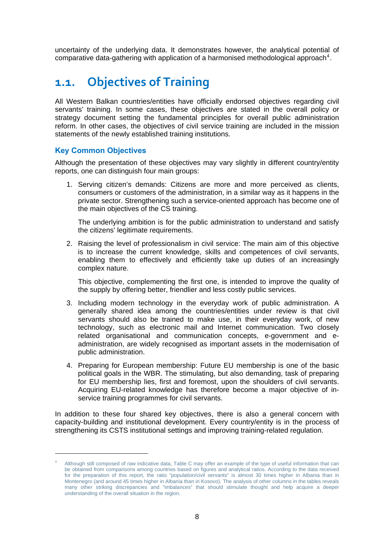<span id="page-7-0"></span>uncertainty of the underlying data. It demonstrates however, the analytical potential of comparative data-gathering with application of a harmonised methodological approach<sup>[4](#page-7-0)</sup>.

### **1.1. Objectives of Training**

All Western Balkan countries/entities have officially endorsed objectives regarding civil servants' training. In some cases, these objectives are stated in the overall policy or strategy document setting the fundamental principles for overall public administration reform. In other cases, the objectives of civil service training are included in the mission statements of the newly established training institutions.

#### **Key Common Objectives**

1

Although the presentation of these objectives may vary slightly in different country/entity reports, one can distinguish four main groups:

1. Serving citizen's demands: Citizens are more and more perceived as clients, consumers or customers of the administration, in a similar way as it happens in the private sector. Strengthening such a service-oriented approach has become one of the main objectives of the CS training.

The underlying ambition is for the public administration to understand and satisfy the citizens' legitimate requirements.

2. Raising the level of professionalism in civil service: The main aim of this objective is to increase the current knowledge, skills and competences of civil servants, enabling them to effectively and efficiently take up duties of an increasingly complex nature.

This objective, complementing the first one, is intended to improve the quality of the supply by offering better, friendlier and less costly public services.

- 3. Including modern technology in the everyday work of public administration. A generally shared idea among the countries/entities under review is that civil servants should also be trained to make use, in their everyday work, of new technology, such as electronic mail and Internet communication. Two closely related organisational and communication concepts, e-government and eadministration, are widely recognised as important assets in the modernisation of public administration.
- 4. Preparing for European membership: Future EU membership is one of the basic political goals in the WBR. The stimulating, but also demanding, task of preparing for EU membership lies, first and foremost, upon the shoulders of civil servants. Acquiring EU-related knowledge has therefore become a major objective of inservice training programmes for civil servants.

In addition to these four shared key objectives, there is also a general concern with capacity-building and institutional development. Every country/entity is in the process of strengthening its CSTS institutional settings and improving training-related regulation.

<sup>4</sup> Although still composed of raw indicative data, Table C may offer an example of the type of useful information that can be obtained from comparisons among countries based on figures and analytical ratios. According to the data received for the preparation of this report, the ratio "population/civil servants" is almost 30 times higher in Albania than in Montenegro (and around 45 times higher in Albania than in Kosovo). The analysis of other columns in the tables reveals many other striking discrepancies and "imbalances" that should stimulate thought and help acquire a deeper understanding of the overall situation in the region.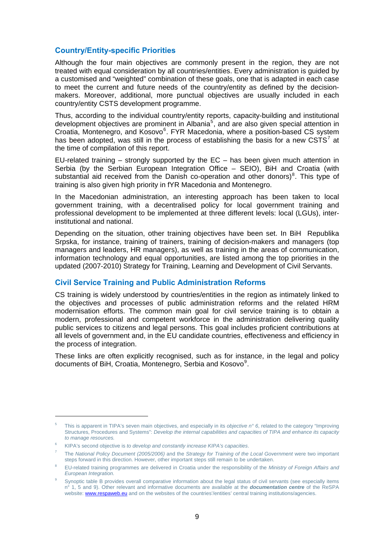#### <span id="page-8-0"></span>**Country/Entity-specific Priorities**

Although the four main objectives are commonly present in the region, they are not treated with equal consideration by all countries/entities. Every administration is guided by a customised and "weighted" combination of these goals, one that is adapted in each case to meet the current and future needs of the country/entity as defined by the decisionmakers. Moreover, additional, more punctual objectives are usually included in each country/entity CSTS development programme.

Thus, according to the individual country/entity reports, capacity-building and institutional development objectives are prominent in Albania<sup>[5](#page-8-0)</sup>, and are also given special attention in Croatia, Montenegro, and Kosovo<sup>[6](#page-8-0)</sup>. FYR Macedonia, where a position-based CS system has been adopted, was still in the process of establishing the basis for a new CSTS<sup>[7](#page-8-0)</sup> at the time of compilation of this report.

EU-related training  $-$  strongly supported by the EC  $-$  has been given much attention in Serbia (by the Serbian European Integration Office – SEIO), BiH and Croatia (with substantial aid received from the Danish co-operation and other donors)<sup>[8](#page-8-0)</sup>. This type of training is also given high priority in fYR Macedonia and Montenegro.

In the Macedonian administration, an interesting approach has been taken to local government training, with a decentralised policy for local government training and professional development to be implemented at three different levels: local (LGUs), interinstitutional and national.

Depending on the situation, other training objectives have been set. In BiH Republika Srpska, for instance, training of trainers, training of decision-makers and managers (top managers and leaders, HR managers), as well as training in the areas of communication, information technology and equal opportunities, are listed among the top priorities in the updated (2007-2010) Strategy for Training, Learning and Development of Civil Servants.

#### **Civil Service Training and Public Administration Reforms**

CS training is widely understood by countries/entities in the region as intimately linked to the objectives and processes of public administration reforms and the related HRM modernisation efforts. The common main goal for civil service training is to obtain a modern, professional and competent workforce in the administration delivering quality public services to citizens and legal persons. This goal includes proficient contributions at all levels of government and, in the EU candidate countries, effectiveness and efficiency in the process of integration.

These links are often explicitly recognised, such as for instance, in the legal and policy documents of BiH, Croatia, Montenegro, Serbia and Kosovo<sup>[9](#page-8-0)</sup>.

-

<sup>5</sup> This is apparent in TIPA's seven main objectives, and especially in its *objective n° 6*, related to the category "Improving Structures, Procedures and Systems": *Develop the internal capabilities and capacities of TIPA and enhance its capacity to manage resources.* 

<sup>6</sup> KIPA's second objective is *to develop and constantly increase KIPA's capacities*.

<sup>7</sup> The *National Policy Document (2005/2006)* and the *Strategy for Training of the Local Government* were two important steps forward in this direction. However, other important steps still remain to be undertaken.

<sup>8</sup> EU-related training programmes are delivered in Croatia under the responsibility of the *Ministry of Foreign Affairs and European Integration.*

 $\alpha$  Synoptic table B provides overall comparative information about the legal status of civil servants (see especially items n° 1, 5 and 9). Other relevant and informative documents are available at the *documentation centre* of the ReSPA website: [www.respaweb.eu](http://www.respaweb.eu/) and on the websites of the countries'/entities' central training institutions/agencies.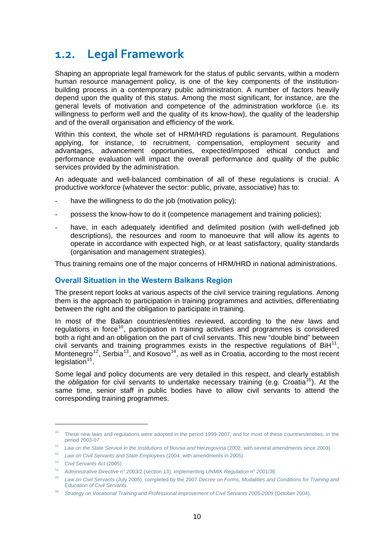### <span id="page-9-0"></span>**1.2. Legal Framework**

Shaping an appropriate legal framework for the status of public servants, within a modern human resource management policy, is one of the key components of the institutionbuilding process in a contemporary public administration. A number of factors heavily depend upon the quality of this status. Among the most significant, for instance, are the general levels of motivation and competence of the administration workforce (i.e. its willingness to perform well and the quality of its know-how), the quality of the leadership and of the overall organisation and efficiency of the work.

Within this context, the whole set of HRM/HRD regulations is paramount. Regulations applying, for instance, to recruitment, compensation, employment security and advantages, advancement opportunities, expected/imposed ethical conduct and performance evaluation will impact the overall performance and quality of the public services provided by the administration.

An adequate and well-balanced combination of all of these regulations is crucial. A productive workforce (whatever the sector: public, private, associative) has to:

- have the willingness to do the job (motivation policy);
- possess the know-how to do it (competence management and training policies);
- have, in each adequately identified and delimited position (with well-defined job descriptions), the resources and room to manoeuvre that will allow its agents to operate in accordance with expected high, or at least satisfactory, quality standards (organisation and management strategies).

Thus training remains one of the major concerns of HRM/HRD in national administrations.

#### **Overall Situation in the Western Balkans Region**

The present report looks at various aspects of the civil service training regulations. Among them is the approach to participation in training programmes and activities, differentiating between the right and the obligation to participate in training.

In most of the Balkan countries/entities reviewed, according to the new laws and regulations in force<sup>[10](#page-9-0)</sup>, participation in training activities and programmes is considered both a right and an obligation on the part of civil servants. This new "double bind" between civil servants and training programmes exists in the respective regulations of  $\text{BiH}^{11}$  $\text{BiH}^{11}$  $\text{BiH}^{11}$ , Montenegro<sup>[12](#page-9-0)</sup>, Serbia<sup>[13](#page-9-0)</sup>, and Kosovo<sup>[14](#page-9-0)</sup>, as well as in Croatia, according to the most recent legislation $15$ .

Some legal and policy documents are very detailed in this respect, and clearly establish the *obligation* for civil servants to undertake necessary training (e.g. Croatia<sup>[16](#page-9-0)</sup>). At the same time, senior staff in public bodies have to allow civil servants to attend the corresponding training programmes.

-

 $10$  These new laws and regulations were adopted in the period 1999-2007, and for most of these countries/entities, in the period 2003-07.

<sup>&</sup>lt;sup>11</sup> Law on the State Service in the Institutions of Bosnia and Herzegovina (2002, with several amendments since 2003).

<sup>12</sup> *Law on Civil Servants and State Employees* (2004, with amendments in 2005).

<sup>13</sup> *Civil Servants Act* (2005).

<sup>14</sup> *Administrative Directive n° 2003/2* (section 13), implementing *UNMIK Regulation n° 2001/36*.

<sup>15</sup> *Law on Civil Servants* (July 2005), completed by the 2007 *Decree on Forms, Modalities and Conditions for Training and Education of Civil Servants*.

<sup>16</sup> *Strategy on Vocational Training and Professional Improvement of Civil Servants 2005-2009* (October 2004).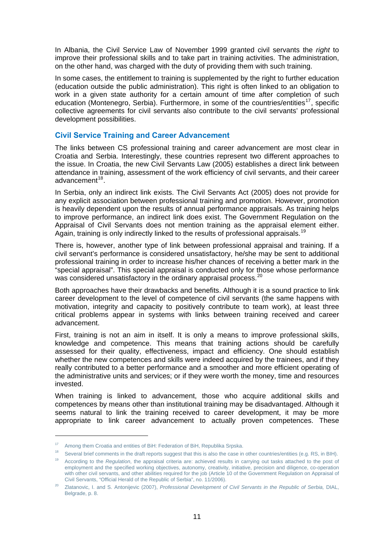<span id="page-10-0"></span>In Albania, the Civil Service Law of November 1999 granted civil servants the *right* to improve their professional skills and to take part in training activities. The administration, on the other hand, was charged with the duty of providing them with such training.

In some cases, the entitlement to training is supplemented by the right to further education (education outside the public administration). This right is often linked to an obligation to work in a given state authority for a certain amount of time after completion of such education (Montenegro, Serbia). Furthermore, in some of the countries/entities<sup>[17](#page-10-0)</sup>, specific collective agreements for civil servants also contribute to the civil servants' professional development possibilities.

#### **Civil Service Training and Career Advancement**

The links between CS professional training and career advancement are most clear in Croatia and Serbia. Interestingly, these countries represent two different approaches to the issue. In Croatia, the new Civil Servants Law (2005) establishes a direct link between attendance in training, assessment of the work efficiency of civil servants, and their career advancement $18$ .

In Serbia, only an indirect link exists. The Civil Servants Act (2005) does not provide for any explicit association between professional training and promotion. However, promotion is heavily dependent upon the results of annual performance appraisals. As training helps to improve performance, an indirect link does exist. The Government Regulation on the Appraisal of Civil Servants does not mention training as the appraisal element either. Again, training is only indirectly linked to the results of professional appraisals.<sup>[19](#page-10-0)</sup>

There is, however, another type of link between professional appraisal and training. If a civil servant's performance is considered unsatisfactory, he/she may be sent to additional professional training in order to increase his/her chances of receiving a better mark in the "special appraisal". This special appraisal is conducted only for those whose performance was considered unsatisfactory in the ordinary appraisal process.<sup>[20](#page-10-0)</sup>

Both approaches have their drawbacks and benefits. Although it is a sound practice to link career development to the level of competence of civil servants (the same happens with motivation, integrity and capacity to positively contribute to team work), at least three critical problems appear in systems with links between training received and career advancement.

First, training is not an aim in itself. It is only a means to improve professional skills, knowledge and competence. This means that training actions should be carefully assessed for their quality, effectiveness, impact and efficiency. One should establish whether the new competences and skills were indeed acquired by the trainees, and if they really contributed to a better performance and a smoother and more efficient operating of the administrative units and services; or if they were worth the money, time and resources invested.

When training is linked to advancement, those who acquire additional skills and competences by means other than institutional training may be disadvantaged. Although it seems natural to link the training received to career development, it may be more appropriate to link career advancement to actually proven competences. These

1

<sup>&</sup>lt;sup>17</sup> Among them Croatia and entities of BiH: Federation of BiH, Republika Srpska.

<sup>&</sup>lt;sup>18</sup> Several brief comments in the draft reports suggest that this is also the case in other countries/entities (e.g. RS, in BIH).

<sup>19</sup> According to the *Regulation*, the appraisal criteria are: achieved results in carrying out tasks attached to the post of employment and the specified working objectives, autonomy, creativity, initiative, precision and diligence, co-operation with other civil servants, and other abilities required for the job (Article 10 of the Government Regulation on Appraisal of Civil Servants, "Official Herald of the Republic of Serbia", no. 11/2006).

<sup>20</sup> Zlatanovic, I. and S. Antonijevic (2007), *Professional Development of Civil Servants in the Republic of Serbia,* DIAL, Belgrade, p. 8.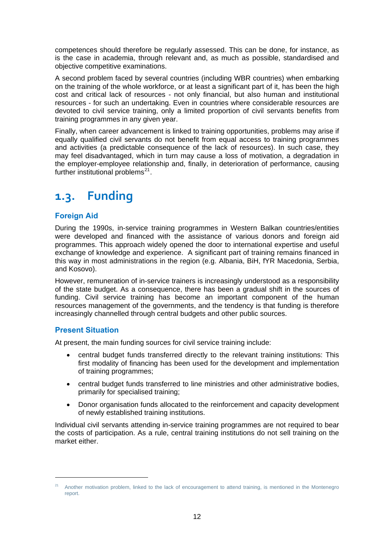<span id="page-11-0"></span>competences should therefore be regularly assessed. This can be done, for instance, as is the case in academia, through relevant and, as much as possible, standardised and objective competitive examinations.

A second problem faced by several countries (including WBR countries) when embarking on the training of the whole workforce, or at least a significant part of it, has been the high cost and critical lack of resources - not only financial, but also human and institutional resources - for such an undertaking. Even in countries where considerable resources are devoted to civil service training, only a limited proportion of civil servants benefits from training programmes in any given year.

Finally, when career advancement is linked to training opportunities, problems may arise if equally qualified civil servants do not benefit from equal access to training programmes and activities (a predictable consequence of the lack of resources). In such case, they may feel disadvantaged, which in turn may cause a loss of motivation, a degradation in the employer-employee relationship and, finally, in deterioration of performance, causing further institutional problems $^{21}$  $^{21}$  $^{21}$ .

### **1.3. Funding**

#### **Foreign Aid**

During the 1990s, in-service training programmes in Western Balkan countries/entities were developed and financed with the assistance of various donors and foreign aid programmes. This approach widely opened the door to international expertise and useful exchange of knowledge and experience. A significant part of training remains financed in this way in most administrations in the region (e.g. Albania, BiH, fYR Macedonia, Serbia, and Kosovo).

However, remuneration of in-service trainers is increasingly understood as a responsibility of the state budget. As a consequence, there has been a gradual shift in the sources of funding. Civil service training has become an important component of the human resources management of the governments, and the tendency is that funding is therefore increasingly channelled through central budgets and other public sources.

#### **Present Situation**

 $\overline{a}$ 

At present, the main funding sources for civil service training include:

- central budget funds transferred directly to the relevant training institutions: This first modality of financing has been used for the development and implementation of training programmes;
- central budget funds transferred to line ministries and other administrative bodies, primarily for specialised training;
- Donor organisation funds allocated to the reinforcement and capacity development of newly established training institutions.

Individual civil servants attending in-service training programmes are not required to bear the costs of participation. As a rule, central training institutions do not sell training on the market either.

<sup>21</sup> Another motivation problem, linked to the lack of encouragement to attend training, is mentioned in the Montenegro report.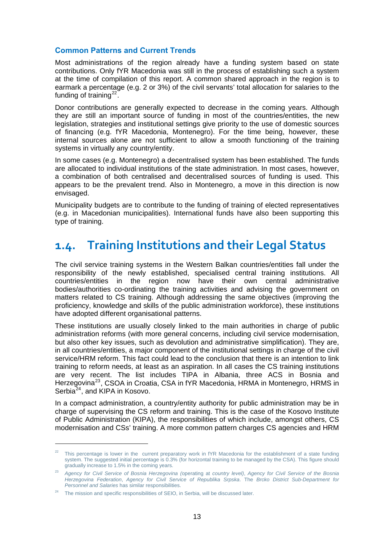#### <span id="page-12-0"></span>**Common Patterns and Current Trends**

Most administrations of the region already have a funding system based on state contributions. Only fYR Macedonia was still in the process of establishing such a system at the time of compilation of this report. A common shared approach in the region is to earmark a percentage (e.g. 2 or 3%) of the civil servants' total allocation for salaries to the funding of training $22$ .

Donor contributions are generally expected to decrease in the coming years. Although they are still an important source of funding in most of the countries/entities, the new legislation, strategies and institutional settings give priority to the use of domestic sources of financing (e.g. fYR Macedonia, Montenegro). For the time being, however, these internal sources alone are not sufficient to allow a smooth functioning of the training systems in virtually any country/entity.

In some cases (e.g. Montenegro) a decentralised system has been established. The funds are allocated to individual institutions of the state administration. In most cases, however, a combination of both centralised and decentralised sources of funding is used. This appears to be the prevalent trend. Also in Montenegro, a move in this direction is now envisaged.

Municipality budgets are to contribute to the funding of training of elected representatives (e.g. in Macedonian municipalities). International funds have also been supporting this type of training.

### **1.4. Training Institutions and their Legal Status**

The civil service training systems in the Western Balkan countries/entities fall under the responsibility of the newly established, specialised central training institutions. All countries/entities in the region now have their own central administrative bodies/authorities co-ordinating the training activities and advising the government on matters related to CS training. Although addressing the same objectives (improving the proficiency, knowledge and skills of the public administration workforce), these institutions have adopted different organisational patterns.

These institutions are usually closely linked to the main authorities in charge of public administration reforms (with more general concerns, including civil service modernisation, but also other key issues, such as devolution and administrative simplification). They are, in all countries/entities, a major component of the institutional settings in charge of the civil service/HRM reform. This fact could lead to the conclusion that there is an intention to link training to reform needs, at least as an aspiration. In all cases the CS training institutions are very recent. The list includes TIPA in Albania, three ACS in Bosnia and Herzegovina<sup>[23](#page-12-0)</sup>, CSOA in Croatia, CSA in fYR Macedonia, HRMA in Montenegro, HRMS in Serbia<sup>[24](#page-12-0)</sup>, and KIPA in Kosovo.

In a compact administration, a country/entity authority for public administration may be in charge of supervising the CS reform and training. This is the case of the Kosovo Institute of Public Administration (KIPA), the responsibilities of which include, amongst others, CS modernisation and CSs' training. A more common pattern charges CS agencies and HRM

-

<sup>&</sup>lt;sup>22</sup> This percentage is lower in the current preparatory work in fYR Macedonia for the establishment of a state funding system. The suggested initial percentage is 0.3% (for horizontal training to be managed by the CSA). This figure should gradually increase to 1.5% in the coming years.

<sup>23</sup> *Agency for Civil Service of Bosnia Herzegovina (*operating at *country level)*, *Agency for Civil Service of the Bosnia Herzegovina Federation*, *Agency for Civil Service of Republika Srpska*. The *Brcko District Sub-Department for Personnel and Salaries* has similar responsibilities.

<sup>&</sup>lt;sup>24</sup> The mission and specific responsibilities of SEIO, in Serbia, will be discussed later.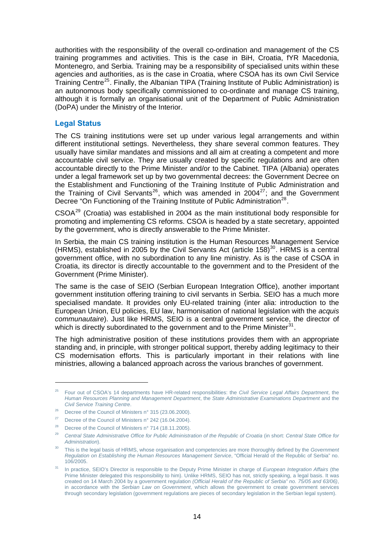<span id="page-13-0"></span>authorities with the responsibility of the overall co-ordination and management of the CS training programmes and activities. This is the case in BiH, Croatia, fYR Macedonia, Montenegro, and Serbia. Training may be a responsibility of specialised units within these agencies and authorities, as is the case in Croatia, where CSOA has its own Civil Service Training Centre<sup>[25](#page-13-0)</sup>. Finally, the Albanian TIPA (Training Institute of Public Administration) is an autonomous body specifically commissioned to co-ordinate and manage CS training, although it is formally an organisational unit of the Department of Public Administration (DoPA) under the Ministry of the Interior.

#### **Legal Status**

The CS training institutions were set up under various legal arrangements and within different institutional settings. Nevertheless, they share several common features. They usually have similar mandates and missions and all aim at creating a competent and more accountable civil service. They are usually created by specific regulations and are often accountable directly to the Prime Minister and/or to the Cabinet. TIPA (Albania) operates under a legal framework set up by two governmental decrees: the Government Decree on the Establishment and Functioning of the Training Institute of Public Administration and the Training of Civil Servants<sup>[26](#page-13-0)</sup>, which was amended in 2004<sup>[27](#page-13-0)</sup>; and the Government Decree "On Functioning of the Training Institute of Public Administration<sup>[28](#page-13-0)</sup>.

CSOA[29](#page-13-0) (Croatia) was established in 2004 as the main institutional body responsible for promoting and implementing CS reforms. CSOA is headed by a state secretary, appointed by the government, who is directly answerable to the Prime Minister.

In Serbia, the main CS training institution is the Human Resources Management Service (HRMS), established in 2005 by the Civil Servants Act (article 158)<sup>[30](#page-13-0)</sup>. HRMS is a central government office, with no subordination to any line ministry. As is the case of CSOA in Croatia, its director is directly accountable to the government and to the President of the Government (Prime Minister).

The same is the case of SEIO (Serbian European Integration Office), another important government institution offering training to civil servants in Serbia. SEIO has a much more specialised mandate. It provides only EU-related training (inter alia: introduction to the European Union, EU policies, EU law, harmonisation of national legislation with the *acquis communautaire*). Just like HRMS, SEIO is a central government service, the director of which is directly subordinated to the government and to the Prime Minister<sup>[31](#page-13-0)</sup>.

The high administrative position of these institutions provides them with an appropriate standing and, in principle, with stronger political support, thereby adding legitimacy to their CS modernisation efforts. This is particularly important in their relations with line ministries, allowing a balanced approach across the various branches of government.

1

<sup>25</sup> Four out of CSOA's 14 departments have HR-related responsibilities: the *Civil Service Legal Affairs Department*, the *Human Resources Planning and Management Department*, the *State Administrative Examinations Department* and the *Civil Service Training Centre*.

<sup>&</sup>lt;sup>26</sup> Decree of the Council of Ministers n° 315 (23.06.2000).

<sup>&</sup>lt;sup>27</sup> Decree of the Council of Ministers n° 242 (16.04.2004).

<sup>&</sup>lt;sup>28</sup> Decree of the Council of Ministers n° 714 (18.11.2005).

<sup>29</sup> *Central State Administrative Office for Public Administration of the Republic of Croatia* (in short: *Central State Office for Administration*).

<sup>30</sup> This is the legal basis of HRMS, whose organisation and competencies are more thoroughly defined by the *Government Regulation on Establishing the Human Resources Management Service*, "Official Herald of the Republic of Serbia" no. 106/2005.

<sup>31</sup> In practice, SEIO's Director is responsible to the Deputy Prime Minister in charge of *European Integration Affairs* (the Prime Minister delegated this responsibility to him). Unlike HRMS, SEIO has not, strictly speaking, a legal basis. It was created on 14 March 2004 by a government regulation *(Official Herald of the Republic of Serbia" no. 75/05 and 63/06)*, in accordance with the *Serbian Law on Government*, which allows the government to create government services through secondary legislation (government regulations are pieces of secondary legislation in the Serbian legal system).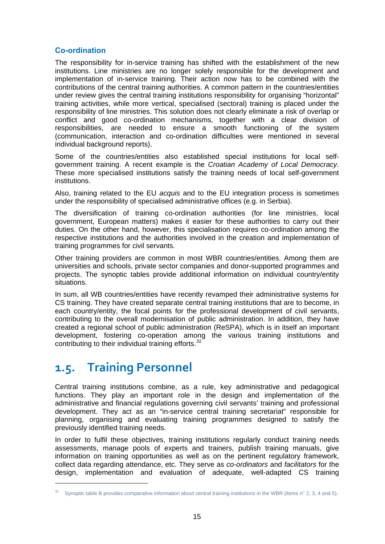#### <span id="page-14-0"></span>**Co-ordination**

The responsibility for in-service training has shifted with the establishment of the new institutions. Line ministries are no longer solely responsible for the development and implementation of in-service training. Their action now has to be combined with the contributions of the central training authorities. A common pattern in the countries/entities under review gives the central training institutions responsibility for organising "horizontal" training activities, while more vertical, specialised (sectoral) training is placed under the responsibility of line ministries. This solution does not clearly eliminate a risk of overlap or conflict and good co-ordination mechanisms, together with a clear division of responsibilities, are needed to ensure a smooth functioning of the system (communication, interaction and co-ordination difficulties were mentioned in several individual background reports).

Some of the countries/entities also established special institutions for local selfgovernment training. A recent example is the *Croatian Academy of Local Democracy*. These more specialised institutions satisfy the training needs of local self-government institutions.

Also, training related to the EU *acquis* and to the EU integration process is sometimes under the responsibility of specialised administrative offices (e.g. in Serbia).

The diversification of training co-ordination authorities (for line ministries, local government, European matters) makes it easier for these authorities to carry out their duties. On the other hand, however, this specialisation requires co-ordination among the respective institutions and the authorities involved in the creation and implementation of training programmes for civil servants.

Other training providers are common in most WBR countries/entities. Among them are universities and schools, private sector companies and donor-supported programmes and projects. The synoptic tables provide additional information on individual country/entity situations.

In sum, all WB countries/entities have recently revamped their administrative systems for CS training. They have created separate central training institutions that are to become, in each country/entity, the focal points for the professional development of civil servants, contributing to the overall modernisation of public administration. In addition, they have created a regional school of public administration (ReSPA), which is in itself an important development, fostering co-operation among the various training institutions and contributing to their individual training efforts. $32$ 

### **1.5. Training Personnel**

1

Central training institutions combine, as a rule, key administrative and pedagogical functions. They play an important role in the design and implementation of the administrative and financial regulations governing civil servants' training and professional development. They act as an "in-service central training secretariat" responsible for planning, organising and evaluating training programmes designed to satisfy the previously identified training needs.

In order to fulfil these objectives, training institutions regularly conduct training needs assessments, manage pools of experts and trainers, publish training manuals, give information on training opportunities as well as on the pertinent regulatory framework, collect data regarding attendance, etc. They serve as *co-ordinators* and *facilitators* for the design, implementation and evaluation of adequate, well-adapted CS training

Synoptic table B provides comparative information about central training institutions in the WBR (items n° 2, 3, 4 and 5).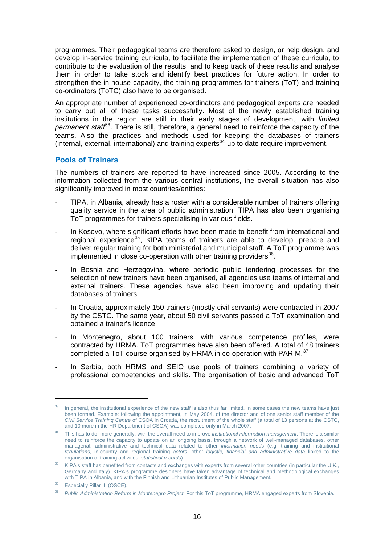<span id="page-15-0"></span>programmes. Their pedagogical teams are therefore asked to design, or help design, and develop in-service training curricula, to facilitate the implementation of these curricula, to contribute to the evaluation of the results, and to keep track of these results and analyse them in order to take stock and identify best practices for future action. In order to strengthen the in-house capacity, the training programmes for trainers (ToT) and training co-ordinators (ToTC) also have to be organised.

An appropriate number of experienced co-ordinators and pedagogical experts are needed to carry out all of these tasks successfully. Most of the newly established training institutions in the region are still in their early stages of development, with *limited permanent staff*[33](#page-15-0). There is still, therefore, a general need to reinforce the capacity of the teams. Also the practices and methods used for keeping the databases of trainers (internal, external, international) and training experts<sup>[34](#page-15-0)</sup> up to date require improvement.

#### **Pools of Trainers**

The numbers of trainers are reported to have increased since 2005. According to the information collected from the various central institutions, the overall situation has also significantly improved in most countries/entities:

- TIPA, in Albania, already has a roster with a considerable number of trainers offering quality service in the area of public administration. TIPA has also been organising ToT programmes for trainers specialising in various fields.
- In Kosovo, where significant efforts have been made to benefit from international and regional experience<sup>[35](#page-15-0)</sup>, KIPA teams of trainers are able to develop, prepare and deliver regular training for both ministerial and municipal staff. A ToT programme was implemented in close co-operation with other training providers  $36$ .
- In Bosnia and Herzegovina, where periodic public tendering processes for the selection of new trainers have been organised, all agencies use teams of internal and external trainers. These agencies have also been improving and updating their databases of trainers.
- In Croatia, approximately 150 trainers (mostly civil servants) were contracted in 2007 by the CSTC. The same year, about 50 civil servants passed a ToT examination and obtained a trainer's licence.
- In Montenegro, about 100 trainers, with various competence profiles, were contracted by HRMA. ToT programmes have also been offered. A total of 48 trainers completed a ToT course organised by HRMA in co-operation with PARIM.<sup>[37](#page-15-0)</sup>
- In Serbia, both HRMS and SEIO use pools of trainers combining a variety of professional competencies and skills. The organisation of basic and advanced ToT

1

In general, the institutional experience of the new staff is also thus far limited. In some cases the new teams have just been formed. Example: following the appointment, in May 2004, of the director and of one senior staff member of the *Civil Service Training Centre* of CSOA in Croatia, the recruitment of the whole staff (a total of 13 persons at the CSTC, and 10 more in the HR Department of CSOA) was completed only in March 2007.

<sup>34</sup> This has to do, more generally, with the overall need to improve *institutional information management*. There is a similar need to reinforce the capacity to update on an ongoing basis, through a network of well-managed databases, other managerial, administrative and technical data related to other *information needs* (e.g. training and institutional *regulations*, in-country and regional training *actors*, other *logistic, financial and administrative data* linked to the organisation of training activities, *statistical records*).

<sup>&</sup>lt;sup>35</sup> KIPA's staff has benefited from contacts and exchanges with experts from several other countries (in particular the U.K., Germany and Italy). KIPA's programme designers have taken advantage of technical and methodological exchanges with TIPA in Albania, and with the Finnish and Lithuanian Institutes of Public Management.

<sup>&</sup>lt;sup>36</sup> Especially Pillar III (OSCE).

<sup>37</sup> *Public Administration Reform in Montenegro Project*. For this ToT programme, HRMA engaged experts from Slovenia.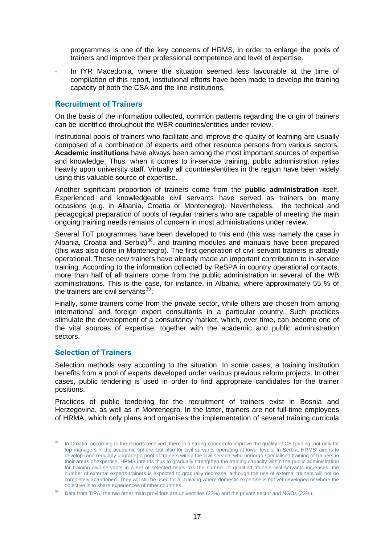<span id="page-16-0"></span>programmes is one of the key concerns of HRMS, in order to enlarge the pools of trainers and improve their professional competence and level of expertise.

In fYR Macedonia, where the situation seemed less favourable at the time of compilation of this report, institutional efforts have been made to develop the training capacity of both the CSA and the line institutions.

#### **Recruitment of Trainers**

On the basis of the information collected, common patterns regarding the origin of trainers can be identified throughout the WBR countries/entities under review.

Institutional pools of trainers who facilitate and improve the quality of learning are usually composed of a combination of experts and other resource persons from various sectors. **Academic institutions** have always been among the most important sources of expertise and knowledge. Thus, when it comes to in-service training, public administration relies heavily upon university staff. Virtually all countries/entities in the region have been widely using this valuable source of expertise.

Another significant proportion of trainers come from the **public administration** itself. Experienced and knowledgeable civil servants have served as trainers on many occasions (e.g. in Albania, Croatia or Montenegro). Nevertheless, the technical and pedagogical preparation of pools of regular trainers who are capable of meeting the main ongoing training needs remains of concern in most administrations under review.

Several ToT programmes have been developed to this end (this was namely the case in Albania, Croatia and Serbia)<sup>[38](#page-16-0)</sup>, and training modules and manuals have been prepared (this was also done in Montenegro). The first generation of civil servant trainers is already operational. These new trainers have already made an important contribution to in-service training. According to the information collected by ReSPA in country operational contacts, more than half of all trainers come from the public administration in several of the WB administrations. This is the case, for instance, in Albania, where approximately 55 % of the trainers are civil servants $39$ .

Finally, some trainers come from the private sector, while others are chosen from among international and foreign expert consultants in a particular country. Such practices stimulate the development of a consultancy market, which, over time, can become one of the vital sources of expertise, together with the academic and public administration sectors.

#### **Selection of Trainers**

-

Selection methods vary according to the situation. In some cases, a training institution benefits from a pool of experts developed under various previous reform projects. In other cases, public tendering is used in order to find appropriate candidates for the trainer positions.

Practices of public tendering for the recruitment of trainers exist in Bosnia and Herzegovina, as well as in Montenegro. In the latter, trainers are not full-time employees of HRMA, which only plans and organises the implementation of several training curricula

<sup>&</sup>lt;sup>38</sup> In Croatia, according to the reports received, there is a strong concern to improve the quality of CS training, not only for top managers in the academic sphere, but also for civil servants operating at lower levels. In Serbia, HRMS' aim is to develop (and regularly upgrade) a pool of trainers within the civil service, who undergo specialised training of trainers in their areas of expertise. HRMS intends thus to gradually strengthen the training capacity within the public administration for training civil servants in a set of selected fields. As the number of qualified trainers-civil servants increases, the number of external experts-trainers is expected to gradually decrease, although the use of external trainers will not be completely abandoned. They will still be used for all training where domestic expertise is not yet developed or where the objective is to share experiences of other countries.

Data from TIPA; the two other main providers are universities (22%) and the private sector and NGOs (23%).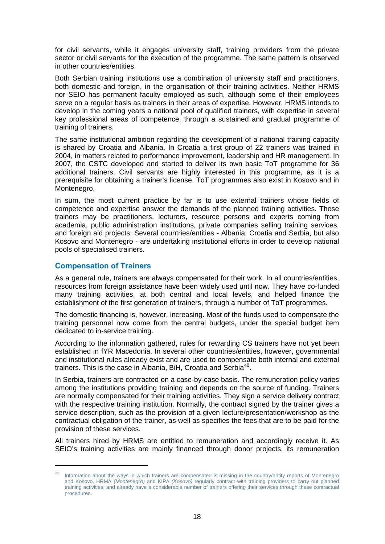<span id="page-17-0"></span>for civil servants, while it engages university staff, training providers from the private sector or civil servants for the execution of the programme. The same pattern is observed in other countries/entities.

Both Serbian training institutions use a combination of university staff and practitioners, both domestic and foreign, in the organisation of their training activities. Neither HRMS nor SEIO has permanent faculty employed as such, although some of their employees serve on a regular basis as trainers in their areas of expertise. However, HRMS intends to develop in the coming years a national pool of qualified trainers, with expertise in several key professional areas of competence, through a sustained and gradual programme of training of trainers.

The same institutional ambition regarding the development of a national training capacity is shared by Croatia and Albania. In Croatia a first group of 22 trainers was trained in 2004, in matters related to performance improvement, leadership and HR management. In 2007, the CSTC developed and started to deliver its own basic ToT programme for 36 additional trainers. Civil servants are highly interested in this programme, as it is a prerequisite for obtaining a trainer's license. ToT programmes also exist in Kosovo and in Montenegro.

In sum, the most current practice by far is to use external trainers whose fields of competence and expertise answer the demands of the planned training activities. These trainers may be practitioners, lecturers, resource persons and experts coming from academia, public administration institutions, private companies selling training services, and foreign aid projects. Several countries/entities - Albania, Croatia and Serbia, but also Kosovo and Montenegro - are undertaking institutional efforts in order to develop national pools of specialised trainers.

#### **Compensation of Trainers**

1

As a general rule, trainers are always compensated for their work. In all countries/entities, resources from foreign assistance have been widely used until now. They have co-funded many training activities, at both central and local levels, and helped finance the establishment of the first generation of trainers, through a number of ToT programmes.

The domestic financing is, however, increasing. Most of the funds used to compensate the training personnel now come from the central budgets, under the special budget item dedicated to in-service training.

According to the information gathered, rules for rewarding CS trainers have not yet been established in fYR Macedonia. In several other countries/entities, however, governmental and institutional rules already exist and are used to compensate both internal and external trainers. This is the case in Albania, BiH, Croatia and Serbia<sup>[40](#page-17-0)</sup>.

In Serbia, trainers are contracted on a case-by-case basis. The remuneration policy varies among the institutions providing training and depends on the source of funding. Trainers are normally compensated for their training activities. They sign a service delivery contract with the respective training institution. Normally, the contract signed by the trainer gives a service description, such as the provision of a given lecture/presentation/workshop as the contractual obligation of the trainer, as well as specifies the fees that are to be paid for the provision of these services.

All trainers hired by HRMS are entitled to remuneration and accordingly receive it. As SEIO's training activities are mainly financed through donor projects, its remuneration

<sup>&</sup>lt;sup>40</sup> Information about the ways in which trainers are compensated is missing in the country/entity reports of Montenegro and Kosovo. HRMA *(Montenegro)* and KIPA *(Kosovo)* regularly contract with training providers to carry out planned training activities, and already have a considerable number of trainers offering their services through these contractual procedures.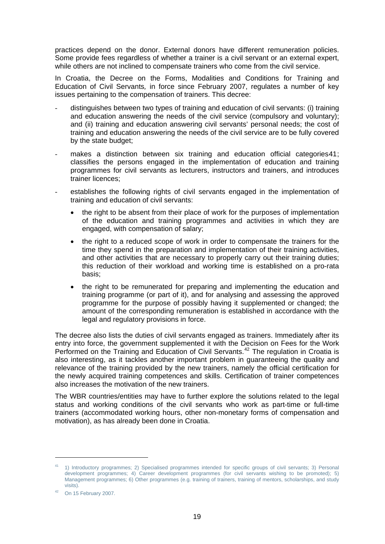<span id="page-18-0"></span>practices depend on the donor. External donors have different remuneration policies. Some provide fees regardless of whether a trainer is a civil servant or an external expert, while others are not inclined to compensate trainers who come from the civil service.

In Croatia, the Decree on the Forms, Modalities and Conditions for Training and Education of Civil Servants*,* in force since February 2007, regulates a number of key issues pertaining to the compensation of trainers. This decree:

- distinguishes between two types of training and education of civil servants: (i) training and education answering the needs of the civil service (compulsory and voluntary); and (ii) training and education answering civil servants' personal needs; the cost of training and education answering the needs of the civil service are to be fully covered by the state budget;
- makes a distinction between six training and education official categories[41](#page-18-0); classifies the persons engaged in the implementation of education and training programmes for civil servants as lecturers, instructors and trainers, and introduces trainer licences;
- establishes the following rights of civil servants engaged in the implementation of training and education of civil servants:
	- the right to be absent from their place of work for the purposes of implementation of the education and training programmes and activities in which they are engaged, with compensation of salary;
	- the right to a reduced scope of work in order to compensate the trainers for the time they spend in the preparation and implementation of their training activities, and other activities that are necessary to properly carry out their training duties; this reduction of their workload and working time is established on a pro-rata basis;
	- the right to be remunerated for preparing and implementing the education and training programme (or part of it), and for analysing and assessing the approved programme for the purpose of possibly having it supplemented or changed; the amount of the corresponding remuneration is established in accordance with the legal and regulatory provisions in force.

The decree also lists the duties of civil servants engaged as trainers. Immediately after its entry into force, the government supplemented it with the Decision on Fees for the Work Performed on the Training and Education of Civil Servants.[42](#page-18-0) The regulation in Croatia is also interesting, as it tackles another important problem in guaranteeing the quality and relevance of the training provided by the new trainers, namely the official certification for the newly acquired training competences and skills. Certification of trainer competences also increases the motivation of the new trainers.

The WBR countries/entities may have to further explore the solutions related to the legal status and working conditions of the civil servants who work as part-time or full-time trainers (accommodated working hours, other non-monetary forms of compensation and motivation), as has already been done in Croatia.

1

<sup>41 1)</sup> Introductory programmes; 2) Specialised programmes intended for specific groups of civil servants; 3) Personal development programmes; 4) Career development programmes (for civil servants wishing to be promoted); 5) Management programmes; 6) Other programmes (e.g. training of trainers, training of mentors, scholarships, and study visits).

 $42$  On 15 February 2007.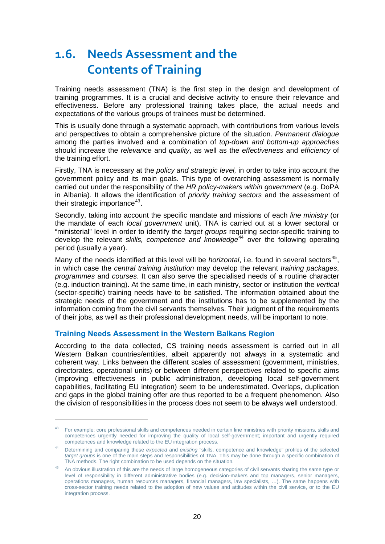### <span id="page-19-0"></span>**1.6. Needs Assessment and the Contents of Training**

Training needs assessment (TNA) is the first step in the design and development of training programmes. It is a crucial and decisive activity to ensure their relevance and effectiveness. Before any professional training takes place, the actual needs and expectations of the various groups of trainees must be determined.

This is usually done through a systematic approach, with contributions from various levels and perspectives to obtain a comprehensive picture of the situation. *Permanent dialogue* among the parties involved and a combination of *top-down and bottom-up approaches* should increase the *relevance* and *quality*, as well as the *effectiveness* and *efficiency* of the training effort.

Firstly, TNA is necessary at the *policy and strategic level,* in order to take into account the government policy and its main goals. This type of overarching assessment is normally carried out under the responsibility of the *HR policy-makers within government* (e.g. DoPA in Albania). It allows the identification of *priority training sectors* and the assessment of their strategic importance $43$ .

Secondly, taking into account the specific mandate and missions of each *line ministry* (or the mandate of each *local government* unit), TNA is carried out at a lower sectoral or "ministerial" level in order to identify the *target groups* requiring sector-specific training to develop the relevant *skills, competence and knowledge*<sup>[44](#page-19-0)</sup> over the following operating period (usually a year).

Many of the needs identified at this level will be *horizontal*, i.e. found in several sectors<sup>[45](#page-19-0)</sup>, in which case the *central training institution* may develop the relevant *training packages*, *programmes* and *courses*. It can also serve the specialised needs of a routine character (e.g. induction training). At the same time, in each ministry, sector or institution the *vertical*  (sector-specific) training needs have to be satisfied. The information obtained about the strategic needs of the government and the institutions has to be supplemented by the information coming from the civil servants themselves. Their judgment of the requirements of their jobs, as well as their professional development needs, will be important to note.

#### **Training Needs Assessment in the Western Balkans Region**

-

According to the data collected, CS training needs assessment is carried out in all Western Balkan countries/entities, albeit apparently not always in a systematic and coherent way. Links between the different scales of assessment (government, ministries, directorates, operational units) or between different perspectives related to specific aims (improving effectiveness in public administration, developing local self-government capabilities, facilitating EU integration) seem to be underestimated. Overlaps, duplication and gaps in the global training offer are thus reported to be a frequent phenomenon. Also the division of responsibilities in the process does not seem to be always well understood.

<sup>43</sup> For example: core professional skills and competences needed in certain line ministries with priority missions, skills and competences urgently needed for improving the quality of local self-government; important and urgently required competences and knowledge related to the EU integration process.

<sup>44</sup> Determining and comparing these *expected* and *existing* "skills, competence and knowledge" profiles of the selected *target groups* is one of the main steps and responsibilities of TNA. This may be done through a specific combination of TNA methods. The right combination to be used depends on the situation.

<sup>&</sup>lt;sup>45</sup> An obvious illustration of this are the needs of large homogeneous categories of civil servants sharing the same type or level of responsibility in different administrative bodies (e.g. decision-makers and top managers, senior managers, operations managers, human resources managers, financial managers, law specialists, …). The same happens with cross-sector training needs related to the adoption of new values and attitudes within the civil service, or to the EU integration process.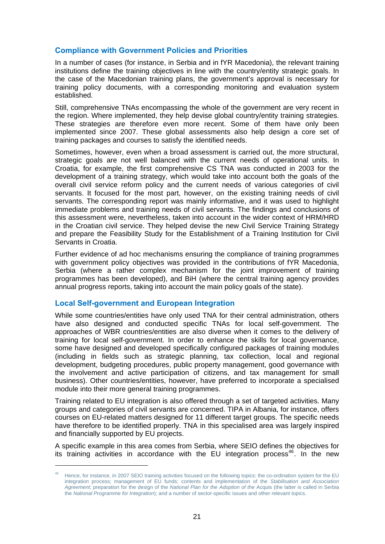#### <span id="page-20-0"></span>**Compliance with Government Policies and Priorities**

In a number of cases (for instance, in Serbia and in fYR Macedonia), the relevant training institutions define the training objectives in line with the country/entity strategic goals. In the case of the Macedonian training plans, the government's approval is necessary for training policy documents, with a corresponding monitoring and evaluation system established.

Still, comprehensive TNAs encompassing the whole of the government are very recent in the region. Where implemented, they help devise global country/entity training strategies. These strategies are therefore even more recent. Some of them have only been implemented since 2007. These global assessments also help design a core set of training packages and courses to satisfy the identified needs.

Sometimes, however, even when a broad assessment is carried out, the more structural, strategic goals are not well balanced with the current needs of operational units. In Croatia, for example, the first comprehensive CS TNA was conducted in 2003 for the development of a training strategy, which would take into account both the goals of the overall civil service reform policy and the current needs of various categories of civil servants. It focused for the most part, however, on the existing training needs of civil servants. The corresponding report was mainly informative, and it was used to highlight immediate problems and training needs of civil servants. The findings and conclusions of this assessment were, nevertheless, taken into account in the wider context of HRM/HRD in the Croatian civil service. They helped devise the new Civil Service Training Strategy and prepare the Feasibility Study for the Establishment of a Training Institution for Civil Servants in Croatia.

Further evidence of ad hoc mechanisms ensuring the compliance of training programmes with government policy objectives was provided in the contributions of fYR Macedonia, Serbia (where a rather complex mechanism for the joint improvement of training programmes has been developed), and BiH (where the central training agency provides annual progress reports, taking into account the main policy goals of the state).

#### **Local Self-government and European Integration**

1

While some countries/entities have only used TNA for their central administration, others have also designed and conducted specific TNAs for local self-government. The approaches of WBR countries/entities are also diverse when it comes to the delivery of training for local self-government. In order to enhance the skills for local governance, some have designed and developed specifically configured packages of training modules (including in fields such as strategic planning, tax collection, local and regional development, budgeting procedures, public property management, good governance with the involvement and active participation of citizens, and tax management for small business). Other countries/entities, however, have preferred to incorporate a specialised module into their more general training programmes.

Training related to EU integration is also offered through a set of targeted activities. Many groups and categories of civil servants are concerned. TIPA in Albania, for instance, offers courses on EU-related matters designed for 11 different target groups. The specific needs have therefore to be identified properly. TNA in this specialised area was largely inspired and financially supported by EU projects.

A specific example in this area comes from Serbia, where SEIO defines the objectives for its training activities in accordance with the EU integration process<sup>[46](#page-20-0)</sup>. In the new

<sup>46</sup> Hence, for instance, in 2007 SEIO training activities focused on the following topics: the co-ordination system for the EU integration process; management of EU funds; contents and implementation of the *Stabilisation and Association Agreement*; preparation for the design of the *National Plan for the Adoption of the* Acquis (the latter is called in Serbia the *National Programme for Integration*); and a number of sector-specific issues and other relevant topics.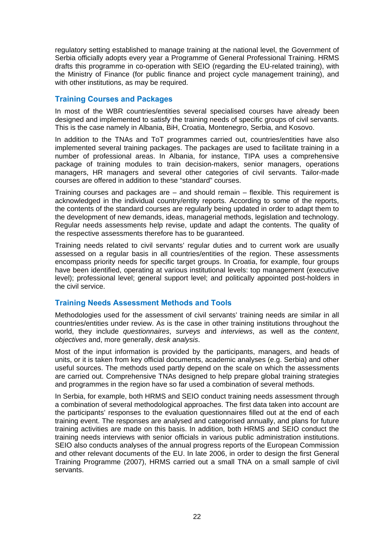regulatory setting established to manage training at the national level, the Government of Serbia officially adopts every year a Programme of General Professional Training. HRMS drafts this programme in co-operation with SEIO (regarding the EU-related training), with the Ministry of Finance (for public finance and project cycle management training), and with other institutions, as may be required.

#### **Training Courses and Packages**

In most of the WBR countries/entities several specialised courses have already been designed and implemented to satisfy the training needs of specific groups of civil servants. This is the case namely in Albania, BiH, Croatia, Montenegro, Serbia, and Kosovo.

In addition to the TNAs and ToT programmes carried out, countries/entities have also implemented several training packages. The packages are used to facilitate training in a number of professional areas. In Albania, for instance, TIPA uses a comprehensive package of training modules to train decision-makers, senior managers, operations managers, HR managers and several other categories of civil servants. Tailor-made courses are offered in addition to these "standard" courses.

Training courses and packages are – and should remain – flexible. This requirement is acknowledged in the individual country/entity reports. According to some of the reports, the contents of the standard courses are regularly being updated in order to adapt them to the development of new demands, ideas, managerial methods, legislation and technology. Regular needs assessments help revise, update and adapt the contents. The quality of the respective assessments therefore has to be guaranteed.

Training needs related to civil servants' regular duties and to current work are usually assessed on a regular basis in all countries/entities of the region. These assessments encompass priority needs for specific target groups. In Croatia, for example, four groups have been identified, operating at various institutional levels: top management (executive level); professional level; general support level; and politically appointed post-holders in the civil service.

#### **Training Needs Assessment Methods and Tools**

Methodologies used for the assessment of civil servants' training needs are similar in all countries/entities under review. As is the case in other training institutions throughout the world, they include *questionnaires*, *surveys* and *interviews*, as well as the *content*, *objectives* and, more generally, *desk analysis*.

Most of the input information is provided by the participants, managers, and heads of units, or it is taken from key official documents, academic analyses (e.g. Serbia) and other useful sources. The methods used partly depend on the scale on which the assessments are carried out. Comprehensive TNAs designed to help prepare global training strategies and programmes in the region have so far used a combination of several methods.

In Serbia, for example, both HRMS and SEIO conduct training needs assessment through a combination of several methodological approaches. The first data taken into account are the participants' responses to the evaluation questionnaires filled out at the end of each training event. The responses are analysed and categorised annually, and plans for future training activities are made on this basis. In addition, both HRMS and SEIO conduct the training needs interviews with senior officials in various public administration institutions. SEIO also conducts analyses of the annual progress reports of the European Commission and other relevant documents of the EU. In late 2006, in order to design the first General Training Programme (2007), HRMS carried out a small TNA on a small sample of civil servants.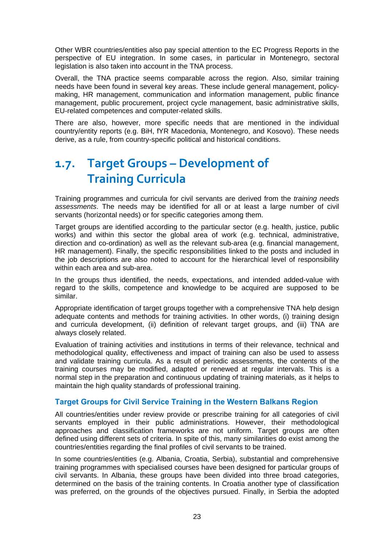Other WBR countries/entities also pay special attention to the EC Progress Reports in the perspective of EU integration. In some cases, in particular in Montenegro, sectoral legislation is also taken into account in the TNA process.

Overall, the TNA practice seems comparable across the region. Also, similar training needs have been found in several key areas. These include general management, policymaking, HR management, communication and information management, public finance management, public procurement, project cycle management, basic administrative skills, EU-related competences and computer-related skills.

There are also, however, more specific needs that are mentioned in the individual country/entity reports (e.g. BiH, fYR Macedonia, Montenegro, and Kosovo). These needs derive, as a rule, from country-specific political and historical conditions.

### **1.7. Target Groups – Development of Training Curricula**

Training programmes and curricula for civil servants are derived from the *training needs assessments*. The needs may be identified for all or at least a large number of civil servants (horizontal needs) or for specific categories among them.

Target groups are identified according to the particular sector (e.g. health, justice, public works) and within this sector the global area of work (e.g. technical, administrative, direction and co-ordination) as well as the relevant sub-area (e.g. financial management, HR management). Finally, the specific responsibilities linked to the posts and included in the job descriptions are also noted to account for the hierarchical level of responsibility within each area and sub-area.

In the groups thus identified, the needs, expectations, and intended added-value with regard to the skills, competence and knowledge to be acquired are supposed to be similar.

Appropriate identification of target groups together with a comprehensive TNA help design adequate contents and methods for training activities. In other words, (i) training design and curricula development, (ii) definition of relevant target groups, and (iii) TNA are always closely related.

Evaluation of training activities and institutions in terms of their relevance, technical and methodological quality, effectiveness and impact of training can also be used to assess and validate training curricula. As a result of periodic assessments, the contents of the training courses may be modified, adapted or renewed at regular intervals. This is a normal step in the preparation and continuous updating of training materials, as it helps to maintain the high quality standards of professional training.

#### **Target Groups for Civil Service Training in the Western Balkans Region**

All countries/entities under review provide or prescribe training for all categories of civil servants employed in their public administrations. However, their methodological approaches and classification frameworks are not uniform. Target groups are often defined using different sets of criteria. In spite of this, many similarities do exist among the countries/entities regarding the final profiles of civil servants to be trained.

In some countries/entities (e.g. Albania, Croatia, Serbia), substantial and comprehensive training programmes with specialised courses have been designed for particular groups of civil servants. In Albania, these groups have been divided into three broad categories, determined on the basis of the training contents. In Croatia another type of classification was preferred, on the grounds of the objectives pursued. Finally, in Serbia the adopted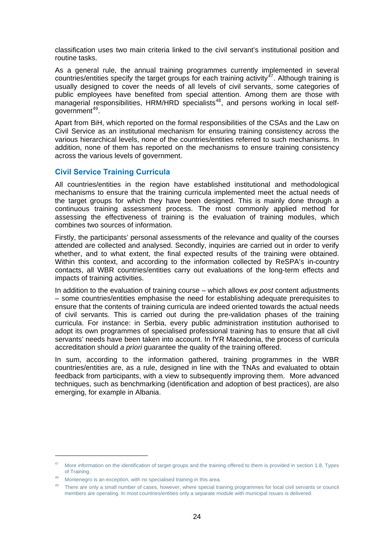<span id="page-23-0"></span>classification uses two main criteria linked to the civil servant's institutional position and routine tasks.

As a general rule, the annual training programmes currently implemented in several countries/entities specify the target groups for each training activity<sup>[47](#page-23-0)</sup>. Although training is usually designed to cover the needs of all levels of civil servants, some categories of public employees have benefited from special attention. Among them are those with managerial responsibilities, HRM/HRD specialists<sup>[48](#page-23-0)</sup>, and persons working in local self-aovernment<sup>[49](#page-23-0)</sup>.

Apart from BiH, which reported on the formal responsibilities of the CSAs and the Law on Civil Service as an institutional mechanism for ensuring training consistency across the various hierarchical levels, none of the countries/entities referred to such mechanisms. In addition, none of them has reported on the mechanisms to ensure training consistency across the various levels of government.

#### **Civil Service Training Curricula**

All countries/entities in the region have established institutional and methodological mechanisms to ensure that the training curricula implemented meet the actual needs of the target groups for which they have been designed. This is mainly done through a continuous training assessment process. The most commonly applied method for assessing the effectiveness of training is the evaluation of training modules, which combines two sources of information.

Firstly, the participants' personal assessments of the relevance and quality of the courses attended are collected and analysed. Secondly, inquiries are carried out in order to verify whether, and to what extent, the final expected results of the training were obtained. Within this context, and according to the information collected by ReSPA's in-country contacts, all WBR countries/entities carry out evaluations of the long-term effects and impacts of training activities.

In addition to the evaluation of training course – which allows *ex post* content adjustments – some countries/entities emphasise the need for establishing adequate prerequisites to ensure that the contents of training curricula are indeed oriented towards the actual needs of civil servants. This is carried out during the pre-validation phases of the training curricula. For instance: in Serbia, every public administration institution authorised to adopt its own programmes of specialised professional training has to ensure that all civil servants' needs have been taken into account. In fYR Macedonia, the process of curricula accreditation should *a priori* guarantee the quality of the training offered.

In sum, according to the information gathered, training programmes in the WBR countries/entities are, as a rule, designed in line with the TNAs and evaluated to obtain feedback from participants, with a view to subsequently improving them. More advanced techniques, such as benchmarking (identification and adoption of best practices), are also emerging, for example in Albania.

1

<sup>&</sup>lt;sup>47</sup> More information on the identification of target groups and the training offered to them is provided in section 1.8, Types of Training.

Montenegro is an exception, with no specialised training in this area.

<sup>&</sup>lt;sup>49</sup> There are only a small number of cases, however, where special training programmes for local civil servants or council members are operating. In most countries/entities only a separate module with municipal issues is delivered.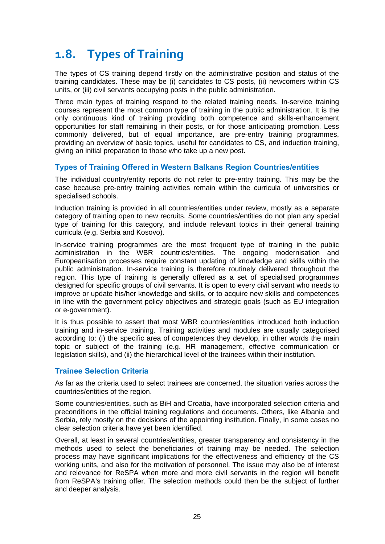### **1.8. Types of Training**

The types of CS training depend firstly on the administrative position and status of the training candidates. These may be (i) candidates to CS posts, (ii) newcomers within CS units, or (iii) civil servants occupying posts in the public administration.

Three main types of training respond to the related training needs. In-service training courses represent the most common type of training in the public administration. It is the only continuous kind of training providing both competence and skills-enhancement opportunities for staff remaining in their posts, or for those anticipating promotion. Less commonly delivered, but of equal importance, are pre-entry training programmes, providing an overview of basic topics, useful for candidates to CS, and induction training, giving an initial preparation to those who take up a new post.

#### **Types of Training Offered in Western Balkans Region Countries/entities**

The individual country/entity reports do not refer to pre-entry training. This may be the case because pre-entry training activities remain within the curricula of universities or specialised schools.

Induction training is provided in all countries/entities under review, mostly as a separate category of training open to new recruits. Some countries/entities do not plan any special type of training for this category, and include relevant topics in their general training curricula (e.g. Serbia and Kosovo).

In-service training programmes are the most frequent type of training in the public administration in the WBR countries/entities. The ongoing modernisation and Europeanisation processes require constant updating of knowledge and skills within the public administration. In-service training is therefore routinely delivered throughout the region. This type of training is generally offered as a set of specialised programmes designed for specific groups of civil servants. It is open to every civil servant who needs to improve or update his/her knowledge and skills, or to acquire new skills and competences in line with the government policy objectives and strategic goals (such as EU integration or e-government).

It is thus possible to assert that most WBR countries/entities introduced both induction training and in-service training. Training activities and modules are usually categorised according to: (i) the specific area of competences they develop, in other words the main topic or subject of the training (e.g. HR management, effective communication or legislation skills), and (ii) the hierarchical level of the trainees within their institution.

#### **Trainee Selection Criteria**

As far as the criteria used to select trainees are concerned, the situation varies across the countries/entities of the region.

Some countries/entities, such as BiH and Croatia, have incorporated selection criteria and preconditions in the official training regulations and documents. Others, like Albania and Serbia, rely mostly on the decisions of the appointing institution. Finally, in some cases no clear selection criteria have yet been identified.

Overall, at least in several countries/entities, greater transparency and consistency in the methods used to select the beneficiaries of training may be needed. The selection process may have significant implications for the effectiveness and efficiency of the CS working units, and also for the motivation of personnel. The issue may also be of interest and relevance for ReSPA when more and more civil servants in the region will benefit from ReSPA's training offer. The selection methods could then be the subject of further and deeper analysis.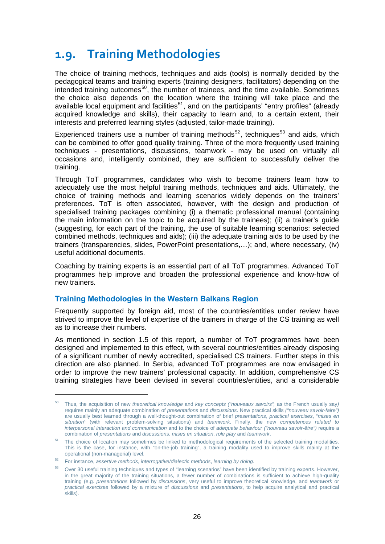### <span id="page-25-0"></span>**1.9. Training Methodologies**

The choice of training methods, techniques and aids (tools) is normally decided by the pedagogical teams and training experts (training designers, facilitators) depending on the intended training outcomes<sup>[50](#page-25-0)</sup>, the number of trainees, and the time available. Sometimes the choice also depends on the location where the training will take place and the available local equipment and facilities<sup>[51](#page-25-0)</sup>, and on the participants' "entry profiles" (already acquired knowledge and skills), their capacity to learn and, to a certain extent, their interests and preferred learning styles (adjusted, tailor-made training).

Experienced trainers use a number of training methods<sup>[52](#page-25-0)</sup>, techniques<sup>[53](#page-25-0)</sup> and aids, which can be combined to offer good quality training. Three of the more frequently used training techniques - presentations, discussions, teamwork - may be used on virtually all occasions and, intelligently combined, they are sufficient to successfully deliver the training.

Through ToT programmes, candidates who wish to become trainers learn how to adequately use the most helpful training methods, techniques and aids. Ultimately, the choice of training methods and learning scenarios widely depends on the trainers' preferences. ToT is often associated, however, with the design and production of specialised training packages combining (i) a thematic professional manual (containing the main information on the topic to be acquired by the trainees); (ii) a trainer's guide (suggesting, for each part of the training, the use of suitable learning scenarios: selected combined methods, techniques and aids); (iii) the adequate training aids to be used by the trainers (transparencies, slides, PowerPoint presentations,…); and, where necessary, (iv) useful additional documents.

Coaching by training experts is an essential part of all ToT programmes. Advanced ToT programmes help improve and broaden the professional experience and know-how of new trainers.

#### **Training Methodologies in the Western Balkans Region**

Frequently supported by foreign aid, most of the countries/entities under review have strived to improve the level of expertise of the trainers in charge of the CS training as well as to increase their numbers.

As mentioned in section 1.5 of this report, a number of ToT programmes have been designed and implemented to this effect, with several countries/entities already disposing of a significant number of newly accredited, specialised CS trainers. Further steps in this direction are also planned. In Serbia, advanced ToT programmes are now envisaged in order to improve the new trainers' professional capacity. In addition, comprehensive CS training strategies have been devised in several countries/entities, and a considerable

 $\overline{a}$ 

<sup>50</sup> Thus, the acquisition of new *theoretical knowledge* and *key concepts ("nouveaux savoirs",* as the French usually say*)* requires mainly an adequate combination of *presentations* and *discussions*. New practical skills *("nouveau savoir-faire")* are usually best learned through a well-thought-out combination of brief *presentations*, *practical exercises*, "*mises en situation*" (with relevant problem-solving situations) and *teamwork*. Finally, the new *competences related to interpersonal interaction and communication* and to the choice of *adequate behaviour ("nouveau savoir-être")* require a combination of *presentations* and *discussions*, *mises en situation*, *role play* and *teamwork*.

<sup>&</sup>lt;sup>51</sup> The choice of location may sometimes be linked to methodological requirements of the selected training modalities. This is the case, for instance, with "on-the-job training", a training modality used to improve skills mainly at the operational (non-managerial) level.

<sup>52</sup> For instance, *assertive methods*, *interrogative/dialectic methods*, *learning by doing.*

<sup>53</sup> Over 30 useful training techniques and types of "learning scenarios" have been identified by training experts. However, in the great majority of the training situations, a fewer number of combinations is sufficient to achieve high-quality training (e.g. *presentations* followed by *discussions*, very useful to improve theoretical knowledge, and *teamwork* or *practical exercises* followed by a mixture of *discussions* and *presentations*, to help acquire analytical and practical skills).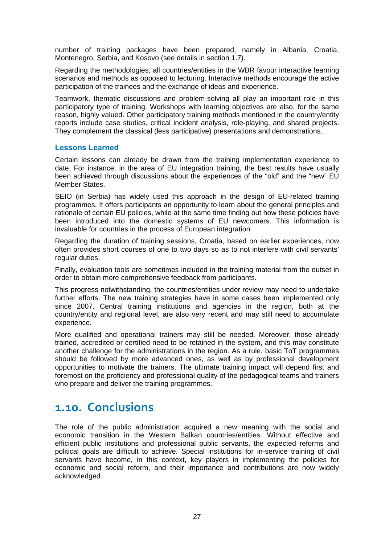number of training packages have been prepared, namely in Albania, Croatia, Montenegro, Serbia, and Kosovo (see details in section 1.7).

Regarding the methodologies, all countries/entities in the WBR favour interactive learning scenarios and methods as opposed to lecturing. Interactive methods encourage the active participation of the trainees and the exchange of ideas and experience.

Teamwork, thematic discussions and problem-solving all play an important role in this participatory type of training. Workshops with learning objectives are also, for the same reason, highly valued. Other participatory training methods mentioned in the country/entity reports include case studies, critical incident analysis, role-playing, and shared projects. They complement the classical (less participative) presentations and demonstrations.

#### **Lessons Learned**

Certain lessons can already be drawn from the training implementation experience to date. For instance, in the area of EU integration training, the best results have usually been achieved through discussions about the experiences of the "old" and the "new" EU Member States.

SEIO (in Serbia) has widely used this approach in the design of EU-related training programmes. It offers participants an opportunity to learn about the general principles and rationale of certain EU policies, while at the same time finding out how these policies have been introduced into the domestic systems of EU newcomers. This information is invaluable for countries in the process of European integration.

Regarding the duration of training sessions, Croatia, based on earlier experiences, now often provides short courses of one to two days so as to not interfere with civil servants' regular duties.

Finally, evaluation tools are sometimes included in the training material from the outset in order to obtain more comprehensive feedback from participants.

This progress notwithstanding, the countries/entities under review may need to undertake further efforts. The new training strategies have in some cases been implemented only since 2007. Central training institutions and agencies in the region, both at the country/entity and regional level, are also very recent and may still need to accumulate experience.

More qualified and operational trainers may still be needed. Moreover, those already trained, accredited or certified need to be retained in the system, and this may constitute another challenge for the administrations in the region. As a rule, basic ToT programmes should be followed by more advanced ones, as well as by professional development opportunities to motivate the trainers. The ultimate training impact will depend first and foremost on the proficiency and professional quality of the pedagogical teams and trainers who prepare and deliver the training programmes.

### **1.10. Conclusions**

The role of the public administration acquired a new meaning with the social and economic transition in the Western Balkan countries/entities. Without effective and efficient public institutions and professional public servants, the expected reforms and political goals are difficult to achieve. Special institutions for in-service training of civil servants have become, in this context, key players in implementing the policies for economic and social reform, and their importance and contributions are now widely acknowledged.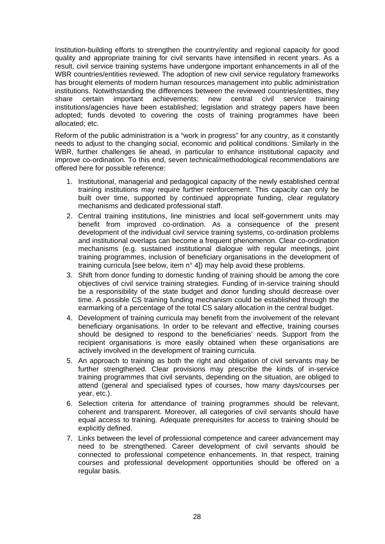Institution-building efforts to strengthen the country/entity and regional capacity for good quality and appropriate training for civil servants have intensified in recent years. As a result, civil service training systems have undergone important enhancements in all of the WBR countries/entities reviewed. The adoption of new civil service regulatory frameworks has brought elements of modern human resources management into public administration institutions. Notwithstanding the differences between the reviewed countries/entities, they share certain important achievements: new central civil service training institutions/agencies have been established; legislation and strategy papers have been adopted; funds devoted to covering the costs of training programmes have been allocated; etc.

Reform of the public administration is a "work in progress" for any country, as it constantly needs to adjust to the changing social, economic and political conditions. Similarly in the WBR, further challenges lie ahead, in particular to enhance institutional capacity and improve co-ordination. To this end, seven technical/methodological recommendations are offered here for possible reference:

- 1. Institutional, managerial and pedagogical capacity of the newly established central training institutions may require further reinforcement. This capacity can only be built over time, supported by continued appropriate funding, clear regulatory mechanisms and dedicated professional staff.
- 2. Central training institutions, line ministries and local self-government units may benefit from improved co-ordination. As a consequence of the present development of the individual civil service training systems, co-ordination problems and institutional overlaps can become a frequent phenomenon. Clear co-ordination mechanisms (e.g. sustained institutional dialogue with regular meetings, joint training programmes, inclusion of beneficiary organisations in the development of training curricula [see below, item n° 4]) may help avoid these problems.
- 3. Shift from donor funding to domestic funding of training should be among the core objectives of civil service training strategies. Funding of in-service training should be a responsibility of the state budget and donor funding should decrease over time. A possible CS training funding mechanism could be established through the earmarking of a percentage of the total CS salary allocation in the central budget.
- 4. Development of training curricula may benefit from the involvement of the relevant beneficiary organisations. In order to be relevant and effective, training courses should be designed to respond to the beneficiaries' needs. Support from the recipient organisations is more easily obtained when these organisations are actively involved in the development of training curricula.
- 5. An approach to training as both the right and obligation of civil servants may be further strengthened. Clear provisions may prescribe the kinds of in-service training programmes that civil servants, depending on the situation, are obliged to attend (general and specialised types of courses, how many days/courses per year, etc.).
- 6. Selection criteria for attendance of training programmes should be relevant, coherent and transparent. Moreover, all categories of civil servants should have equal access to training. Adequate prerequisites for access to training should be explicitly defined.
- 7. Links between the level of professional competence and career advancement may need to be strengthened. Career development of civil servants should be connected to professional competence enhancements. In that respect, training courses and professional development opportunities should be offered on a regular basis.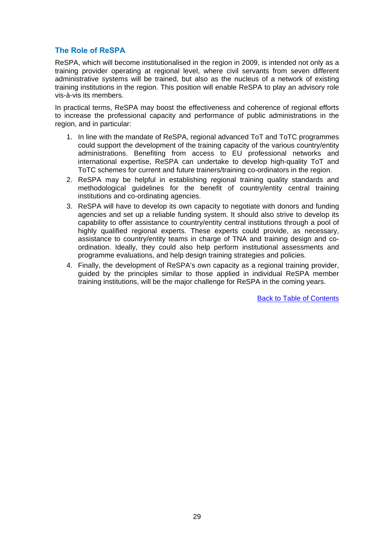#### **The Role of ReSPA**

ReSPA, which will become institutionalised in the region in 2009, is intended not only as a training provider operating at regional level, where civil servants from seven different administrative systems will be trained, but also as the nucleus of a network of existing training institutions in the region. This position will enable ReSPA to play an advisory role vis-à-vis its members.

In practical terms, ReSPA may boost the effectiveness and coherence of regional efforts to increase the professional capacity and performance of public administrations in the region, and in particular:

- 1. In line with the mandate of ReSPA, regional advanced ToT and ToTC programmes could support the development of the training capacity of the various country/entity administrations. Benefiting from access to EU professional networks and international expertise, ReSPA can undertake to develop high-quality ToT and ToTC schemes for current and future trainers/training co-ordinators in the region.
- 2. ReSPA may be helpful in establishing regional training quality standards and methodological guidelines for the benefit of country/entity central training institutions and co-ordinating agencies.
- 3. ReSPA will have to develop its own capacity to negotiate with donors and funding agencies and set up a reliable funding system. It should also strive to develop its capability to offer assistance to country/entity central institutions through a pool of highly qualified regional experts. These experts could provide, as necessary, assistance to country/entity teams in charge of TNA and training design and coordination. Ideally, they could also help perform institutional assessments and programme evaluations, and help design training strategies and policies.
- 4. Finally, the development of ReSPA's own capacity as a regional training provider, guided by the principles similar to those applied in individual ReSPA member training institutions, will be the major challenge for ReSPA in the coming years.

[Back to Table of Contents](#page-1-0)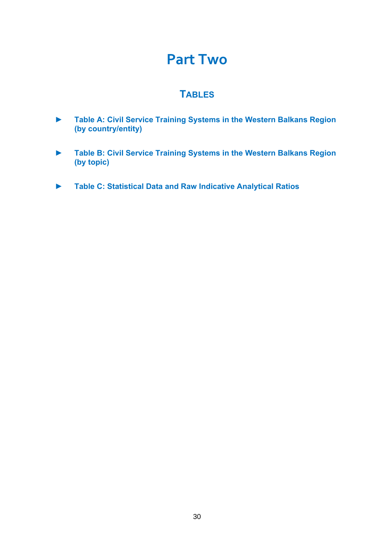### **Part Two**

### **TABLES**

- <span id="page-29-0"></span>**► Table A: Civil Service Training Systems in the Western Balkans Region (by country/entity)**
- **► Table B: Civil Service Training Systems in the Western Balkans Region (by topic)**
- **► Table C: Statistical Data and Raw Indicative Analytical Ratios**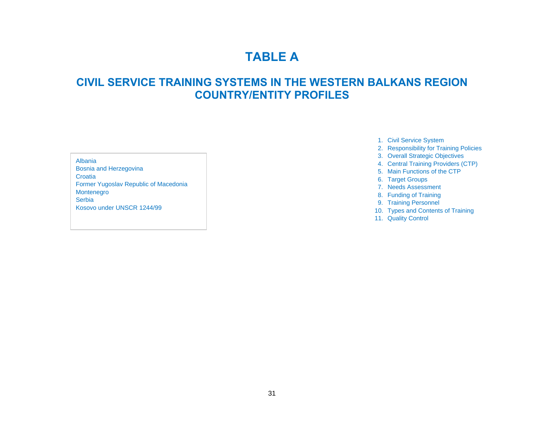### **TABLE A**

### **CIVIL SERVICE TRAINING SYSTEMS IN THE WESTERN BALKANS REGION COUNTRY/ENTITY PROFILES**

<span id="page-30-0"></span>Bosnia and Herzegovina Croatia Former Yugoslav Republic of Macedonia Montenegro Serbia Kosovo under UNSCR 1244/99

- 1. Civil Service System
- 2. Responsibility for Training Policies
- 3. Overall Strategic Objectives Albania
	- 4. Central Training Providers (CTP)
	- 5. Main Functions of the CTP
	- 6. Target Groups
	- 7. Needs Assessment
	- 8. Funding of Training
	- 9. Training Personnel
	- 10. Types and Contents of Training
	- 11. Quality Control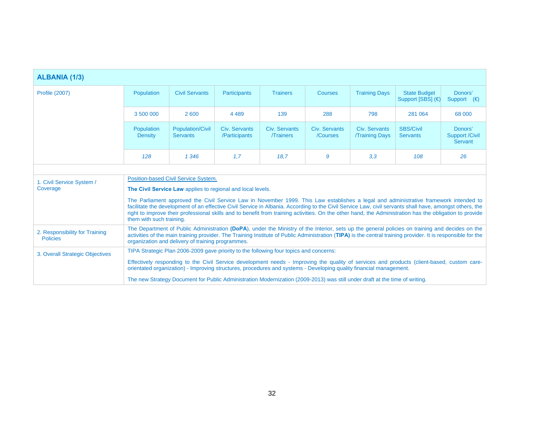| <b>ALBANIA (1/3)</b>                              |                                                                                                                                                                                                                                                                                                                                                                      |                                                                                                                             |                                |                                  |                           |                                       |                                                                                                                                                                                                                                                                                                                                                                                                                                                             |                                             |
|---------------------------------------------------|----------------------------------------------------------------------------------------------------------------------------------------------------------------------------------------------------------------------------------------------------------------------------------------------------------------------------------------------------------------------|-----------------------------------------------------------------------------------------------------------------------------|--------------------------------|----------------------------------|---------------------------|---------------------------------------|-------------------------------------------------------------------------------------------------------------------------------------------------------------------------------------------------------------------------------------------------------------------------------------------------------------------------------------------------------------------------------------------------------------------------------------------------------------|---------------------------------------------|
| <b>Profile (2007)</b>                             | Population                                                                                                                                                                                                                                                                                                                                                           | <b>Civil Servants</b>                                                                                                       | <b>Participants</b>            | <b>Trainers</b>                  | Courses                   | <b>Training Days</b>                  | <b>State Budget</b><br>Support [SBS] (€)                                                                                                                                                                                                                                                                                                                                                                                                                    | Donors'<br>Support $(\epsilon)$             |
|                                                   | 3 500 000                                                                                                                                                                                                                                                                                                                                                            | 2 600                                                                                                                       | 4 4 8 9                        | 139                              | 288                       | 798                                   | 281 064                                                                                                                                                                                                                                                                                                                                                                                                                                                     | 68 000                                      |
|                                                   | Population<br><b>Density</b>                                                                                                                                                                                                                                                                                                                                         | <b>Population/Civil</b><br><b>Servants</b>                                                                                  | Civ. Servants<br>/Participants | Civ. Servants<br><b>Trainers</b> | Civ. Servants<br>/Courses | Civ. Servants<br><b>Training Days</b> | <b>SBS/Civil</b><br><b>Servants</b>                                                                                                                                                                                                                                                                                                                                                                                                                         | Donors'<br><b>Support /Civil</b><br>Servant |
|                                                   | 128                                                                                                                                                                                                                                                                                                                                                                  | 1 346                                                                                                                       | 1,7                            | 18.7                             | 9                         | 3,3                                   | 108                                                                                                                                                                                                                                                                                                                                                                                                                                                         | 26                                          |
|                                                   |                                                                                                                                                                                                                                                                                                                                                                      |                                                                                                                             |                                |                                  |                           |                                       |                                                                                                                                                                                                                                                                                                                                                                                                                                                             |                                             |
| 1. Civil Service System /                         | Position-based Civil Service System.<br>The Civil Service Law applies to regional and local levels.                                                                                                                                                                                                                                                                  |                                                                                                                             |                                |                                  |                           |                                       |                                                                                                                                                                                                                                                                                                                                                                                                                                                             |                                             |
| Coverage                                          |                                                                                                                                                                                                                                                                                                                                                                      |                                                                                                                             |                                |                                  |                           |                                       |                                                                                                                                                                                                                                                                                                                                                                                                                                                             |                                             |
|                                                   | them with such training.                                                                                                                                                                                                                                                                                                                                             |                                                                                                                             |                                |                                  |                           |                                       | The Parliament approved the Civil Service Law in November 1999. This Law establishes a legal and administrative framework intended to<br>facilitate the development of an effective Civil Service in Albania. According to the Civil Service Law, civil servants shall have, amongst others, the<br>right to improve their professional skills and to benefit from training activities. On the other hand, the Administration has the obligation to provide |                                             |
| 2. Responsibility for Training<br><b>Policies</b> | The Department of Public Administration (DoPA), under the Ministry of the Interior, sets up the general policies on training and decides on the<br>activities of the main training provider. The Training Institute of Public Administration (TIPA) is the central training provider. It is responsible for the<br>organization and delivery of training programmes. |                                                                                                                             |                                |                                  |                           |                                       |                                                                                                                                                                                                                                                                                                                                                                                                                                                             |                                             |
| 3. Overall Strategic Objectives                   |                                                                                                                                                                                                                                                                                                                                                                      | TIPA Strategic Plan 2006-2009 gave priority to the following four topics and concerns:                                      |                                |                                  |                           |                                       |                                                                                                                                                                                                                                                                                                                                                                                                                                                             |                                             |
|                                                   |                                                                                                                                                                                                                                                                                                                                                                      | orientated organization) - Improving structures, procedures and systems - Developing quality financial management.          |                                |                                  |                           |                                       | Effectively responding to the Civil Service development needs - Improving the quality of services and products (client-based, custom care-                                                                                                                                                                                                                                                                                                                  |                                             |
|                                                   |                                                                                                                                                                                                                                                                                                                                                                      | The new Strategy Document for Public Administration Modernization (2009-2013) was still under draft at the time of writing. |                                |                                  |                           |                                       |                                                                                                                                                                                                                                                                                                                                                                                                                                                             |                                             |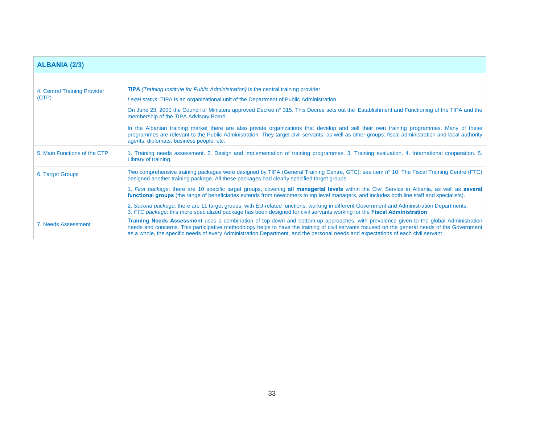| <b>ALBANIA (2/3)</b>         |                                                                                                                                                                                                                                                                                                                                                                                                                              |
|------------------------------|------------------------------------------------------------------------------------------------------------------------------------------------------------------------------------------------------------------------------------------------------------------------------------------------------------------------------------------------------------------------------------------------------------------------------|
|                              |                                                                                                                                                                                                                                                                                                                                                                                                                              |
| 4. Central Training Provider | <b>TIPA</b> (Training Institute for Public Administration) is the central training provider.                                                                                                                                                                                                                                                                                                                                 |
| (CTP)                        | Legal status: TIPA is an organizational unit of the Department of Public Administration.                                                                                                                                                                                                                                                                                                                                     |
|                              | On June 23, 2000 the Council of Ministers approved Decree n° 315. This Decree sets out the 'Establishment and Functioning of the TIPA and the<br>membership of the TIPA Advisory Board.                                                                                                                                                                                                                                      |
|                              | In the Albanian training market there are also private organizations that develop and sell their own training programmes. Many of these<br>programmes are relevant to the Public Administration. They target civil servants, as well as other groups: fiscal administration and local authority<br>agents, diplomats, business people, etc.                                                                                  |
| 5. Main Functions of the CTP | 1. Training needs assessment. 2. Design and implementation of training programmes. 3. Training evaluation. 4. International cooperation. 5.<br>Library of training.                                                                                                                                                                                                                                                          |
| 6. Target Groups             | Two comprehensive training packages were designed by TIPA (General Training Centre, GTC): see item n° 10. The Fiscal Training Centre (FTC)<br>designed another training package. All these packages had clearly specified target groups.                                                                                                                                                                                     |
|                              | 1. First package: there are 10 specific target groups, covering all managerial levels within the Civil Service in Albania, as well as several<br>functional groups (the range of beneficiaries extends from newcomers to top level managers, and includes both line staff and specialists).                                                                                                                                  |
|                              | 2. Second package: there are 11 target groups, with EU-related functions, working in different Government and Administration Departments.<br>3. FTC package: this more specialized package has been designed for civil servants working for the Fiscal Administration.                                                                                                                                                       |
| 7. Needs Assessment          | Training Needs Assessment uses a combination of top-down and bottom-up approaches, with prevalence given to the global Administration<br>needs and concerns. This participative methodology helps to have the training of civil servants focused on the general needs of the Government<br>as a whole, the specific needs of every Administration Department, and the personal needs and expectations of each civil servant. |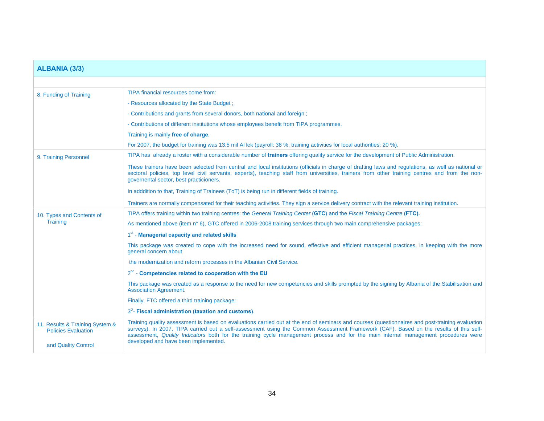| <b>ALBANIA (3/3)</b>                                          |                                                                                                                                                                                                                                                                                                                                                                                                                                |
|---------------------------------------------------------------|--------------------------------------------------------------------------------------------------------------------------------------------------------------------------------------------------------------------------------------------------------------------------------------------------------------------------------------------------------------------------------------------------------------------------------|
|                                                               |                                                                                                                                                                                                                                                                                                                                                                                                                                |
| 8. Funding of Training                                        | TIPA financial resources come from:                                                                                                                                                                                                                                                                                                                                                                                            |
|                                                               | - Resources allocated by the State Budget;                                                                                                                                                                                                                                                                                                                                                                                     |
|                                                               | - Contributions and grants from several donors, both national and foreign;                                                                                                                                                                                                                                                                                                                                                     |
|                                                               | - Contributions of different institutions whose employees benefit from TIPA programmes.                                                                                                                                                                                                                                                                                                                                        |
|                                                               | Training is mainly free of charge.                                                                                                                                                                                                                                                                                                                                                                                             |
|                                                               | For 2007, the budget for training was 13.5 mil Al lek (payroll: 38 %, training activities for local authorities: 20 %).                                                                                                                                                                                                                                                                                                        |
| 9. Training Personnel                                         | TIPA has already a roster with a considerable number of trainers offering quality service for the development of Public Administration.                                                                                                                                                                                                                                                                                        |
|                                                               | These trainers have been selected from central and local institutions (officials in charge of drafting laws and regulations, as well as national or<br>sectoral policies, top level civil servants, experts), teaching staff from universities, trainers from other training centres and from the non-<br>governental sector, best practicioners.                                                                              |
|                                                               | In adddition to that, Training of Trainees (ToT) is being run in different fields of training.                                                                                                                                                                                                                                                                                                                                 |
|                                                               | Trainers are normally compensated for their teaching activities. They sign a service delivery contract with the relevant training institution.                                                                                                                                                                                                                                                                                 |
| 10. Types and Contents of                                     | TIPA offers training within two training centres: the General Training Center (GTC) and the Fiscal Training Centre (FTC).                                                                                                                                                                                                                                                                                                      |
| Training                                                      | As mentioned above (item n° 6), GTC offered in 2006-2008 training services through two main comprehensive packages:                                                                                                                                                                                                                                                                                                            |
|                                                               | 1st - Managerial capacity and related skills                                                                                                                                                                                                                                                                                                                                                                                   |
|                                                               | This package was created to cope with the increased need for sound, effective and efficient managerial practices, in keeping with the more<br>general concern about                                                                                                                                                                                                                                                            |
|                                                               | the modernization and reform processes in the Albanian Civil Service.                                                                                                                                                                                                                                                                                                                                                          |
|                                                               | 2 <sup>nd</sup> - Competencies related to cooperation with the EU                                                                                                                                                                                                                                                                                                                                                              |
|                                                               | This package was created as a response to the need for new competencies and skills prompted by the signing by Albania of the Stabilisation and<br><b>Association Agreement.</b>                                                                                                                                                                                                                                                |
|                                                               | Finally, FTC offered a third training package:                                                                                                                                                                                                                                                                                                                                                                                 |
|                                                               | $3^D$ - Fiscal administration (taxation and customs).                                                                                                                                                                                                                                                                                                                                                                          |
| 11. Results & Training System &<br><b>Policies Evaluation</b> | Training quality assessment is based on evaluations carried out at the end of seminars and courses (questionnaires and post-training evaluation<br>surveys). In 2007, TIPA carried out a self-assessment using the Common Assessment Framework (CAF). Based on the results of this self-<br>assessment, Quality Indicators both for the training cycle management process and for the main internal management procedures were |
| and Quality Control                                           | developed and have been implemented.                                                                                                                                                                                                                                                                                                                                                                                           |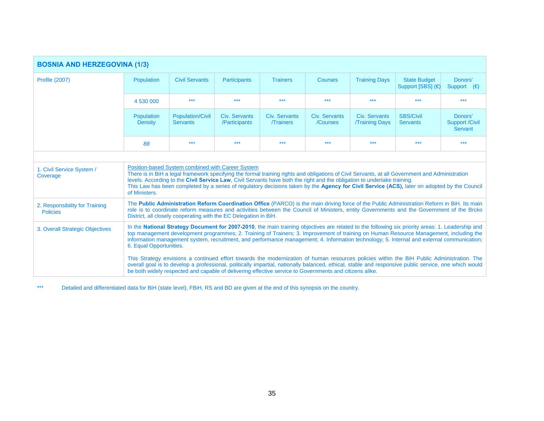| <b>BOSNIA AND HERZEGOVINA (1/3)</b>               |                                                                                                                                                                                                                                                                                                                                                                                                                                                                                                   |                                                                                                         |                                       |                                  |                           |                                        |                                                                                                                                                                                                                                                                                                     |                                             |
|---------------------------------------------------|---------------------------------------------------------------------------------------------------------------------------------------------------------------------------------------------------------------------------------------------------------------------------------------------------------------------------------------------------------------------------------------------------------------------------------------------------------------------------------------------------|---------------------------------------------------------------------------------------------------------|---------------------------------------|----------------------------------|---------------------------|----------------------------------------|-----------------------------------------------------------------------------------------------------------------------------------------------------------------------------------------------------------------------------------------------------------------------------------------------------|---------------------------------------------|
| <b>Profile (2007)</b>                             | Population                                                                                                                                                                                                                                                                                                                                                                                                                                                                                        | <b>Civil Servants</b>                                                                                   | <b>Participants</b>                   | <b>Trainers</b>                  | Courses                   | <b>Training Days</b>                   | <b>State Budget</b><br>Support [SBS] (€)                                                                                                                                                                                                                                                            | Donors'<br>Support $(\epsilon)$             |
|                                                   | 4 530 000                                                                                                                                                                                                                                                                                                                                                                                                                                                                                         | $***$                                                                                                   | $***$                                 | $***$                            | $***$                     | $***$                                  | $***$                                                                                                                                                                                                                                                                                               | $***$                                       |
|                                                   | Population<br><b>Density</b>                                                                                                                                                                                                                                                                                                                                                                                                                                                                      | <b>Population/Civil</b><br><b>Servants</b>                                                              | <b>Civ. Servants</b><br>/Participants | Civ. Servants<br><b>Trainers</b> | Civ. Servants<br>/Courses | Civ. Servants<br><b>/Training Days</b> | <b>SBS/Civil</b><br><b>Servants</b>                                                                                                                                                                                                                                                                 | Donors'<br><b>Support /Civil</b><br>Servant |
|                                                   | 88                                                                                                                                                                                                                                                                                                                                                                                                                                                                                                | $***$                                                                                                   | ***                                   | $***$                            | $***$                     | $***$                                  | ***                                                                                                                                                                                                                                                                                                 | $***$                                       |
|                                                   |                                                                                                                                                                                                                                                                                                                                                                                                                                                                                                   |                                                                                                         |                                       |                                  |                           |                                        |                                                                                                                                                                                                                                                                                                     |                                             |
| 1. Civil Service System /<br>Coverage             | Position-based System combined with Career System<br>There is in BiH a legal framework specifying the formal training rights and obligations of Civil Servants, at all Government and Administration<br>levels. According to the Civil Service Law, Civil Servants have both the right and the obligation to undertake training.<br>This Law has been completed by a series of regulatory decisions taken by the Agency for Civil Service (ACS), later on adopted by the Council<br>of Ministers. |                                                                                                         |                                       |                                  |                           |                                        |                                                                                                                                                                                                                                                                                                     |                                             |
| 2. Responsibility for Training<br><b>Policies</b> | The Public Administration Reform Coordination Office (PARCO) is the main driving force of the Public Administration Reform in BiH. Its main<br>role is to coordinate reform measures and activities between the Council of Ministers, entity Governments and the Government of the Brcko<br>District, all closely cooperating with the EC Delegation in BiH.                                                                                                                                      |                                                                                                         |                                       |                                  |                           |                                        |                                                                                                                                                                                                                                                                                                     |                                             |
| 3. Overall Strategic Objectives                   | In the National Strategy Document for 2007-2010, the main training objectives are related to the following six priority areas: 1. Leadership and<br>top management development programmes; 2. Training of Trainers; 3. Improvement of training on Human Resource Management, including the<br>information management system, recruitment, and performance management; 4. Information technology; 5. Internal and external communication;<br>6. Equal Opportunities.                               |                                                                                                         |                                       |                                  |                           |                                        |                                                                                                                                                                                                                                                                                                     |                                             |
|                                                   |                                                                                                                                                                                                                                                                                                                                                                                                                                                                                                   | be both widely respected and capable of delivering effective service to Governments and citizens alike. |                                       |                                  |                           |                                        | This Strategy envisions a continued effort towards the modernization of human resources policies within the BiH Public Administration. The<br>overall goal is to develop a professional, politically impartial, nationally balanced, ethical, stable and responsive public service, one which would |                                             |

\*\*\* Detailed and differentiated data for BiH (state level), FBiH, RS and BD are given at the end of this synopsis on the country.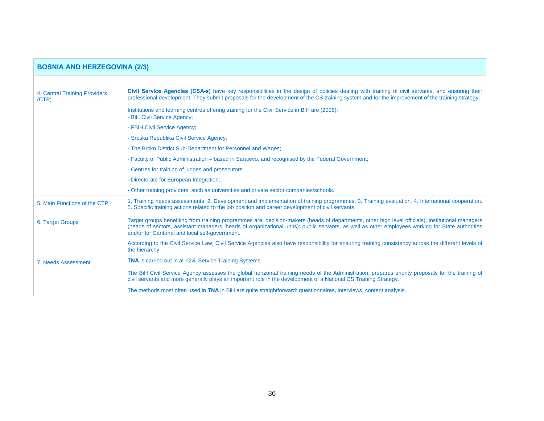| <b>BOSNIA AND HERZEGOVINA (2/3)</b>    |                                                                                                                                                                                                                                                                                                                                                         |  |  |  |  |  |
|----------------------------------------|---------------------------------------------------------------------------------------------------------------------------------------------------------------------------------------------------------------------------------------------------------------------------------------------------------------------------------------------------------|--|--|--|--|--|
|                                        |                                                                                                                                                                                                                                                                                                                                                         |  |  |  |  |  |
| 4. Central Training Providers<br>(CTP) | Civil Service Agencies (CSA-s) have key responsibilities in the design of policies dealing with training of civil servants, and ensuring their<br>professional development. They submit proposals for the development of the CS training system and for the improvement of the training strategy.                                                       |  |  |  |  |  |
|                                        | Institutions and learning centres offering training for the Civil Service in BiH are (2008):<br>- BiH Civil Service Agency;                                                                                                                                                                                                                             |  |  |  |  |  |
|                                        | - FBiH Civil Service Agency;                                                                                                                                                                                                                                                                                                                            |  |  |  |  |  |
|                                        | - Srpska Republika Civil Service Agency;                                                                                                                                                                                                                                                                                                                |  |  |  |  |  |
|                                        | - The Brcko District Sub-Department for Personnel and Wages;                                                                                                                                                                                                                                                                                            |  |  |  |  |  |
|                                        | - Faculty of Public Administration – based in Sarajevo, and recognised by the Federal Government;                                                                                                                                                                                                                                                       |  |  |  |  |  |
|                                        | - Centres for training of judges and prosecutors;                                                                                                                                                                                                                                                                                                       |  |  |  |  |  |
|                                        | - Directorate for European Integration;                                                                                                                                                                                                                                                                                                                 |  |  |  |  |  |
|                                        | - Other training providers, such as universities and private sector companies/schools.                                                                                                                                                                                                                                                                  |  |  |  |  |  |
| 5. Main Functions of the CTP           | 1. Training needs assessments. 2. Development and implementation of training programmes. 3. Training evaluation. 4. International cooperation.<br>5. Specific training actions related to the job position and career development of civil servants.                                                                                                    |  |  |  |  |  |
| 6. Target Groups                       | Target groups benefiting from training programmes are: decision-makers (heads of departments, other high level officials); institutional managers<br>(heads of sectors, assistant managers, heads of organizational units); public servants, as well as other employees working for State authorities<br>and/or for Cantonal and local self-government. |  |  |  |  |  |
|                                        | According to the Civil Service Law, Civil Service Agencies also have responsibility for ensuring training consistency across the different levels of<br>the hierarchy.                                                                                                                                                                                  |  |  |  |  |  |
| 7. Needs Assessment                    | <b>TNA</b> is carried out in all Civil Service Training Systems.                                                                                                                                                                                                                                                                                        |  |  |  |  |  |
|                                        | The BiH Civil Service Agency assesses the global horizontal training needs of the Administration, prepares priority proposals for the training of<br>civil servants and more generally plays an important role in the development of a National CS Training Strategy.                                                                                   |  |  |  |  |  |
|                                        | The methods most often used in TNA in BiH are quite straightforward: questionnaires, interviews, content analysis.                                                                                                                                                                                                                                      |  |  |  |  |  |

T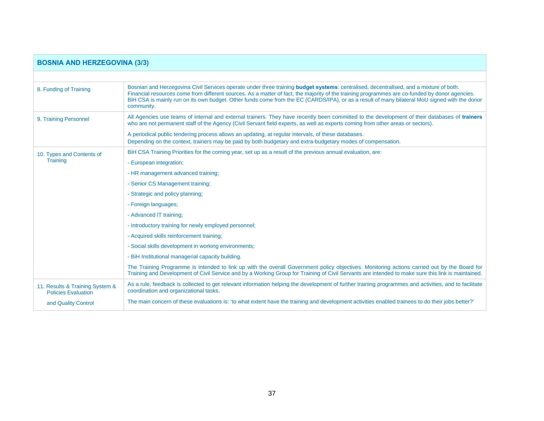| <b>BOSNIA AND HERZEGOVINA (3/3)</b>                           |                                                                                                                                                                                                                                                                                                                                                                                                                                                         |  |  |  |  |  |  |
|---------------------------------------------------------------|---------------------------------------------------------------------------------------------------------------------------------------------------------------------------------------------------------------------------------------------------------------------------------------------------------------------------------------------------------------------------------------------------------------------------------------------------------|--|--|--|--|--|--|
|                                                               |                                                                                                                                                                                                                                                                                                                                                                                                                                                         |  |  |  |  |  |  |
| 8. Funding of Training                                        | Bosnian and Herzegovina Civil Services operate under three training budget systems: centralised, decentralised, and a mixture of both.<br>Financial resources come from different sources. As a matter of fact, the majority of the training programmes are co-funded by donor agencies.<br>BiH CSA is mainly run on its own budget. Other funds come from the EC (CARDS/IPA), or as a result of many bilateral MoU signed with the donor<br>community. |  |  |  |  |  |  |
| 9. Training Personnel                                         | All Agencies use teams of internal and external trainers. They have recently been committed to the development of their databases of trainers<br>who are not permanent staff of the Agency (Civil Servant field experts, as well as experts coming from other areas or sectors).                                                                                                                                                                        |  |  |  |  |  |  |
|                                                               | A periodical public tendering process allows an updating, at regular intervals, of these databases.<br>Depending on the context, trainers may be paid by both budgetary and extra-budgetary modes of compensation.                                                                                                                                                                                                                                      |  |  |  |  |  |  |
| 10. Types and Contents of                                     | BiH CSA Training Priorities for the coming year, set up as a result of the previous annual evaluation, are:                                                                                                                                                                                                                                                                                                                                             |  |  |  |  |  |  |
| <b>Training</b>                                               | - European integration;                                                                                                                                                                                                                                                                                                                                                                                                                                 |  |  |  |  |  |  |
|                                                               | - HR management advanced training;                                                                                                                                                                                                                                                                                                                                                                                                                      |  |  |  |  |  |  |
|                                                               | - Senior CS Management training;                                                                                                                                                                                                                                                                                                                                                                                                                        |  |  |  |  |  |  |
|                                                               | - Strategic and policy planning;                                                                                                                                                                                                                                                                                                                                                                                                                        |  |  |  |  |  |  |
|                                                               | - Foreign languages;                                                                                                                                                                                                                                                                                                                                                                                                                                    |  |  |  |  |  |  |
|                                                               | - Advanced IT training:                                                                                                                                                                                                                                                                                                                                                                                                                                 |  |  |  |  |  |  |
|                                                               | - Introductory training for newly employed personnel;                                                                                                                                                                                                                                                                                                                                                                                                   |  |  |  |  |  |  |
|                                                               | - Acquired skills reinforcement training;                                                                                                                                                                                                                                                                                                                                                                                                               |  |  |  |  |  |  |
|                                                               | - Social skills development in working environments;                                                                                                                                                                                                                                                                                                                                                                                                    |  |  |  |  |  |  |
|                                                               | - BiH Institutional managerial capacity building.                                                                                                                                                                                                                                                                                                                                                                                                       |  |  |  |  |  |  |
|                                                               | The Training Programme is intended to link up with the overall Government policy objectives. Monitoring actions carried out by the Board for<br>Training and Development of Civil Service and by a Working Group for Training of Civil Servants are intended to make sure this link is maintained.                                                                                                                                                      |  |  |  |  |  |  |
| 11. Results & Training System &<br><b>Policies Evaluation</b> | As a rule, feedback is collected to get relevant information helping the development of further training programmes and activities, and to facilitate<br>coordination and organizational tasks.                                                                                                                                                                                                                                                         |  |  |  |  |  |  |
| and Quality Control                                           | The main concern of these evaluations is: 'to what extent have the training and development activities enabled trainees to do their jobs better?'                                                                                                                                                                                                                                                                                                       |  |  |  |  |  |  |

Г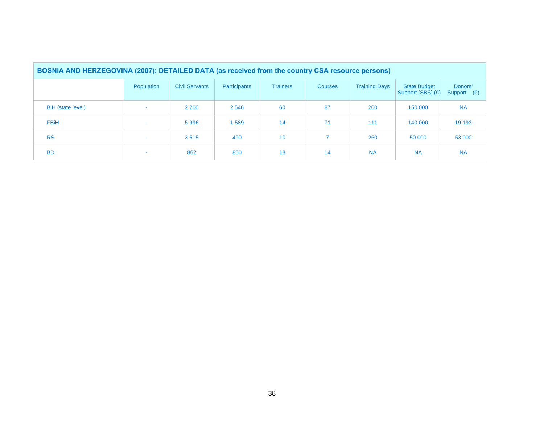| BOSNIA AND HERZEGOVINA (2007): DETAILED DATA (as received from the country CSA resource persons) |            |                       |              |                 |                |                      |                                          |                                 |  |
|--------------------------------------------------------------------------------------------------|------------|-----------------------|--------------|-----------------|----------------|----------------------|------------------------------------------|---------------------------------|--|
|                                                                                                  | Population | <b>Civil Servants</b> | Participants | <b>Trainers</b> | <b>Courses</b> | <b>Training Days</b> | <b>State Budget</b><br>Support [SBS] (€) | Donors'<br>Support $(\epsilon)$ |  |
| BiH (state level)                                                                                |            | 2 2 0 0               | 2 5 4 6      | 60              | 87             | 200                  | 150 000                                  | <b>NA</b>                       |  |
| <b>FBiH</b>                                                                                      | <b>COL</b> | 5996                  | 1589         | 14              | 71             | 111                  | 140 000                                  | 19 19 3                         |  |
| <b>RS</b>                                                                                        |            | 3515                  | 490          | 10              |                | 260                  | 50 000                                   | 53 000                          |  |
| <b>BD</b>                                                                                        |            | 862                   | 850          | 18              | 14             | <b>NA</b>            | <b>NA</b>                                | <b>NA</b>                       |  |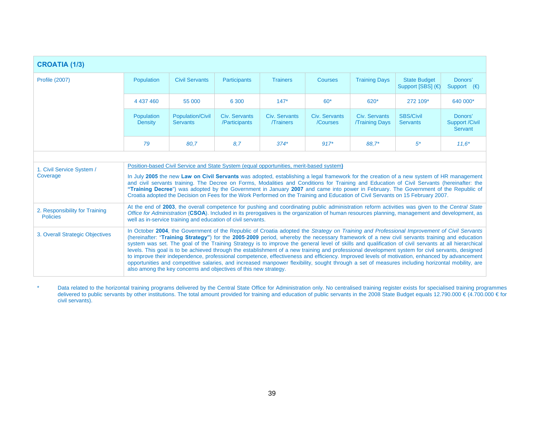| <b>CROATIA (1/3)</b>                              |                                                                                                                                                                                                                                                                                                                                                                                                                                                                                                                                                                                                                                                                                                                                                                                                                                                                                                                                                                             |                                            |                                |                                  |                           |                                        |                                          |                                             |
|---------------------------------------------------|-----------------------------------------------------------------------------------------------------------------------------------------------------------------------------------------------------------------------------------------------------------------------------------------------------------------------------------------------------------------------------------------------------------------------------------------------------------------------------------------------------------------------------------------------------------------------------------------------------------------------------------------------------------------------------------------------------------------------------------------------------------------------------------------------------------------------------------------------------------------------------------------------------------------------------------------------------------------------------|--------------------------------------------|--------------------------------|----------------------------------|---------------------------|----------------------------------------|------------------------------------------|---------------------------------------------|
| <b>Profile (2007)</b>                             | Population                                                                                                                                                                                                                                                                                                                                                                                                                                                                                                                                                                                                                                                                                                                                                                                                                                                                                                                                                                  | <b>Civil Servants</b>                      | <b>Participants</b>            | <b>Trainers</b>                  | Courses                   | <b>Training Days</b>                   | <b>State Budget</b><br>Support [SBS] (€) | Donors'<br>Support $(\epsilon)$             |
|                                                   | 4 437 460                                                                                                                                                                                                                                                                                                                                                                                                                                                                                                                                                                                                                                                                                                                                                                                                                                                                                                                                                                   | 55 000                                     | 6 300                          | $147*$                           | $60*$                     | 620*                                   | 272 109*                                 | 640 000*                                    |
|                                                   | Population<br><b>Density</b>                                                                                                                                                                                                                                                                                                                                                                                                                                                                                                                                                                                                                                                                                                                                                                                                                                                                                                                                                | <b>Population/Civil</b><br><b>Servants</b> | Civ. Servants<br>/Participants | Civ. Servants<br><b>Trainers</b> | Civ. Servants<br>/Courses | Civ. Servants<br><b>/Training Days</b> | <b>SBS/Civil</b><br><b>Servants</b>      | Donors'<br><b>Support /Civil</b><br>Servant |
|                                                   | 79                                                                                                                                                                                                                                                                                                                                                                                                                                                                                                                                                                                                                                                                                                                                                                                                                                                                                                                                                                          | 80.7                                       | 8.7                            | $374*$                           | $917*$                    | 88.7*                                  | $5^*$                                    | $11.6*$                                     |
|                                                   |                                                                                                                                                                                                                                                                                                                                                                                                                                                                                                                                                                                                                                                                                                                                                                                                                                                                                                                                                                             |                                            |                                |                                  |                           |                                        |                                          |                                             |
| 1. Civil Service System /<br>Coverage             | Position-based Civil Service and State System (equal opportunities, merit-based system)<br>In July 2005 the new Law on Civil Servants was adopted, establishing a legal framework for the creation of a new system of HR management<br>and civil servants training. The Decree on Forms, Modalities and Conditions for Training and Education of Civil Servants (hereinafter: the<br>"Training Decree") was adopted by the Government in January 2007 and came into power in February. The Government of the Republic of<br>Croatia adopted the Decision on Fees for the Work Performed on the Training and Education of Civil Servants on 15 February 2007.                                                                                                                                                                                                                                                                                                                |                                            |                                |                                  |                           |                                        |                                          |                                             |
| 2. Responsibility for Training<br><b>Policies</b> | At the end of 2003, the overall competence for pushing and coordinating public administration reform activities was given to the Central State<br>Office for Administration (CSOA). Included in its prerogatives is the organization of human resources planning, management and development, as<br>well as in-service training and education of civil servants.                                                                                                                                                                                                                                                                                                                                                                                                                                                                                                                                                                                                            |                                            |                                |                                  |                           |                                        |                                          |                                             |
| 3. Overall Strategic Objectives                   | In October 2004, the Government of the Republic of Croatia adopted the Strategy on Training and Professional Improvement of Civil Servants<br>(hereinafter: "Training Strategy") for the 2005-2009 period, whereby the necessary framework of a new civil servants training and education<br>system was set. The goal of the Training Strategy is to improve the general level of skills and qualification of civil servants at all hierarchical<br>levels. This goal is to be achieved through the establishment of a new training and professional development system for civil servants, designed<br>to improve their independence, professional competence, effectiveness and efficiency. Improved levels of motivation, enhanced by advancement<br>opportunities and competitive salaries, and increased manpower flexibility, sought through a set of measures including horizontal mobility, are<br>also among the key concerns and objectives of this new strategy. |                                            |                                |                                  |                           |                                        |                                          |                                             |

\* Data related to the horizontal training programs delivered by the Central State Office for Administration only. No centralised training register exists for specialised training programmes delivered to public servants by other institutions. The total amount provided for training and education of public servants in the 2008 State Budget equals 12.790.000 € (4.700.000 € for civil servants).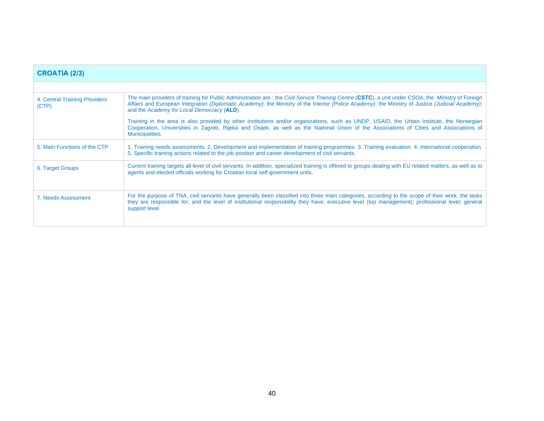| <b>CROATIA (2/3)</b>                   |                                                                                                                                                                                                                                                                                                                                                       |
|----------------------------------------|-------------------------------------------------------------------------------------------------------------------------------------------------------------------------------------------------------------------------------------------------------------------------------------------------------------------------------------------------------|
|                                        |                                                                                                                                                                                                                                                                                                                                                       |
| 4. Central Training Providers<br>(CTP) | The main providers of training for Public Administration are: the Civil Service Training Centre (CSTC), a unit under CSOA; the Ministry of Foreign<br>Affairs and European Integration (Diplomatic Academy); the Ministry of the Interior (Police Academy); the Ministry of Justice (Judicial Academy);<br>and the Academy for Local Democracy (ALD). |
|                                        | Training in the area is also provided by other institutions and/or organizations, such as UNDP, USAID, the Urban Institute, the Norwegian<br>Cooperation, Universities in Zagreb, Rijeka and Osijek, as well as the National Union of the Associations of Cities and Associations of<br>Municipalities.                                               |
| 5. Main Functions of the CTP           | 1. Training needs assessments. 2. Development and implementation of training programmes. 3. Training evaluation. 4. International cooperation.<br>5. Specific training actions related to the job position and career development of civil servants.                                                                                                  |
| 6. Target Groups                       | Current training targets all level of civil servants. In addition, specialized training is offered to groups dealing with EU related matters, as well as to<br>agents and elected officials working for Croatian local self-government units.                                                                                                         |
| 7. Needs Assessment                    | For the purpose of TNA, civil servants have generally been classified into three main categories, according to the scope of their work, the tasks<br>they are responsible for, and the level of institutional responsibility they have: executive level (top management); professional level; general<br>support level.                               |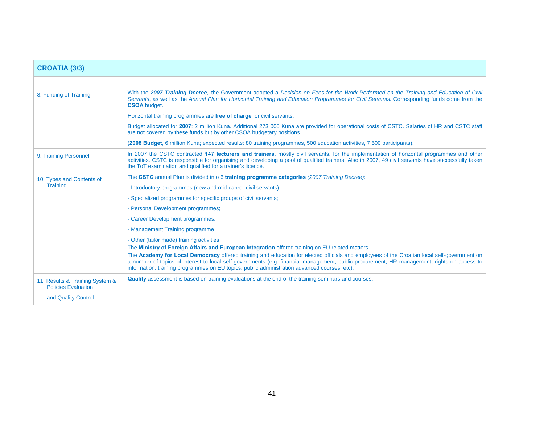| <b>CROATIA (3/3)</b>                                          |                                                                                                                                                                                                                                                                                                                                                                                                                                                                                                                                             |  |  |  |  |  |
|---------------------------------------------------------------|---------------------------------------------------------------------------------------------------------------------------------------------------------------------------------------------------------------------------------------------------------------------------------------------------------------------------------------------------------------------------------------------------------------------------------------------------------------------------------------------------------------------------------------------|--|--|--|--|--|
|                                                               |                                                                                                                                                                                                                                                                                                                                                                                                                                                                                                                                             |  |  |  |  |  |
| 8. Funding of Training                                        | With the 2007 Training Decree, the Government adopted a Decision on Fees for the Work Performed on the Training and Education of Civil<br>Servants, as well as the Annual Plan for Horizontal Training and Education Programmes for Civil Servants. Corresponding funds come from the<br><b>CSOA</b> budget.                                                                                                                                                                                                                                |  |  |  |  |  |
|                                                               | Horizontal training programmes are free of charge for civil servants.                                                                                                                                                                                                                                                                                                                                                                                                                                                                       |  |  |  |  |  |
|                                                               | Budget allocated for 2007: 2 million Kuna. Additional 273 000 Kuna are provided for operational costs of CSTC. Salaries of HR and CSTC staff<br>are not covered by these funds but by other CSOA budgetary positions.                                                                                                                                                                                                                                                                                                                       |  |  |  |  |  |
|                                                               | (2008 Budget, 6 million Kuna; expected results: 80 training programmes, 500 education activities, 7 500 participants).                                                                                                                                                                                                                                                                                                                                                                                                                      |  |  |  |  |  |
| 9. Training Personnel                                         | In 2007 the CSTC contracted 147 lecturers and trainers, mostly civil servants, for the implementation of horizontal programmes and other<br>activities. CSTC is responsible for organising and developing a pool of qualified trainers. Also in 2007, 49 civil servants have successfully taken<br>the ToT examination and qualified for a trainer's licence.                                                                                                                                                                               |  |  |  |  |  |
| 10. Types and Contents of                                     | The CSTC annual Plan is divided into 6 training programme categories (2007 Training Decree):                                                                                                                                                                                                                                                                                                                                                                                                                                                |  |  |  |  |  |
| Training                                                      | - Introductory programmes (new and mid-career civil servants);                                                                                                                                                                                                                                                                                                                                                                                                                                                                              |  |  |  |  |  |
|                                                               | - Specialized programmes for specific groups of civil servants;                                                                                                                                                                                                                                                                                                                                                                                                                                                                             |  |  |  |  |  |
|                                                               | - Personal Development programmes;                                                                                                                                                                                                                                                                                                                                                                                                                                                                                                          |  |  |  |  |  |
|                                                               | - Career Development programmes;                                                                                                                                                                                                                                                                                                                                                                                                                                                                                                            |  |  |  |  |  |
|                                                               | - Management Training programme                                                                                                                                                                                                                                                                                                                                                                                                                                                                                                             |  |  |  |  |  |
|                                                               | - Other (tailor made) training activities<br>The Ministry of Foreign Affairs and European Integration offered training on EU related matters.<br>The Academy for Local Democracy offered training and education for elected officials and employees of the Croatian local self-government on<br>a number of topics of interest to local self-governments (e.g. financial management, public procurement, HR management, rights on access to<br>information, training programmes on EU topics, public administration advanced courses, etc). |  |  |  |  |  |
| 11. Results & Training System &<br><b>Policies Evaluation</b> | <b>Quality</b> assessment is based on training evaluations at the end of the training seminars and courses.                                                                                                                                                                                                                                                                                                                                                                                                                                 |  |  |  |  |  |
| and Quality Control                                           |                                                                                                                                                                                                                                                                                                                                                                                                                                                                                                                                             |  |  |  |  |  |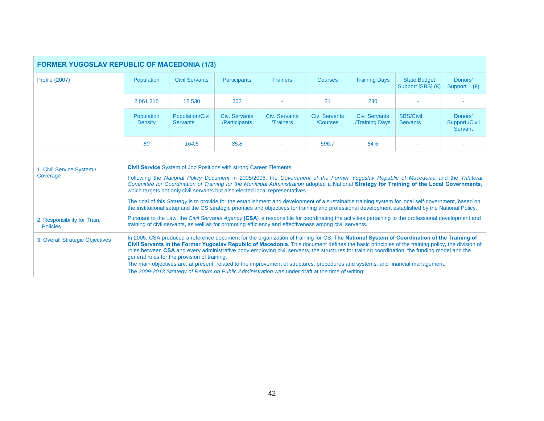| <b>FORMER YUGOSLAV REPUBLIC OF MACEDONIA (1/3)</b> |                                                                                                                                                                                                                                                                                                                                                                                                                                                                                                                                                                                                                                                                                                                                         |                                            |                                |                                  |                           |                                       |                                                                                                                                                                                                                                                                                                            |                                                    |
|----------------------------------------------------|-----------------------------------------------------------------------------------------------------------------------------------------------------------------------------------------------------------------------------------------------------------------------------------------------------------------------------------------------------------------------------------------------------------------------------------------------------------------------------------------------------------------------------------------------------------------------------------------------------------------------------------------------------------------------------------------------------------------------------------------|--------------------------------------------|--------------------------------|----------------------------------|---------------------------|---------------------------------------|------------------------------------------------------------------------------------------------------------------------------------------------------------------------------------------------------------------------------------------------------------------------------------------------------------|----------------------------------------------------|
| <b>Profile (2007)</b>                              | Population                                                                                                                                                                                                                                                                                                                                                                                                                                                                                                                                                                                                                                                                                                                              | <b>Civil Servants</b>                      | <b>Participants</b>            | <b>Trainers</b>                  | <b>Courses</b>            | <b>Training Days</b>                  | <b>State Budget</b><br>Support [SBS] (€)                                                                                                                                                                                                                                                                   | Donors'<br>Support $(\epsilon)$                    |
|                                                    | 2 061 315                                                                                                                                                                                                                                                                                                                                                                                                                                                                                                                                                                                                                                                                                                                               | 12 530                                     | 352                            |                                  | 21                        | 230                                   |                                                                                                                                                                                                                                                                                                            |                                                    |
|                                                    | Population<br><b>Density</b>                                                                                                                                                                                                                                                                                                                                                                                                                                                                                                                                                                                                                                                                                                            | <b>Population/Civil</b><br><b>Servants</b> | Civ. Servants<br>/Participants | Civ. Servants<br><b>Trainers</b> | Civ. Servants<br>/Courses | Civ. Servants<br><b>Training Days</b> | <b>SBS/Civil</b><br><b>Servants</b>                                                                                                                                                                                                                                                                        | Donors'<br><b>Support /Civil</b><br><b>Servant</b> |
|                                                    | 80                                                                                                                                                                                                                                                                                                                                                                                                                                                                                                                                                                                                                                                                                                                                      | 164,5                                      | 35.8                           |                                  | 596.7                     | 54.5                                  |                                                                                                                                                                                                                                                                                                            |                                                    |
|                                                    |                                                                                                                                                                                                                                                                                                                                                                                                                                                                                                                                                                                                                                                                                                                                         |                                            |                                |                                  |                           |                                       |                                                                                                                                                                                                                                                                                                            |                                                    |
| 1. Civil Service System /<br>Coverage              | <b>Civil Service</b> System of Job Positions with strong Career Elements<br>Following the National Policy Document in 2005/2006, the Government of the Former Yugoslav Republic of Macedonia and the Trilateral<br>Committee for Coordination of Training for the Municipal Administration adopted a National Strategy for Training of the Local Governments,<br>which targets not only civil servants but also elected local representatives.                                                                                                                                                                                                                                                                                          |                                            |                                |                                  |                           |                                       |                                                                                                                                                                                                                                                                                                            |                                                    |
|                                                    |                                                                                                                                                                                                                                                                                                                                                                                                                                                                                                                                                                                                                                                                                                                                         |                                            |                                |                                  |                           |                                       | The goal of this Strategy is to provide for the establishment and development of a sustainable training system for local self-government, based on<br>the institutional setup and the CS strategic priorities and objectives for training and professional development established by the National Policy. |                                                    |
| 2. Responsibility for Train.<br><b>Policies</b>    | Pursuant to the Law, the Civil Servants Agency (CSA) is responsible for coordinating the activities pertaining to the professional development and<br>training of civil servants, as well as for promoting efficiency and effectiveness among civil servants.                                                                                                                                                                                                                                                                                                                                                                                                                                                                           |                                            |                                |                                  |                           |                                       |                                                                                                                                                                                                                                                                                                            |                                                    |
| 3. Overall Strategic Objectives                    | In 2005, CSA produced a reference document for the organization of training for CS: The National System of Coordination of the Training of<br>Civil Servants in the Former Yugoslav Republic of Macedonia. This document defines the basic principles of the training policy, the division of<br>roles between CSA and every administrative body employing civil servants, the structures for training coordination, the funding model and the<br>general rules for the provision of training.<br>The main objectives are, at present, related to the improvement of structures, procedures and systems, and financial management.<br>The 2009-2013 Strategy of Reform on Public Administration was under draft at the time of writing. |                                            |                                |                                  |                           |                                       |                                                                                                                                                                                                                                                                                                            |                                                    |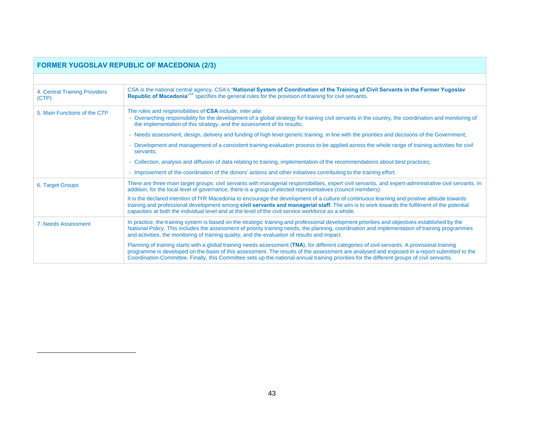<span id="page-42-0"></span>

|                                        | <b>FORMER YUGOSLAV REPUBLIC OF MACEDONIA (2/3)</b>                                                                                                                                                                                                                                                                                                                                                                                          |
|----------------------------------------|---------------------------------------------------------------------------------------------------------------------------------------------------------------------------------------------------------------------------------------------------------------------------------------------------------------------------------------------------------------------------------------------------------------------------------------------|
|                                        |                                                                                                                                                                                                                                                                                                                                                                                                                                             |
| 4. Central Training Providers<br>(CTP) | CSA is the national central agency. CSA's "National System of Coordination of the Training of Civil Servants in the Former Yugoslav<br>Republic of Macedonia <sup>n54</sup> specifies the general rules for the provision of training for civil servants.                                                                                                                                                                                   |
| 5. Main Functions of the CTP           | The roles and responsibilities of CSA include, <i>inter alia</i> :<br>- Overarching responsibility for the development of a global strategy for training civil servants in the country, the coordination and monitoring of<br>the implementation of this strategy, and the assessment of its results;                                                                                                                                       |
|                                        | - Needs assessment, design, delivery and funding of high level generic training, in line with the priorities and decisions of the Government;                                                                                                                                                                                                                                                                                               |
|                                        | Development and management of a consistent training evaluation process to be applied across the whole range of training activities for civil<br>servants;                                                                                                                                                                                                                                                                                   |
|                                        | Collection, analysis and diffusion of data relating to training, implementation of the recommendations about best practices;                                                                                                                                                                                                                                                                                                                |
|                                        | - Improvement of the coordination of the donors' actions and other initiatives contributing to the training effort.                                                                                                                                                                                                                                                                                                                         |
| 6. Target Groups                       | There are three main target groups: civil servants with managerial responsibilities, expert civil servants, and expert-administrative civil servants. In<br>addition, for the local level of governance, there is a group of elected representatives (council members).                                                                                                                                                                     |
|                                        | It is the declared intention of fYR Macedonia to encourage the development of a culture of continuous learning and positive attitude towards<br>training and professional development among civil servants and managerial staff. The aim is to work towards the fulfilment of the potential<br>capacities at both the individual level and at the level of the civil service workforce as a whole.                                          |
| 7. Needs Assessment                    | In practice, the training system is based on the strategic training and professional development priorities and objectives established by the<br>National Policy. This includes the assessment of priority training needs, the planning, coordination and implementation of training programmes<br>and activities, the monitoring of training quality, and the evaluation of results and impact.                                            |
|                                        | Planning of training starts with a global training needs assessment (TNA), for different categories of civil servants. A provisional training<br>programme is developed on the basis of this assessment. The results of the assessment are analysed and exposed in a report submitted to the<br>Coordination Committee. Finally, this Committee sets up the national annual training priorities for the different groups of civil servants. |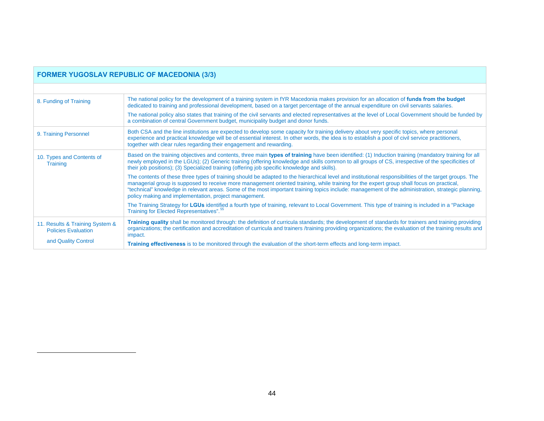<span id="page-43-0"></span>

|                                                               | <b>FORMER YUGOSLAV REPUBLIC OF MACEDONIA (3/3)</b>                                                                                                                                                                                                                                                                                                                                                                                                                                                                |
|---------------------------------------------------------------|-------------------------------------------------------------------------------------------------------------------------------------------------------------------------------------------------------------------------------------------------------------------------------------------------------------------------------------------------------------------------------------------------------------------------------------------------------------------------------------------------------------------|
|                                                               |                                                                                                                                                                                                                                                                                                                                                                                                                                                                                                                   |
| 8. Funding of Training                                        | The national policy for the development of a training system in fYR Macedonia makes provision for an allocation of funds from the budget<br>dedicated to training and professional development, based on a target percentage of the annual expenditure on civil servants salaries.                                                                                                                                                                                                                                |
|                                                               | The national policy also states that training of the civil servants and elected representatives at the level of Local Government should be funded by<br>a combination of central Government budget, municipality budget and donor funds.                                                                                                                                                                                                                                                                          |
| 9. Training Personnel                                         | Both CSA and the line institutions are expected to develop some capacity for training delivery about very specific topics, where personal<br>experience and practical knowledge will be of essential interest. In other words, the idea is to establish a pool of civil service practitioners,<br>together with clear rules regarding their engagement and rewarding.                                                                                                                                             |
| 10. Types and Contents of<br>Training                         | Based on the training objectives and contents, three main types of training have been identified: (1) Induction training (mandatory training for all<br>newly employed in the LGUs); (2) Generic training (offering knowledge and skills common to all groups of CS, irrespective of the specificities of<br>their job positions); (3) Specialized training (offering job specific knowledge and skills).                                                                                                         |
|                                                               | The contents of these three types of training should be adapted to the hierarchical level and institutional responsibilities of the target groups. The<br>managerial group is supposed to receive more management oriented training, while training for the expert group shall focus on practical,<br>"technical" knowledge in relevant areas. Some of the most important training topics include: management of the administration, strategic planning,<br>policy making and implementation, project management. |
|                                                               | The Training Strategy for LGUs identified a fourth type of training, relevant to Local Government. This type of training is included in a "Package"<br>Training for Elected Representatives". <sup>55</sup>                                                                                                                                                                                                                                                                                                       |
| 11. Results & Training System &<br><b>Policies Evaluation</b> | Training quality shall be monitored through: the definition of curricula standards; the development of standards for trainers and training providing<br>organizations; the certification and accreditation of curricula and trainers /training providing organizations; the evaluation of the training results and<br>impact.                                                                                                                                                                                     |
| and Quality Control                                           | Training effectiveness is to be monitored through the evaluation of the short-term effects and long-term impact.                                                                                                                                                                                                                                                                                                                                                                                                  |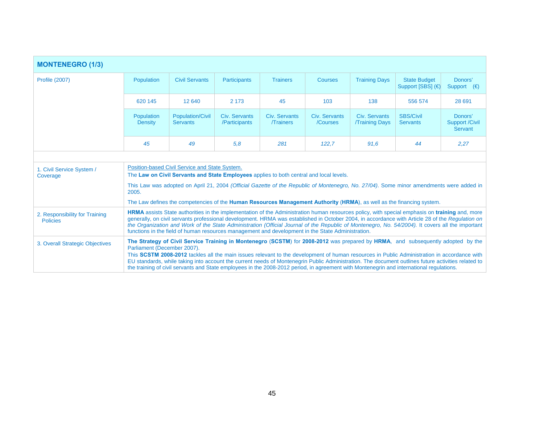| <b>MONTENEGRO (1/3)</b>                           |                                                                                                                                                                                                                                                                                                                                                                                                                                                                                                                                                            |                                                                                                                                           |                                |                                  |                           |                                       |                                                                                                                                                                                                                                                                                                                                                                                                                                                                                                                                                                                   |                                             |  |
|---------------------------------------------------|------------------------------------------------------------------------------------------------------------------------------------------------------------------------------------------------------------------------------------------------------------------------------------------------------------------------------------------------------------------------------------------------------------------------------------------------------------------------------------------------------------------------------------------------------------|-------------------------------------------------------------------------------------------------------------------------------------------|--------------------------------|----------------------------------|---------------------------|---------------------------------------|-----------------------------------------------------------------------------------------------------------------------------------------------------------------------------------------------------------------------------------------------------------------------------------------------------------------------------------------------------------------------------------------------------------------------------------------------------------------------------------------------------------------------------------------------------------------------------------|---------------------------------------------|--|
| <b>Profile (2007)</b>                             | Population                                                                                                                                                                                                                                                                                                                                                                                                                                                                                                                                                 | <b>Civil Servants</b>                                                                                                                     | <b>Participants</b>            | <b>Trainers</b>                  | <b>Courses</b>            | <b>Training Days</b>                  | <b>State Budget</b><br>Support [SBS] (€)                                                                                                                                                                                                                                                                                                                                                                                                                                                                                                                                          | Donors'<br>Support $(\epsilon)$             |  |
|                                                   | 620 145                                                                                                                                                                                                                                                                                                                                                                                                                                                                                                                                                    | 12 640                                                                                                                                    | 2 1 7 3                        | 45                               | 103                       | 138                                   | 556 574                                                                                                                                                                                                                                                                                                                                                                                                                                                                                                                                                                           | 28 691                                      |  |
|                                                   | Population<br><b>Density</b>                                                                                                                                                                                                                                                                                                                                                                                                                                                                                                                               | <b>Population/Civil</b><br><b>Servants</b>                                                                                                | Civ. Servants<br>/Participants | Civ. Servants<br><b>Trainers</b> | Civ. Servants<br>/Courses | Civ. Servants<br><b>Training Days</b> | <b>SBS/Civil</b><br><b>Servants</b>                                                                                                                                                                                                                                                                                                                                                                                                                                                                                                                                               | Donors'<br><b>Support /Civil</b><br>Servant |  |
|                                                   | 45                                                                                                                                                                                                                                                                                                                                                                                                                                                                                                                                                         | 49                                                                                                                                        | 5.8                            | 281                              | 122.7                     | 91.6                                  | 44                                                                                                                                                                                                                                                                                                                                                                                                                                                                                                                                                                                | 2,27                                        |  |
|                                                   |                                                                                                                                                                                                                                                                                                                                                                                                                                                                                                                                                            |                                                                                                                                           |                                |                                  |                           |                                       |                                                                                                                                                                                                                                                                                                                                                                                                                                                                                                                                                                                   |                                             |  |
| 1. Civil Service System /<br>Coverage             |                                                                                                                                                                                                                                                                                                                                                                                                                                                                                                                                                            | Position-based Civil Service and State System.<br>The Law on Civil Servants and State Employees applies to both central and local levels. |                                |                                  |                           |                                       |                                                                                                                                                                                                                                                                                                                                                                                                                                                                                                                                                                                   |                                             |  |
|                                                   | 2005.                                                                                                                                                                                                                                                                                                                                                                                                                                                                                                                                                      |                                                                                                                                           |                                |                                  |                           |                                       | This Law was adopted on April 21, 2004 (Official Gazette of the Republic of Montenegro, No. 27/04). Some minor amendments were added in                                                                                                                                                                                                                                                                                                                                                                                                                                           |                                             |  |
|                                                   |                                                                                                                                                                                                                                                                                                                                                                                                                                                                                                                                                            |                                                                                                                                           |                                |                                  |                           |                                       | The Law defines the competencies of the Human Resources Management Authority (HRMA), as well as the financing system.                                                                                                                                                                                                                                                                                                                                                                                                                                                             |                                             |  |
| 2. Responsibility for Training<br><b>Policies</b> | HRMA assists State authorities in the implementation of the Administration human resources policy, with special emphasis on training and, more<br>generally, on civil servants professional development. HRMA was established in October 2004, in accordance with Article 28 of the Regulation on<br>the Organization and Work of the State Administration (Official Journal of the Republic of Montenegro, No. 54/2004). It covers all the important<br>functions in the field of human resources management and development in the State Administration. |                                                                                                                                           |                                |                                  |                           |                                       |                                                                                                                                                                                                                                                                                                                                                                                                                                                                                                                                                                                   |                                             |  |
| 3. Overall Strategic Objectives                   | Parliament (December 2007).                                                                                                                                                                                                                                                                                                                                                                                                                                                                                                                                |                                                                                                                                           |                                |                                  |                           |                                       | The Strategy of Civil Service Training in Montenegro (SCSTM) for 2008-2012 was prepared by HRMA, and subsequently adopted by the<br>This SCSTM 2008-2012 tackles all the main issues relevant to the development of human resources in Public Administration in accordance with<br>EU standards, while taking into account the current needs of Montenegrin Public Administration. The document outlines future activities related to<br>the training of civil servants and State employees in the 2008-2012 period, in agreement with Montenegrin and international regulations. |                                             |  |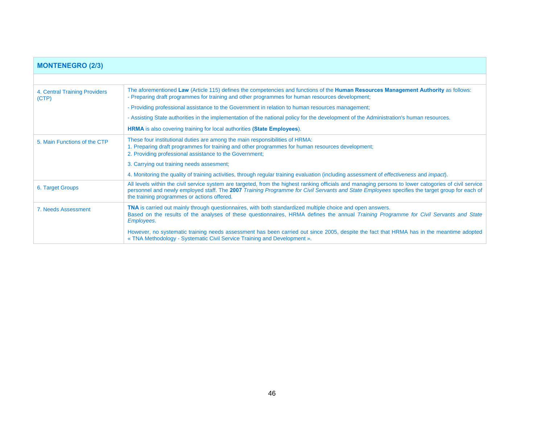| <b>MONTENEGRO (2/3)</b>                |                                                                                                                                                                                                                                                                                                                                                       |
|----------------------------------------|-------------------------------------------------------------------------------------------------------------------------------------------------------------------------------------------------------------------------------------------------------------------------------------------------------------------------------------------------------|
|                                        |                                                                                                                                                                                                                                                                                                                                                       |
| 4. Central Training Providers<br>(CTP) | The aforementioned Law (Article 115) defines the competencies and functions of the Human Resources Management Authority as follows:<br>- Preparing draft programmes for training and other programmes for human resources development;                                                                                                                |
|                                        | - Providing professional assistance to the Government in relation to human resources management;                                                                                                                                                                                                                                                      |
|                                        | - Assisting State authorities in the implementation of the national policy for the development of the Administration's human resources.                                                                                                                                                                                                               |
|                                        | <b>HRMA</b> is also covering training for local authorities (State Employees).                                                                                                                                                                                                                                                                        |
| 5. Main Functions of the CTP           | These four institutional duties are among the main responsibilities of HRMA:<br>1. Preparing draft programmes for training and other programmes for human resources development;<br>2. Providing professional assistance to the Government;                                                                                                           |
|                                        | 3. Carrying out training needs assesment;                                                                                                                                                                                                                                                                                                             |
|                                        | 4. Monitoring the quality of training activities, through regular training evaluation (including assessment of <i>effectiveness</i> and <i>impact</i> ).                                                                                                                                                                                              |
| 6. Target Groups                       | All levels within the civil service system are targeted, from the highest ranking officials and managing persons to lower catogories of civil service<br>personnel and newly employed staff. The 2007 Training Programme for Civil Servants and State Employees specifies the target group for each of<br>the training programmes or actions offered. |
| 7. Needs Assessment                    | <b>TNA</b> is carried out mainly through questionnaires, with both standardized multiple choice and open answers.<br>Based on the results of the analyses of these questionnaires, HRMA defines the annual Training Programme for Civil Servants and State<br>Employees.                                                                              |
|                                        | However, no systematic training needs assessment has been carried out since 2005, despite the fact that HRMA has in the meantime adopted<br>« TNA Methodology - Systematic Civil Service Training and Development ».                                                                                                                                  |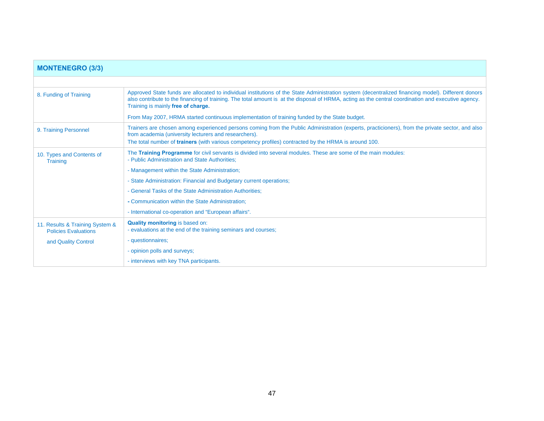| <b>MONTENEGRO (3/3)</b>                                        |                                                                                                                                                                                                                                                                                                                                                 |
|----------------------------------------------------------------|-------------------------------------------------------------------------------------------------------------------------------------------------------------------------------------------------------------------------------------------------------------------------------------------------------------------------------------------------|
|                                                                |                                                                                                                                                                                                                                                                                                                                                 |
| 8. Funding of Training                                         | Approved State funds are allocated to individual institutions of the State Administration system (decentralized financing model). Different donors<br>also contribute to the financing of training. The total amount is at the disposal of HRMA, acting as the central coordination and executive agency.<br>Training is mainly free of charge. |
|                                                                | From May 2007, HRMA started continuous implementation of training funded by the State budget.                                                                                                                                                                                                                                                   |
| 9. Training Personnel                                          | Trainers are chosen among experienced persons coming from the Public Administration (experts, practicioners), from the private sector, and also<br>from academia (university lecturers and researchers).                                                                                                                                        |
|                                                                | The total number of <b>trainers</b> (with various competency profiles) contracted by the HRMA is around 100.                                                                                                                                                                                                                                    |
| 10. Types and Contents of<br><b>Training</b>                   | The Training Programme for civil servants is divided into several modules. These are some of the main modules:<br>- Public Administration and State Authorities;                                                                                                                                                                                |
|                                                                | - Management within the State Administration;                                                                                                                                                                                                                                                                                                   |
|                                                                | - State Administration: Financial and Budgetary current operations;                                                                                                                                                                                                                                                                             |
|                                                                | - General Tasks of the State Administration Authorities;                                                                                                                                                                                                                                                                                        |
|                                                                | - Communication within the State Administration;                                                                                                                                                                                                                                                                                                |
|                                                                | - International co-operation and "European affairs".                                                                                                                                                                                                                                                                                            |
| 11. Results & Training System &<br><b>Policies Evaluations</b> | Quality monitoring is based on:<br>- evaluations at the end of the training seminars and courses;                                                                                                                                                                                                                                               |
| and Quality Control                                            | - questionnaires;                                                                                                                                                                                                                                                                                                                               |
|                                                                | - opinion polls and surveys;                                                                                                                                                                                                                                                                                                                    |
|                                                                | - interviews with key TNA participants.                                                                                                                                                                                                                                                                                                         |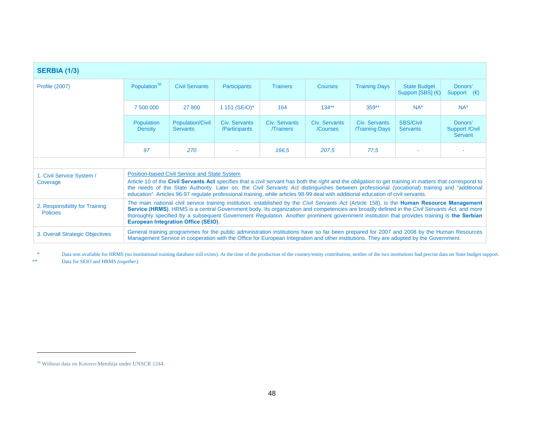| <b>SERBIA (1/3)</b>                               |                                                                                                                                                                                                                                                                                                                                                                                                                                                                                                     |                                            |                                |                                  |                           |                                       |                                                                                                                                                                                                                                                                                     |                                             |  |
|---------------------------------------------------|-----------------------------------------------------------------------------------------------------------------------------------------------------------------------------------------------------------------------------------------------------------------------------------------------------------------------------------------------------------------------------------------------------------------------------------------------------------------------------------------------------|--------------------------------------------|--------------------------------|----------------------------------|---------------------------|---------------------------------------|-------------------------------------------------------------------------------------------------------------------------------------------------------------------------------------------------------------------------------------------------------------------------------------|---------------------------------------------|--|
| <b>Profile (2007)</b>                             | Population <sup>56</sup>                                                                                                                                                                                                                                                                                                                                                                                                                                                                            | <b>Civil Servants</b>                      | Participants                   | <b>Trainers</b>                  | Courses                   | <b>Training Days</b>                  | <b>State Budget</b><br>Support [SBS] (€)                                                                                                                                                                                                                                            | Donors'<br>Support $(\epsilon)$             |  |
|                                                   | 7 500 000                                                                                                                                                                                                                                                                                                                                                                                                                                                                                           | 27 800                                     | 1 151 (SEIO)*                  | 164                              | $134**$                   | $359**$                               | $NA^*$                                                                                                                                                                                                                                                                              | $NA*$                                       |  |
|                                                   | Population<br>Density                                                                                                                                                                                                                                                                                                                                                                                                                                                                               | <b>Population/Civil</b><br><b>Servants</b> | Civ. Servants<br>/Participants | Civ. Servants<br><b>Trainers</b> | Civ. Servants<br>/Courses | Civ. Servants<br><b>Training Days</b> | <b>SBS/Civil</b><br><b>Servants</b>                                                                                                                                                                                                                                                 | Donors'<br><b>Support /Civil</b><br>Servant |  |
|                                                   | 97                                                                                                                                                                                                                                                                                                                                                                                                                                                                                                  | 270                                        |                                | 166.5                            | 207.5                     | 77.5                                  |                                                                                                                                                                                                                                                                                     |                                             |  |
|                                                   |                                                                                                                                                                                                                                                                                                                                                                                                                                                                                                     |                                            |                                |                                  |                           |                                       |                                                                                                                                                                                                                                                                                     |                                             |  |
| 1. Civil Service System /<br>Coverage             | <b>Position-based Civil Service and State System</b><br>Article 10 of the Civil Servants Act specifies that a civil servant has both the right and the obligation to get training in matters that correspond to<br>the needs of the State Authority. Later on, the Civil Servants Act distinguishes between professional (vocational) training and "additional<br>education". Articles 96-97 regulate professional training, while articles 98-99 deal with additional education of civil servants. |                                            |                                |                                  |                           |                                       |                                                                                                                                                                                                                                                                                     |                                             |  |
| 2. Responsibility for Training<br><b>Policies</b> | The main national civil service training institution, established by the Civil Servants Act (Article 158), is the Human Resource Management<br>Service (HRMS). HRMS is a central Government body. Its organization and competencies are broadly defined in the Civil Servants Act, and more<br>thoroughly specified by a subsequent Government Regulation. Another prominent government institution that provides training is the Serbian<br><b>European Integration Office (SEIO).</b>             |                                            |                                |                                  |                           |                                       |                                                                                                                                                                                                                                                                                     |                                             |  |
| 3. Overall Strategic Objectives                   |                                                                                                                                                                                                                                                                                                                                                                                                                                                                                                     |                                            |                                |                                  |                           |                                       | General training programmes for the public administration institutions have so far been prepared for 2007 and 2008 by the Human Resources<br>Management Service in cooperation with the Office for European Integration and other institutions. They are adopted by the Government. |                                             |  |

\* Data non available for HRMS (no institutional training database still exists). At the time of the production of the country/entity contribution, neither of the two institutions had precise data on State budget support. \*\* Data for SEIO and HRMS *(together).*

<span id="page-47-0"></span><sup>56</sup> Without data on Kosovo-Metohija under UNSCR 1244.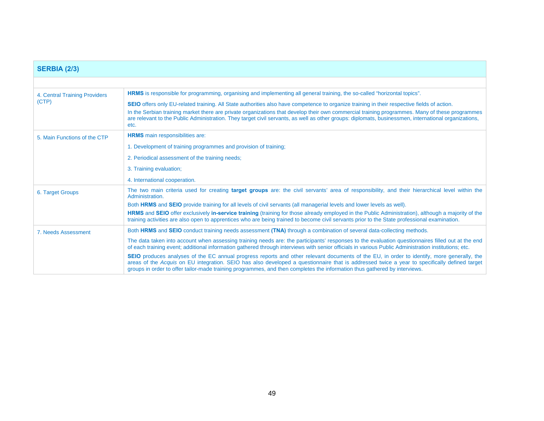| <b>SERBIA (2/3)</b>                    |                                                                                                                                                                                                                                                                                                                                                                                                                                                                      |
|----------------------------------------|----------------------------------------------------------------------------------------------------------------------------------------------------------------------------------------------------------------------------------------------------------------------------------------------------------------------------------------------------------------------------------------------------------------------------------------------------------------------|
|                                        |                                                                                                                                                                                                                                                                                                                                                                                                                                                                      |
| 4. Central Training Providers<br>(CTP) | <b>HRMS</b> is responsible for programming, organising and implementing all general training, the so-called "horizontal topics".                                                                                                                                                                                                                                                                                                                                     |
|                                        | <b>SEIO</b> offers only EU-related training. All State authorities also have competence to organize training in their respective fields of action.<br>In the Serbian training market there are private organizations that develop their own commercial training programmes. Many of these programmes<br>are relevant to the Public Administration. They target civil servants, as well as other groups: diplomats, businessmen, international organizations,<br>etc. |
| 5. Main Functions of the CTP           | <b>HRMS</b> main responsibilities are:                                                                                                                                                                                                                                                                                                                                                                                                                               |
|                                        | 1. Development of training programmes and provision of training;                                                                                                                                                                                                                                                                                                                                                                                                     |
|                                        | 2. Periodical assessment of the training needs;                                                                                                                                                                                                                                                                                                                                                                                                                      |
|                                        | 3. Training evaluation;                                                                                                                                                                                                                                                                                                                                                                                                                                              |
|                                        | 4. International cooperation.                                                                                                                                                                                                                                                                                                                                                                                                                                        |
| 6. Target Groups                       | The two main criteria used for creating target groups are: the civil servants' area of responsibility, and their hierarchical level within the<br>Administration.                                                                                                                                                                                                                                                                                                    |
|                                        | Both HRMS and SEIO provide training for all levels of civil servants (all managerial levels and lower levels as well).                                                                                                                                                                                                                                                                                                                                               |
|                                        | <b>HRMS</b> and <b>SEIO</b> offer exclusively in-service training (training for those already employed in the Public Administration), although a majority of the<br>training activities are also open to apprentices who are being trained to become civil servants prior to the State professional examination.                                                                                                                                                     |
| 7. Needs Assessment                    | Both HRMS and SEIO conduct training needs assessment (TNA) through a combination of several data-collecting methods.                                                                                                                                                                                                                                                                                                                                                 |
|                                        | The data taken into account when assessing training needs are: the participants' responses to the evaluation questionnaires filled out at the end<br>of each training event; additional information gathered through interviews with senior officials in various Public Administration institutions; etc.                                                                                                                                                            |
|                                        | SEIO produces analyses of the EC annual progress reports and other relevant documents of the EU, in order to identify, more generally, the<br>areas of the Acquis on EU integration. SEIO has also developed a questionnaire that is addressed twice a year to specifically defined target<br>groups in order to offer tailor-made training programmes, and then completes the information thus gathered by interviews.                                              |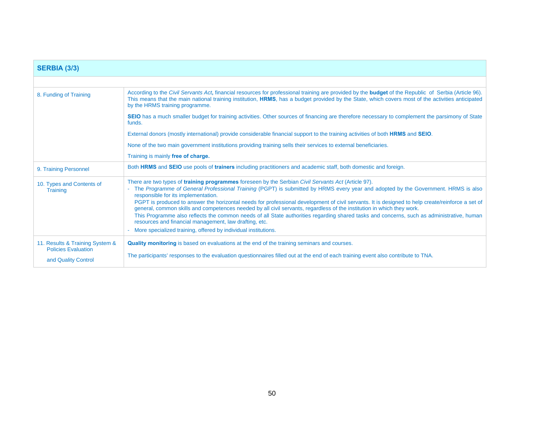| <b>SERBIA (3/3)</b>                                                                  |                                                                                                                                                                                                                                                                                                                                                                                                                                                                                                                                                                                                                                                                                                                                                                                                                                                   |
|--------------------------------------------------------------------------------------|---------------------------------------------------------------------------------------------------------------------------------------------------------------------------------------------------------------------------------------------------------------------------------------------------------------------------------------------------------------------------------------------------------------------------------------------------------------------------------------------------------------------------------------------------------------------------------------------------------------------------------------------------------------------------------------------------------------------------------------------------------------------------------------------------------------------------------------------------|
|                                                                                      |                                                                                                                                                                                                                                                                                                                                                                                                                                                                                                                                                                                                                                                                                                                                                                                                                                                   |
| 8. Funding of Training                                                               | According to the Civil Servants Act, financial resources for professional training are provided by the <b>budget</b> of the Republic of Serbia (Article 96).<br>This means that the main national training institution, HRMS, has a budget provided by the State, which covers most of the activities anticipated<br>by the HRMS training programme.                                                                                                                                                                                                                                                                                                                                                                                                                                                                                              |
|                                                                                      | SEIO has a much smaller budget for training activities. Other sources of financing are therefore necessary to complement the parsimony of State<br>funds.                                                                                                                                                                                                                                                                                                                                                                                                                                                                                                                                                                                                                                                                                         |
|                                                                                      | External donors (mostly international) provide considerable financial support to the training activities of both HRMS and SEIO.                                                                                                                                                                                                                                                                                                                                                                                                                                                                                                                                                                                                                                                                                                                   |
|                                                                                      | None of the two main government institutions providing training sells their services to external beneficiaries.                                                                                                                                                                                                                                                                                                                                                                                                                                                                                                                                                                                                                                                                                                                                   |
|                                                                                      | Training is mainly free of charge.                                                                                                                                                                                                                                                                                                                                                                                                                                                                                                                                                                                                                                                                                                                                                                                                                |
| 9. Training Personnel                                                                | Both HRMS and SEIO use pools of trainers including practitioners and academic staff, both domestic and foreign.                                                                                                                                                                                                                                                                                                                                                                                                                                                                                                                                                                                                                                                                                                                                   |
| 10. Types and Contents of<br><b>Training</b>                                         | There are two types of <b>training programmes</b> foreseen by the Serbian Civil Servants Act (Article 97).<br>- The Programme of General Professional Training (PGPT) is submitted by HRMS every year and adopted by the Government. HRMS is also<br>responsible for its implementation.<br>PGPT is produced to answer the horizontal needs for professional development of civil servants. It is designed to help create/reinforce a set of<br>general, common skills and competences needed by all civil servants, regardless of the institution in which they work.<br>This Programme also reflects the common needs of all State authorities regarding shared tasks and concerns, such as administrative, human<br>resources and financial management, law drafting, etc.<br>- More specialized training, offered by individual institutions. |
| 11. Results & Training System &<br><b>Policies Evaluation</b><br>and Quality Control | Quality monitoring is based on evaluations at the end of the training seminars and courses.<br>The participants' responses to the evaluation questionnaires filled out at the end of each training event also contribute to TNA.                                                                                                                                                                                                                                                                                                                                                                                                                                                                                                                                                                                                                  |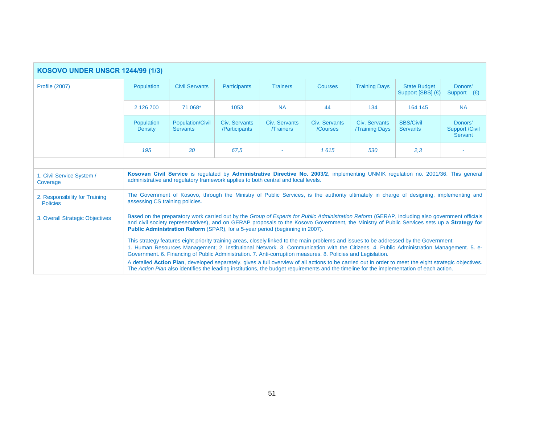| <b>KOSOVO UNDER UNSCR 1244/99 (1/3)</b>           |                                                                                                                                                                                                                                                                                                                                                                                                    |                                            |                                |                                  |                           |                                       |                                                                                                                                                                                                                                                                                                    |                                             |
|---------------------------------------------------|----------------------------------------------------------------------------------------------------------------------------------------------------------------------------------------------------------------------------------------------------------------------------------------------------------------------------------------------------------------------------------------------------|--------------------------------------------|--------------------------------|----------------------------------|---------------------------|---------------------------------------|----------------------------------------------------------------------------------------------------------------------------------------------------------------------------------------------------------------------------------------------------------------------------------------------------|---------------------------------------------|
| <b>Profile (2007)</b>                             | <b>Population</b>                                                                                                                                                                                                                                                                                                                                                                                  | <b>Civil Servants</b>                      | <b>Participants</b>            | <b>Trainers</b>                  | <b>Courses</b>            | <b>Training Days</b>                  | <b>State Budget</b><br>Support [SBS] (€)                                                                                                                                                                                                                                                           | Donors'<br>Support $(\epsilon)$             |
|                                                   | 2 126 700                                                                                                                                                                                                                                                                                                                                                                                          | 71 068*                                    | 1053                           | <b>NA</b>                        | 44                        | 134                                   | 164 145                                                                                                                                                                                                                                                                                            | <b>NA</b>                                   |
|                                                   | Population<br><b>Density</b>                                                                                                                                                                                                                                                                                                                                                                       | <b>Population/Civil</b><br><b>Servants</b> | Civ. Servants<br>/Participants | Civ. Servants<br><b>Trainers</b> | Civ. Servants<br>/Courses | Civ. Servants<br><b>Training Days</b> | <b>SBS/Civil</b><br><b>Servants</b>                                                                                                                                                                                                                                                                | Donors'<br><b>Support /Civil</b><br>Servant |
|                                                   | 195                                                                                                                                                                                                                                                                                                                                                                                                | 30                                         | 67.5                           |                                  | 1615                      | 530                                   | 2,3                                                                                                                                                                                                                                                                                                |                                             |
|                                                   |                                                                                                                                                                                                                                                                                                                                                                                                    |                                            |                                |                                  |                           |                                       |                                                                                                                                                                                                                                                                                                    |                                             |
| 1. Civil Service System /<br>Coverage             | Kosovan Civil Service is regulated by Administrative Directive No. 2003/2, implementing UNMIK regulation no. 2001/36. This general<br>administrative and regulatory framework applies to both central and local levels.                                                                                                                                                                            |                                            |                                |                                  |                           |                                       |                                                                                                                                                                                                                                                                                                    |                                             |
| 2. Responsibility for Training<br><b>Policies</b> | The Government of Kosovo, through the Ministry of Public Services, is the authority ultimately in charge of designing, implementing and<br>assessing CS training policies.                                                                                                                                                                                                                         |                                            |                                |                                  |                           |                                       |                                                                                                                                                                                                                                                                                                    |                                             |
| 3. Overall Strategic Objectives                   | Based on the preparatory work carried out by the Group of Experts for Public Administration Reform (GERAP, including also government officials<br>and civil society representatives), and on GERAP proposals to the Kosovo Government, the Ministry of Public Services sets up a Strategy for<br><b>Public Administration Reform (SPAR), for a 5-year period (beginning in 2007).</b>              |                                            |                                |                                  |                           |                                       |                                                                                                                                                                                                                                                                                                    |                                             |
|                                                   | This strategy features eight priority training areas, closely linked to the main problems and issues to be addressed by the Government:<br>1. Human Resources Management; 2. Institutional Network. 3. Communication with the Citizens. 4. Public Administration Management. 5. e-<br>Government. 6. Financing of Public Administration. 7. Anti-corruption measures. 8. Policies and Legislation. |                                            |                                |                                  |                           |                                       |                                                                                                                                                                                                                                                                                                    |                                             |
|                                                   |                                                                                                                                                                                                                                                                                                                                                                                                    |                                            |                                |                                  |                           |                                       | A detailed Action Plan, developed separately, gives a full overview of all actions to be carried out in order to meet the eight strategic objectives.<br>The Action Plan also identifies the leading institutions, the budget requirements and the timeline for the implementation of each action. |                                             |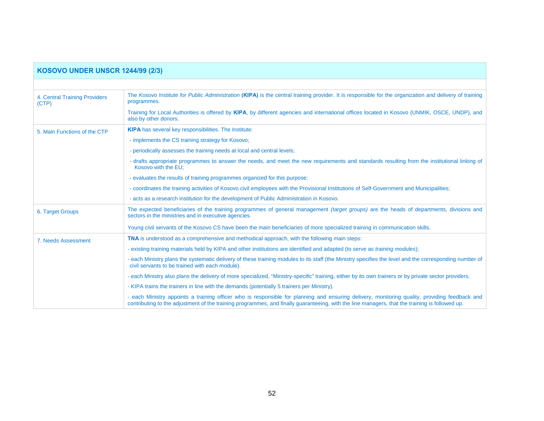| <b>KOSOVO UNDER UNSCR 1244/99 (2/3)</b> |                                                                                                                                                                                                                                                                                                 |  |  |  |
|-----------------------------------------|-------------------------------------------------------------------------------------------------------------------------------------------------------------------------------------------------------------------------------------------------------------------------------------------------|--|--|--|
|                                         |                                                                                                                                                                                                                                                                                                 |  |  |  |
| 4. Central Training Providers<br>(CTP)  | The Kosovo Institute for Public Administration (KIPA) is the central training provider. It is responsible for the organization and delivery of training<br>programmes.                                                                                                                          |  |  |  |
|                                         | Training for Local Authorities is offered by KIPA, by different agencies and international offices located in Kosovo (UNMIK, OSCE, UNDP), and<br>also by other donors.                                                                                                                          |  |  |  |
| 5. Main Functions of the CTP            | <b>KIPA</b> has several key responsibilities. The Institute:                                                                                                                                                                                                                                    |  |  |  |
|                                         | - implements the CS training strategy for Kosovo;                                                                                                                                                                                                                                               |  |  |  |
|                                         | - periodically assesses the training needs at local and central levels;                                                                                                                                                                                                                         |  |  |  |
|                                         | - drafts appropriate programmes to answer the needs, and meet the new requirements and standards resulting from the institutional linking of<br>Kosovo with the EU:                                                                                                                             |  |  |  |
|                                         | - evaluates the results of training programmes organized for this purpose;                                                                                                                                                                                                                      |  |  |  |
|                                         | - coordinates the training activities of Kosovo civil employees with the Provisional Institutions of Self-Government and Municipalities;                                                                                                                                                        |  |  |  |
|                                         | - acts as a research institution for the development of Public Administration in Kosovo.                                                                                                                                                                                                        |  |  |  |
| 6. Target Groups                        | The expected beneficiaries of the training programmes of general management <i>(target groups)</i> are the heads of departments, divisions and<br>sectors in the ministries and in executive agencies.                                                                                          |  |  |  |
|                                         | Young civil servants of the Kosovo CS have been the main beneficiaries of more specialized training in communication skills.                                                                                                                                                                    |  |  |  |
| 7. Needs Assessment                     | <b>TNA</b> is understood as a comprehensive and methodical approach, with the following main steps:                                                                                                                                                                                             |  |  |  |
|                                         | - existing training materials held by KIPA and other institutions are identified and adapted (to serve as <i>training modules</i> );                                                                                                                                                            |  |  |  |
|                                         | - each Ministry plans the systematic delivery of these training modules to its staff (the Ministry specifies the level and the corresponding number of<br>civil servants to be trained with each module).                                                                                       |  |  |  |
|                                         | - each Ministry also plans the delivery of more specialized, "Ministry-specific" training, either by its own trainers or by private sector providers.                                                                                                                                           |  |  |  |
|                                         | - KIPA trains the trainers in line with the demands (potentially 5 trainers per Ministry).                                                                                                                                                                                                      |  |  |  |
|                                         | - each Ministry appoints a training officer who is responsible for planning and ensuring delivery, monitoring quality, providing feedback and<br>contributing to the adjustment of the training programmes, and finally guaranteeing, with the line managers, that the training is followed up. |  |  |  |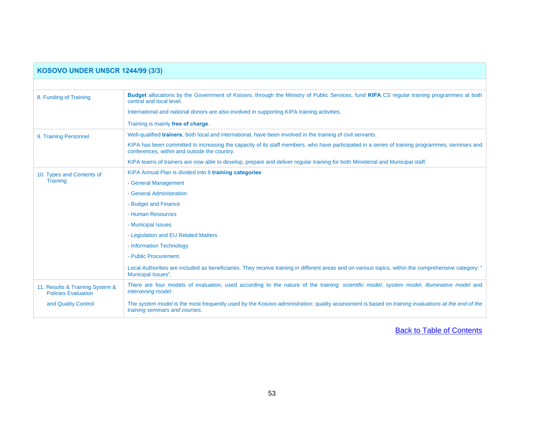| <b>KOSOVO UNDER UNSCR 1244/99 (3/3)</b>                       |                                                                                                                                                                                                 |  |  |  |
|---------------------------------------------------------------|-------------------------------------------------------------------------------------------------------------------------------------------------------------------------------------------------|--|--|--|
|                                                               |                                                                                                                                                                                                 |  |  |  |
| 8. Funding of Training                                        | Budget allocations by the Government of Kosovo, through the Ministry of Public Services, fund KIPA CS regular training programmes at both<br>central and local level.                           |  |  |  |
|                                                               | International and national donors are also involved in supporting KIPA training activities.                                                                                                     |  |  |  |
|                                                               | Training is mainly free of charge.                                                                                                                                                              |  |  |  |
| 9. Training Personnel                                         | Well-qualified trainers, both local and international, have been involved in the training of civil servants.                                                                                    |  |  |  |
|                                                               | KIPA has been committed to increasing the capacity of its staff members, who have participated in a series of training programmes, seminars and<br>conferences, within and outside the country. |  |  |  |
|                                                               | KIPA teams of trainers are now able to develop, prepare and deliver regular training for both Ministerial and Municipal staff.                                                                  |  |  |  |
| 10. Types and Contents of<br><b>Training</b>                  | KIPA Annual Plan is divided into 8 training categories:                                                                                                                                         |  |  |  |
|                                                               | - General Management                                                                                                                                                                            |  |  |  |
|                                                               | - General Administration                                                                                                                                                                        |  |  |  |
|                                                               | - Budget and Finance                                                                                                                                                                            |  |  |  |
|                                                               | - Human Resources                                                                                                                                                                               |  |  |  |
|                                                               | - Municipal Issues                                                                                                                                                                              |  |  |  |
|                                                               | - Legislation and EU Related Matters                                                                                                                                                            |  |  |  |
|                                                               | - Information Technology                                                                                                                                                                        |  |  |  |
|                                                               | - Public Procurement.                                                                                                                                                                           |  |  |  |
|                                                               | Local Authorities are included as beneficiaries. They receive training in different areas and on various topics, within the comprehensive category: "<br>Municipal Issues".                     |  |  |  |
| 11. Results & Training System &<br><b>Policies Evaluation</b> | There are four models of evaluation, used according to the nature of the training: scientific model, system model, illuminative model and<br>intervening model.                                 |  |  |  |
| and Quality Control                                           | The system model is the most frequently used by the Kosovo administration: quality assessment is based on <i>training evaluations at the end of the</i><br>training seminars and courses.       |  |  |  |

[Back to Table of Contents](#page-1-0)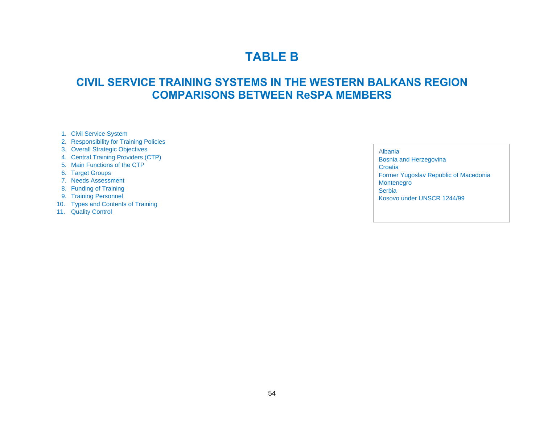## **TABLE B**

## **CIVIL SERVICE TRAINING SYSTEMS IN THE WESTERN BALKANS REGION COMPARISONS BETWEEN ReSPA MEMBERS**

- 1. Civil Service System
- 2. Responsibility for Training Policies
- 3. Overall Strategic Objectives
- 4. Central Training Providers (CTP)
- 5. Main Functions of the CTP
- 6. Target Groups
- 7. Needs Assessment
- 8. Funding of Training
- 9. Training Personnel
- 10. Types and Contents of Training
- 11. Quality Control

Albania

Bosnia and Herzegovina Croatia Former Yugoslav Republic of Macedonia Montenegro **Serbia** Kosovo under UNSCR 1244/99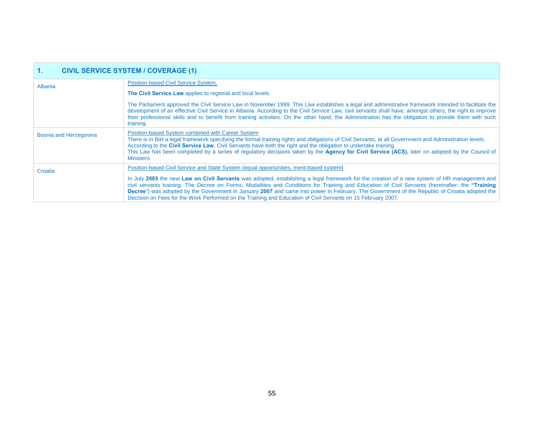| <b>CIVIL SERVICE SYSTEM / COVERAGE (1)</b><br>1. |                                                                                                                                                                                                                                                                                                                                                                                                                                                                                                                                                                                                                                                              |  |  |
|--------------------------------------------------|--------------------------------------------------------------------------------------------------------------------------------------------------------------------------------------------------------------------------------------------------------------------------------------------------------------------------------------------------------------------------------------------------------------------------------------------------------------------------------------------------------------------------------------------------------------------------------------------------------------------------------------------------------------|--|--|
| Albania                                          | Position-based Civil Service System.                                                                                                                                                                                                                                                                                                                                                                                                                                                                                                                                                                                                                         |  |  |
|                                                  | The Civil Service Law applies to regional and local levels.                                                                                                                                                                                                                                                                                                                                                                                                                                                                                                                                                                                                  |  |  |
|                                                  | The Parliament approved the Civil Service Law in November 1999. This Law establishes a legal and administrative framework intended to facilitate the<br>development of an effective Civil Service in Albania. According to the Civil Service Law, civil servants shall have, amongst others, the right to improve<br>their professional skills and to benefit from training activities. On the other hand, the Administration has the obligation to provide them with such<br>training.                                                                                                                                                                      |  |  |
| Bosnia and Herzegovina                           | Position-based System combined with Career System<br>There is in BiH a legal framework specifying the formal training rights and obligations of Civil Servants, at all Government and Administration levels.<br>According to the Civil Service Law, Civil Servants have both the right and the obligation to undertake training.<br>This Law has been completed by a series of regulatory decisions taken by the Agency for Civil Service (ACS), later on adopted by the Council of<br>Ministers.                                                                                                                                                            |  |  |
| Croatia                                          | Position-based Civil Service and State System (equal opportunities, merit-based system)<br>In July 2005 the new Law on Civil Servants was adopted, establishing a legal framework for the creation of a new system of HR management and<br>civil servants training. The Decree on Forms, Modalities and Conditions for Training and Education of Civil Servants (hereinafter: the "Training<br>Decree") was adopted by the Government in January 2007 and came into power in February. The Government of the Republic of Croatia adopted the<br>Decision on Fees for the Work Performed on the Training and Education of Civil Servants on 15 February 2007. |  |  |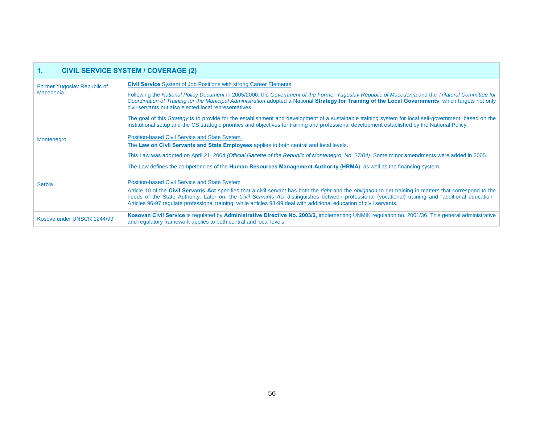| <b>CIVIL SERVICE SYSTEM / COVERAGE (2)</b><br>1. |                                                                                                                                                                                                                                                                                                                                                                                                                                             |  |  |  |
|--------------------------------------------------|---------------------------------------------------------------------------------------------------------------------------------------------------------------------------------------------------------------------------------------------------------------------------------------------------------------------------------------------------------------------------------------------------------------------------------------------|--|--|--|
| Former Yugoslav Republic of<br><b>Macedonia</b>  | <b>Civil Service</b> System of Job Positions with strong Career Elements                                                                                                                                                                                                                                                                                                                                                                    |  |  |  |
|                                                  | Following the National Policy Document in 2005/2006, the Government of the Former Yugoslav Republic of Macedonia and the Trilateral Committee for<br>Coordination of Training for the Municipal Administration adopted a National Strategy for Training of the Local Governments, which targets not only<br>civil servants but also elected local representatives.                                                                          |  |  |  |
|                                                  | The goal of this Strategy is to provide for the establishment and development of a sustainable training system for local self-government, based on the<br>institutional setup and the CS strategic priorities and objectives for training and professional development established by the National Policy.                                                                                                                                  |  |  |  |
| Montenegro                                       | Position-based Civil Service and State System.<br>The Law on Civil Servants and State Employees applies to both central and local levels.                                                                                                                                                                                                                                                                                                   |  |  |  |
|                                                  | This Law was adopted on April 21, 2004 (Official Gazette of the Republic of Montenegro, No. 27/04). Some minor amendments were added in 2005.                                                                                                                                                                                                                                                                                               |  |  |  |
|                                                  | The Law defines the competencies of the <b>Human Resources Management Authority (HRMA)</b> , as well as the financing system.                                                                                                                                                                                                                                                                                                               |  |  |  |
| Serbia                                           | <b>Position-based Civil Service and State System</b>                                                                                                                                                                                                                                                                                                                                                                                        |  |  |  |
|                                                  | Article 10 of the Civil Servants Act specifies that a civil servant has both the right and the obligation to get training in matters that correspond to the<br>needs of the State Authority. Later on, the Civil Servants Act distinguishes between professional (vocational) training and "additional education".<br>Articles 96-97 regulate professional training, while articles 98-99 deal with additional education of civil servants. |  |  |  |
| Kosovo under UNSCR 1244/99                       | Kosovan Civil Service is regulated by Administrative Directive No. 2003/2, implementing UNMIK regulation no. 2001/36. This general administrative<br>and regulatory framework applies to both central and local levels.                                                                                                                                                                                                                     |  |  |  |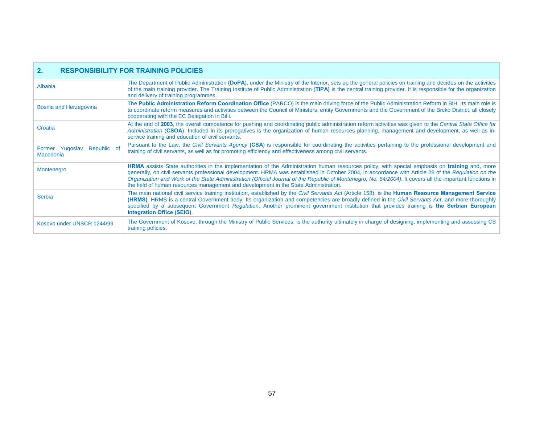| <b>RESPONSIBILITY FOR TRAINING POLICIES</b><br>$\mathbf{2}$ . |
|---------------------------------------------------------------|
|---------------------------------------------------------------|

| Albania                                         | The Department of Public Administration (DoPA), under the Ministry of the Interior, sets up the general policies on training and decides on the activities<br>of the main training provider. The Training Institute of Public Administration (TIPA) is the central training provider. It is responsible for the organization<br>and delivery of training programmes.                                                                                                                                                                                                     |
|-------------------------------------------------|--------------------------------------------------------------------------------------------------------------------------------------------------------------------------------------------------------------------------------------------------------------------------------------------------------------------------------------------------------------------------------------------------------------------------------------------------------------------------------------------------------------------------------------------------------------------------|
| Bosnia and Herzegovina                          | The Public Administration Reform Coordination Office (PARCO) is the main driving force of the Public Administration Reform in BiH. Its main role is<br>to coordinate reform measures and activities between the Council of Ministers, entity Governments and the Government of the Brcko District, all closely<br>cooperating with the EC Delegation in BiH.                                                                                                                                                                                                             |
| Croatia                                         | At the end of 2003, the overall competence for pushing and coordinating public administration reform activities was given to the Central State Office for<br>Administration (CSOA). Included in its prerogatives is the organization of human resources planning, management and development, as well as in-<br>service training and education of civil servants.                                                                                                                                                                                                        |
| Former Yugoslav Republic of<br><b>Macedonia</b> | Pursuant to the Law, the Civil Servants Agency (CSA) is responsible for coordinating the activities pertaining to the professional development and<br>training of civil servants, as well as for promoting efficiency and effectiveness among civil servants.                                                                                                                                                                                                                                                                                                            |
| Montenegro                                      | <b>HRMA</b> assists State authorities in the implementation of the Administration human resources policy, with special emphasis on <b>training</b> and, more<br>generally, on civil servants professional development. HRMA was established in October 2004, in accordance with Article 28 of the Regulation on the<br>Organization and Work of the State Administration (Official Journal of the Republic of Montenegro, No. 54/2004). It covers all the important functions in<br>the field of human resources management and development in the State Administration. |
| Serbia                                          | The main national civil service training institution, established by the Civil Servants Act (Article 158), is the <b>Human Resource Management Service</b><br>(HRMS). HRMS is a central Government body. Its organization and competencies are broadly defined in the Civil Servants Act, and more thoroughly<br>specified by a subsequent Government Regulation. Another prominent government institution that provides training is the Serbian European<br><b>Integration Office (SEIO).</b>                                                                           |
| Kosovo under UNSCR 1244/99                      | The Government of Kosovo, through the Ministry of Public Services, is the authority ultimately in charge of designing, implementing and assessing CS<br>training policies.                                                                                                                                                                                                                                                                                                                                                                                               |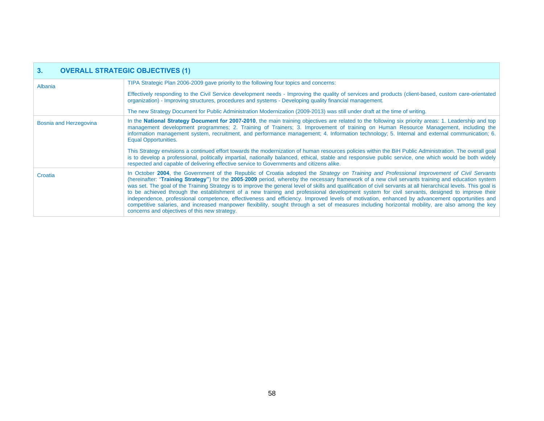| 3 <sub>1</sub><br><b>OVERALL STRATEGIC OBJECTIVES (1)</b> |                                                                                                                                                                                                                                                                                                                                                                                                                                                                                                                                                                                                                                                                                                                                                                                                                                                                                                                                                                             |  |  |  |
|-----------------------------------------------------------|-----------------------------------------------------------------------------------------------------------------------------------------------------------------------------------------------------------------------------------------------------------------------------------------------------------------------------------------------------------------------------------------------------------------------------------------------------------------------------------------------------------------------------------------------------------------------------------------------------------------------------------------------------------------------------------------------------------------------------------------------------------------------------------------------------------------------------------------------------------------------------------------------------------------------------------------------------------------------------|--|--|--|
| Albania                                                   | TIPA Strategic Plan 2006-2009 gave priority to the following four topics and concerns:                                                                                                                                                                                                                                                                                                                                                                                                                                                                                                                                                                                                                                                                                                                                                                                                                                                                                      |  |  |  |
|                                                           | Effectively responding to the Civil Service development needs - Improving the quality of services and products (client-based, custom care-orientated<br>organization) - Improving structures, procedures and systems - Developing quality financial management.                                                                                                                                                                                                                                                                                                                                                                                                                                                                                                                                                                                                                                                                                                             |  |  |  |
|                                                           | The new Strategy Document for Public Administration Modernization (2009-2013) was still under draft at the time of writing.                                                                                                                                                                                                                                                                                                                                                                                                                                                                                                                                                                                                                                                                                                                                                                                                                                                 |  |  |  |
| <b>Bosnia and Herzegovina</b>                             | In the National Strategy Document for 2007-2010, the main training objectives are related to the following six priority areas: 1. Leadership and top<br>management development programmes; 2. Training of Trainers; 3. Improvement of training on Human Resource Management, including the<br>information management system, recruitment, and performance management; 4. Information technology; 5. Internal and external communication; 6.<br><b>Equal Opportunities.</b>                                                                                                                                                                                                                                                                                                                                                                                                                                                                                                  |  |  |  |
|                                                           | This Strategy envisions a continued effort towards the modernization of human resources policies within the BiH Public Administration. The overall goal<br>is to develop a professional, politically impartial, nationally balanced, ethical, stable and responsive public service, one which would be both widely<br>respected and capable of delivering effective service to Governments and citizens alike.                                                                                                                                                                                                                                                                                                                                                                                                                                                                                                                                                              |  |  |  |
| Croatia                                                   | In October 2004, the Government of the Republic of Croatia adopted the Strategy on Training and Professional Improvement of Civil Servants<br>(hereinafter: "Training Strategy") for the 2005-2009 period, whereby the necessary framework of a new civil servants training and education system<br>was set. The goal of the Training Strategy is to improve the general level of skills and qualification of civil servants at all hierarchical levels. This goal is<br>to be achieved through the establishment of a new training and professional development system for civil servants, designed to improve their<br>independence, professional competence, effectiveness and efficiency. Improved levels of motivation, enhanced by advancement opportunities and<br>competitive salaries, and increased manpower flexibility, sought through a set of measures including horizontal mobility, are also among the key<br>concerns and objectives of this new strategy. |  |  |  |

л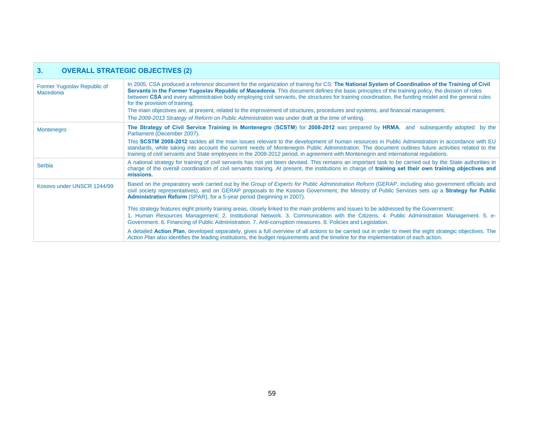| 3.<br><b>OVERALL STRATEGIC OBJECTIVES (2)</b> |                                                                                                                                                                                                                                                                                                                                                                                                                                                                                                                                                                                                                                                                                                                                         |  |  |  |
|-----------------------------------------------|-----------------------------------------------------------------------------------------------------------------------------------------------------------------------------------------------------------------------------------------------------------------------------------------------------------------------------------------------------------------------------------------------------------------------------------------------------------------------------------------------------------------------------------------------------------------------------------------------------------------------------------------------------------------------------------------------------------------------------------------|--|--|--|
| Former Yugoslav Republic of<br>Macedonia      | In 2005, CSA produced a reference document for the organization of training for CS: The National System of Coordination of the Training of Civil<br>Servants in the Former Yugoslav Republic of Macedonia. This document defines the basic principles of the training policy, the division of roles<br>between CSA and every administrative body employing civil servants, the structures for training coordination, the funding model and the general rules<br>for the provision of training.<br>The main objectives are, at present, related to the improvement of structures, procedures and systems, and financial management.<br>The 2009-2013 Strategy of Reform on Public Administration was under draft at the time of writing. |  |  |  |
| Montenegro                                    | The Strategy of Civil Service Training in Montenegro (SCSTM) for 2008-2012 was prepared by HRMA, and subsequently adopted by the<br>Parliament (December 2007).<br>This SCSTM 2008-2012 tackles all the main issues relevant to the development of human resources in Public Administration in accordance with EU<br>standards, while taking into account the current needs of Montenegrin Public Administration. The document outlines future activities related to the<br>training of civil servants and State employees in the 2008-2012 period, in agreement with Montenegrin and international regulations.                                                                                                                        |  |  |  |
| Serbia                                        | A national strategy for training of civil servants has not yet been devised. This remains an important task to be carried out by the State authorities in<br>charge of the overall coordination of civil servants training. At present, the institutions in charge of training set their own training objectives and<br>missions.                                                                                                                                                                                                                                                                                                                                                                                                       |  |  |  |
| Kosovo under UNSCR 1244/99                    | Based on the preparatory work carried out by the Group of Experts for Public Administration Reform (GERAP, including also government officials and<br>civil society representatives), and on GERAP proposals to the Kosovo Government, the Ministry of Public Services sets up a Strategy for Public<br><b>Administration Reform</b> (SPAR), for a 5-year period (beginning in 2007).                                                                                                                                                                                                                                                                                                                                                   |  |  |  |
|                                               | This strategy features eight priority training areas, closely linked to the main problems and issues to be addressed by the Government:<br>1. Human Resources Management; 2. Institutional Network. 3. Communication with the Citizens. 4. Public Administration Management. 5. e-<br>Government. 6. Financing of Public Administration. 7. Anti-corruption measures. 8. Policies and Legislation.                                                                                                                                                                                                                                                                                                                                      |  |  |  |
|                                               | A detailed Action Plan, developed separately, gives a full overview of all actions to be carried out in order to meet the eight strategic objectives. The<br>Action Plan also identifies the leading institutions, the budget requirements and the timeline for the implementation of each action.                                                                                                                                                                                                                                                                                                                                                                                                                                      |  |  |  |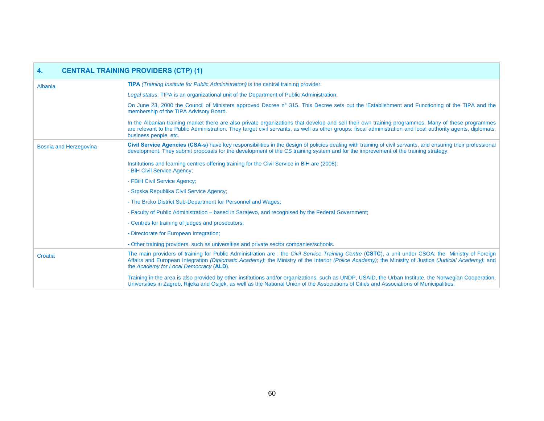| <b>CENTRAL TRAINING PROVIDERS (CTP) (1)</b><br>4. |                                                                                                                                                                                                                                                                                                                                                       |  |  |  |
|---------------------------------------------------|-------------------------------------------------------------------------------------------------------------------------------------------------------------------------------------------------------------------------------------------------------------------------------------------------------------------------------------------------------|--|--|--|
| Albania                                           | <b>TIPA</b> (Training Institute for Public Administration) is the central training provider.                                                                                                                                                                                                                                                          |  |  |  |
|                                                   | Legal status: TIPA is an organizational unit of the Department of Public Administration.                                                                                                                                                                                                                                                              |  |  |  |
|                                                   | On June 23, 2000 the Council of Ministers approved Decree n° 315. This Decree sets out the 'Establishment and Functioning of the TIPA and the<br>membership of the TIPA Advisory Board.                                                                                                                                                               |  |  |  |
|                                                   | In the Albanian training market there are also private organizations that develop and sell their own training programmes. Many of these programmes<br>are relevant to the Public Administration. They target civil servants, as well as other groups: fiscal administration and local authority agents, diplomats,<br>business people, etc.           |  |  |  |
| Bosnia and Herzegovina                            | Civil Service Agencies (CSA-s) have key responsibilities in the design of policies dealing with training of civil servants, and ensuring their professional<br>development. They submit proposals for the development of the CS training system and for the improvement of the training strategy.                                                     |  |  |  |
|                                                   | Institutions and learning centres offering training for the Civil Service in BiH are (2008):<br>- BiH Civil Service Agency;                                                                                                                                                                                                                           |  |  |  |
|                                                   | - FBiH Civil Service Agency;                                                                                                                                                                                                                                                                                                                          |  |  |  |
|                                                   | - Srpska Republika Civil Service Agency;                                                                                                                                                                                                                                                                                                              |  |  |  |
|                                                   | - The Brcko District Sub-Department for Personnel and Wages;                                                                                                                                                                                                                                                                                          |  |  |  |
|                                                   | - Faculty of Public Administration – based in Sarajevo, and recognised by the Federal Government;                                                                                                                                                                                                                                                     |  |  |  |
|                                                   | - Centres for training of judges and prosecutors;                                                                                                                                                                                                                                                                                                     |  |  |  |
|                                                   | - Directorate for European Integration;                                                                                                                                                                                                                                                                                                               |  |  |  |
|                                                   | - Other training providers, such as universities and private sector companies/schools.                                                                                                                                                                                                                                                                |  |  |  |
| Croatia                                           | The main providers of training for Public Administration are: the Civil Service Training Centre (CSTC), a unit under CSOA; the Ministry of Foreign<br>Affairs and European Integration (Diplomatic Academy); the Ministry of the Interior (Police Academy); the Ministry of Justice (Judicial Academy); and<br>the Academy for Local Democracy (ALD). |  |  |  |
|                                                   | Training in the area is also provided by other institutions and/or organizations, such as UNDP, USAID, the Urban Institute, the Norwegian Cooperation,<br>Universities in Zagreb, Rijeka and Osijek, as well as the National Union of the Associations of Cities and Associations of Municipalities.                                                  |  |  |  |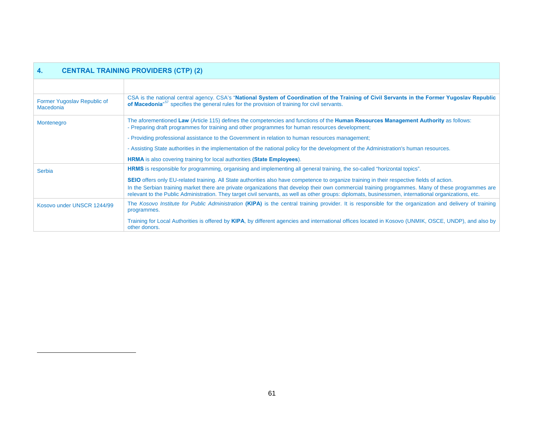<span id="page-60-0"></span>

| <b>CENTRAL TRAINING PROVIDERS (CTP) (2)</b><br>4. |                                                                                                                                                                                                                                                                                                             |  |
|---------------------------------------------------|-------------------------------------------------------------------------------------------------------------------------------------------------------------------------------------------------------------------------------------------------------------------------------------------------------------|--|
|                                                   |                                                                                                                                                                                                                                                                                                             |  |
| Former Yugoslav Republic of<br><b>Macedonia</b>   | CSA is the national central agency. CSA's "National System of Coordination of the Training of Civil Servants in the Former Yugoslav Republic<br>of Macedonia <sup>"57</sup> specifies the general rules for the provision of training for civil servants.                                                   |  |
| Montenegro                                        | The aforementioned Law (Article 115) defines the competencies and functions of the Human Resources Management Authority as follows:<br>- Preparing draft programmes for training and other programmes for human resources development;                                                                      |  |
|                                                   | - Providing professional assistance to the Government in relation to human resources management;                                                                                                                                                                                                            |  |
|                                                   | - Assisting State authorities in the implementation of the national policy for the development of the Administration's human resources.                                                                                                                                                                     |  |
|                                                   | <b>HRMA</b> is also covering training for local authorities (State Employees).                                                                                                                                                                                                                              |  |
| Serbia                                            | <b>HRMS</b> is responsible for programming, organising and implementing all general training, the so-called "horizontal topics".                                                                                                                                                                            |  |
|                                                   | <b>SEIO</b> offers only EU-related training. All State authorities also have competence to organize training in their respective fields of action.                                                                                                                                                          |  |
|                                                   | In the Serbian training market there are private organizations that develop their own commercial training programmes. Many of these programmes are<br>relevant to the Public Administration. They target civil servants, as well as other groups: diplomats, businessmen, international organizations, etc. |  |
| Kosovo under UNSCR 1244/99                        | The Kosovo Institute for Public Administration (KIPA) is the central training provider. It is responsible for the organization and delivery of training<br>programmes.                                                                                                                                      |  |
|                                                   | Training for Local Authorities is offered by KIPA, by different agencies and international offices located in Kosovo (UNMIK, OSCE, UNDP), and also by<br>other donors.                                                                                                                                      |  |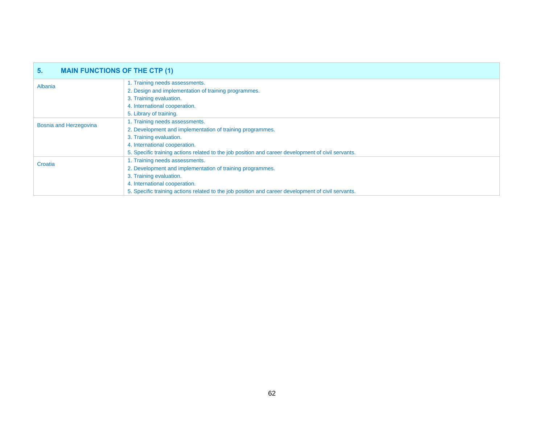| 5.<br><b>MAIN FUNCTIONS OF THE CTP (1)</b> |                                                                                                    |
|--------------------------------------------|----------------------------------------------------------------------------------------------------|
| Albania                                    | 1. Training needs assessments.                                                                     |
|                                            | 2. Design and implementation of training programmes.                                               |
|                                            | 3. Training evaluation.                                                                            |
|                                            | 4. International cooperation.                                                                      |
|                                            | 5. Library of training.                                                                            |
| Bosnia and Herzegovina                     | 1. Training needs assessments.                                                                     |
|                                            | 2. Development and implementation of training programmes.                                          |
|                                            | 3. Training evaluation.                                                                            |
|                                            | 4. International cooperation.                                                                      |
|                                            | 5. Specific training actions related to the job position and career development of civil servants. |
| Croatia                                    | 1. Training needs assessments.                                                                     |
|                                            | 2. Development and implementation of training programmes.                                          |
|                                            | 3. Training evaluation.                                                                            |
|                                            | 4. International cooperation.                                                                      |
|                                            | 5. Specific training actions related to the job position and career development of civil servants. |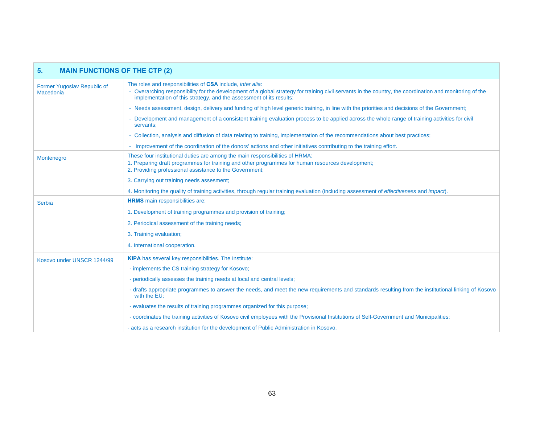| <b>MAIN FUNCTIONS OF THE CTP (2)</b><br>5 <sub>1</sub> |                                                                                                                                                                                                                                                                                                       |
|--------------------------------------------------------|-------------------------------------------------------------------------------------------------------------------------------------------------------------------------------------------------------------------------------------------------------------------------------------------------------|
| Former Yugoslav Republic of<br>Macedonia               | The roles and responsibilities of CSA include, <i>inter alia</i> :<br>- Overarching responsibility for the development of a global strategy for training civil servants in the country, the coordination and monitoring of the<br>implementation of this strategy, and the assessment of its results; |
|                                                        | - Needs assessment, design, delivery and funding of high level generic training, in line with the priorities and decisions of the Government;                                                                                                                                                         |
|                                                        | - Development and management of a consistent training evaluation process to be applied across the whole range of training activities for civil<br>servants:                                                                                                                                           |
|                                                        | - Collection, analysis and diffusion of data relating to training, implementation of the recommendations about best practices;                                                                                                                                                                        |
|                                                        | - Improvement of the coordination of the donors' actions and other initiatives contributing to the training effort.                                                                                                                                                                                   |
| Montenegro                                             | These four institutional duties are among the main responsibilities of HRMA:<br>1. Preparing draft programmes for training and other programmes for human resources development;<br>2. Providing professional assistance to the Government;                                                           |
|                                                        | 3. Carrying out training needs assesment;                                                                                                                                                                                                                                                             |
|                                                        | 4. Monitoring the quality of training activities, through regular training evaluation (including assessment of <i>effectiveness</i> and <i>impact</i> ).                                                                                                                                              |
| <b>Serbia</b>                                          | <b>HRMS</b> main responsibilities are:                                                                                                                                                                                                                                                                |
|                                                        | 1. Development of training programmes and provision of training;                                                                                                                                                                                                                                      |
|                                                        | 2. Periodical assessment of the training needs;                                                                                                                                                                                                                                                       |
|                                                        | 3. Training evaluation;                                                                                                                                                                                                                                                                               |
|                                                        | 4. International cooperation.                                                                                                                                                                                                                                                                         |
| Kosovo under UNSCR 1244/99                             | <b>KIPA</b> has several key responsibilities. The Institute:                                                                                                                                                                                                                                          |
|                                                        | - implements the CS training strategy for Kosovo;                                                                                                                                                                                                                                                     |
|                                                        | - periodically assesses the training needs at local and central levels;                                                                                                                                                                                                                               |
|                                                        | - drafts appropriate programmes to answer the needs, and meet the new requirements and standards resulting from the institutional linking of Kosovo<br>with the EU;                                                                                                                                   |
|                                                        | - evaluates the results of training programmes organized for this purpose;                                                                                                                                                                                                                            |
|                                                        | - coordinates the training activities of Kosovo civil employees with the Provisional Institutions of Self-Government and Municipalities;                                                                                                                                                              |
|                                                        | - acts as a research institution for the development of Public Administration in Kosovo.                                                                                                                                                                                                              |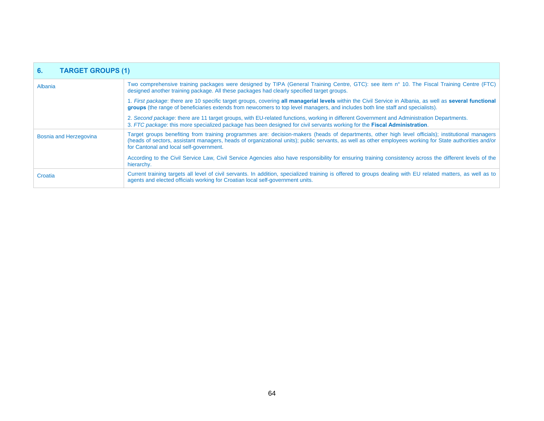| <b>TARGET GROUPS (1)</b><br>6. |                                                                                                                                                                                                                                                                                                                                                         |
|--------------------------------|---------------------------------------------------------------------------------------------------------------------------------------------------------------------------------------------------------------------------------------------------------------------------------------------------------------------------------------------------------|
| Albania                        | Two comprehensive training packages were designed by TIPA (General Training Centre, GTC): see item n° 10. The Fiscal Training Centre (FTC)<br>designed another training package. All these packages had clearly specified target groups.                                                                                                                |
|                                | 1. First package: there are 10 specific target groups, covering all managerial levels within the Civil Service in Albania, as well as several functional<br>groups (the range of beneficiaries extends from newcomers to top level managers, and includes both line staff and specialists).                                                             |
|                                | 2. Second package: there are 11 target groups, with EU-related functions, working in different Government and Administration Departments.<br>3. FTC package: this more specialized package has been designed for civil servants working for the Fiscal Administration.                                                                                  |
| <b>Bosnia and Herzegovina</b>  | Target groups benefiting from training programmes are: decision-makers (heads of departments, other high level officials); institutional managers<br>(heads of sectors, assistant managers, heads of organizational units); public servants, as well as other employees working for State authorities and/or<br>for Cantonal and local self-government. |
|                                | According to the Civil Service Law, Civil Service Agencies also have responsibility for ensuring training consistency across the different levels of the<br>hierarchy.                                                                                                                                                                                  |
| Croatia                        | Current training targets all level of civil servants. In addition, specialized training is offered to groups dealing with EU related matters, as well as to<br>agents and elected officials working for Croatian local self-government units.                                                                                                           |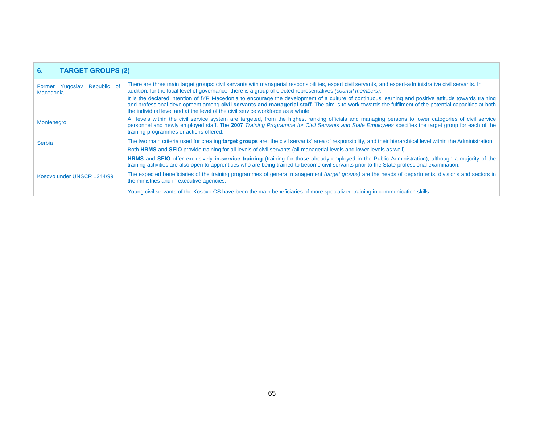| <b>TARGET GROUPS (2)</b><br>6.                  |                                                                                                                                                                                                                                                                                                                                                                                                    |
|-------------------------------------------------|----------------------------------------------------------------------------------------------------------------------------------------------------------------------------------------------------------------------------------------------------------------------------------------------------------------------------------------------------------------------------------------------------|
| Former Yugoslav Republic of<br><b>Macedonia</b> | There are three main target groups: civil servants with managerial responsibilities, expert civil servants, and expert-administrative civil servants. In<br>addition, for the local level of governance, there is a group of elected representatives (council members).                                                                                                                            |
|                                                 | It is the declared intention of fYR Macedonia to encourage the development of a culture of continuous learning and positive attitude towards training<br>and professional development among civil servants and managerial staff. The aim is to work towards the fulfilment of the potential capacities at both<br>the individual level and at the level of the civil service workforce as a whole. |
| Montenegro                                      | All levels within the civil service system are targeted, from the highest ranking officials and managing persons to lower catogories of civil service<br>personnel and newly employed staff. The 2007 Training Programme for Civil Servants and State Employees specifies the target group for each of the<br>training programmes or actions offered.                                              |
| Serbia                                          | The two main criteria used for creating target groups are: the civil servants' area of responsibility, and their hierarchical level within the Administration.                                                                                                                                                                                                                                     |
|                                                 | Both HRMS and SEIO provide training for all levels of civil servants (all managerial levels and lower levels as well).                                                                                                                                                                                                                                                                             |
|                                                 | HRMS and SEIO offer exclusively in-service training (training for those already employed in the Public Administration), although a majority of the<br>training activities are also open to apprentices who are being trained to become civil servants prior to the State professional examination.                                                                                                 |
| Kosovo under UNSCR 1244/99                      | The expected beneficiaries of the training programmes of general management (target groups) are the heads of departments, divisions and sectors in<br>the ministries and in executive agencies.                                                                                                                                                                                                    |
|                                                 | Young civil servants of the Kosovo CS have been the main beneficiaries of more specialized training in communication skills.                                                                                                                                                                                                                                                                       |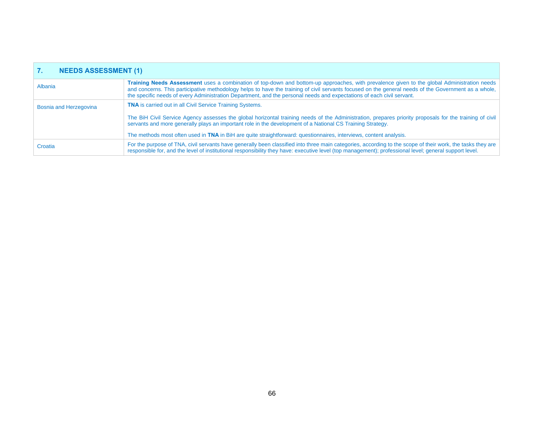| <b>NEEDS ASSESSMENT (1)</b> |                                                                                                                                                                                                                                                                                                                                                                                                                              |
|-----------------------------|------------------------------------------------------------------------------------------------------------------------------------------------------------------------------------------------------------------------------------------------------------------------------------------------------------------------------------------------------------------------------------------------------------------------------|
| Albania                     | Training Needs Assessment uses a combination of top-down and bottom-up approaches, with prevalence given to the global Administration needs<br>and concerns. This participative methodology helps to have the training of civil servants focused on the general needs of the Government as a whole,<br>the specific needs of every Administration Department, and the personal needs and expectations of each civil servant. |
| Bosnia and Herzegovina      | <b>TNA</b> is carried out in all Civil Service Training Systems.                                                                                                                                                                                                                                                                                                                                                             |
|                             | The BiH Civil Service Agency assesses the global horizontal training needs of the Administration, prepares priority proposals for the training of civil<br>servants and more generally plays an important role in the development of a National CS Training Strategy.                                                                                                                                                        |
|                             | The methods most often used in TNA in BiH are quite straightforward: questionnaires, interviews, content analysis.                                                                                                                                                                                                                                                                                                           |
| Croatia                     | For the purpose of TNA, civil servants have generally been classified into three main categories, according to the scope of their work, the tasks they are<br>responsible for, and the level of institutional responsibility they have: executive level (top management); professional level; general support level.                                                                                                         |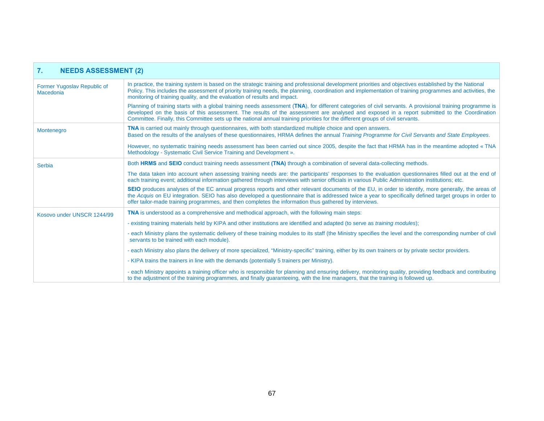| <b>NEEDS ASSESSMENT (2)</b><br>7.        |                                                                                                                                                                                                                                                                                                                                                                                                                                             |
|------------------------------------------|---------------------------------------------------------------------------------------------------------------------------------------------------------------------------------------------------------------------------------------------------------------------------------------------------------------------------------------------------------------------------------------------------------------------------------------------|
| Former Yugoslav Republic of<br>Macedonia | In practice, the training system is based on the strategic training and professional development priorities and objectives established by the National<br>Policy. This includes the assessment of priority training needs, the planning, coordination and implementation of training programmes and activities, the<br>monitoring of training quality, and the evaluation of results and impact.                                            |
|                                          | Planning of training starts with a global training needs assessment (TNA), for different categories of civil servants. A provisional training programme is<br>developed on the basis of this assessment. The results of the assessment are analysed and exposed in a report submitted to the Coordination<br>Committee. Finally, this Committee sets up the national annual training priorities for the different groups of civil servants. |
| Montenegro                               | <b>TNA</b> is carried out mainly through questionnaires, with both standardized multiple choice and open answers.<br>Based on the results of the analyses of these questionnaires, HRMA defines the annual Training Programme for Civil Servants and State Employees.                                                                                                                                                                       |
|                                          | However, no systematic training needs assessment has been carried out since 2005, despite the fact that HRMA has in the meantime adopted «TNA<br>Methodology - Systematic Civil Service Training and Development ».                                                                                                                                                                                                                         |
| Serbia                                   | Both HRMS and SEIO conduct training needs assessment (TNA) through a combination of several data-collecting methods.                                                                                                                                                                                                                                                                                                                        |
|                                          | The data taken into account when assessing training needs are: the participants' responses to the evaluation questionnaires filled out at the end of<br>each training event; additional information gathered through interviews with senior officials in various Public Administration institutions; etc.                                                                                                                                   |
|                                          | SEIO produces analyses of the EC annual progress reports and other relevant documents of the EU, in order to identify, more generally, the areas of<br>the Acquis on EU integration. SEIO has also developed a questionnaire that is addressed twice a year to specifically defined target groups in order to<br>offer tailor-made training programmes, and then completes the information thus gathered by interviews.                     |
| Kosovo under UNSCR 1244/99               | <b>TNA</b> is understood as a comprehensive and methodical approach, with the following main steps:                                                                                                                                                                                                                                                                                                                                         |
|                                          | - existing training materials held by KIPA and other institutions are identified and adapted (to serve as <i>training modules</i> );                                                                                                                                                                                                                                                                                                        |
|                                          | - each Ministry plans the systematic delivery of these training modules to its staff (the Ministry specifies the level and the corresponding number of civil<br>servants to be trained with each module).                                                                                                                                                                                                                                   |
|                                          | - each Ministry also plans the delivery of more specialized, "Ministry-specific" training, either by its own trainers or by private sector providers.                                                                                                                                                                                                                                                                                       |
|                                          | - KIPA trains the trainers in line with the demands (potentially 5 trainers per Ministry).                                                                                                                                                                                                                                                                                                                                                  |
|                                          | - each Ministry appoints a training officer who is responsible for planning and ensuring delivery, monitoring quality, providing feedback and contributing<br>to the adjustment of the training programmes, and finally guaranteeing, with the line managers, that the training is followed up.                                                                                                                                             |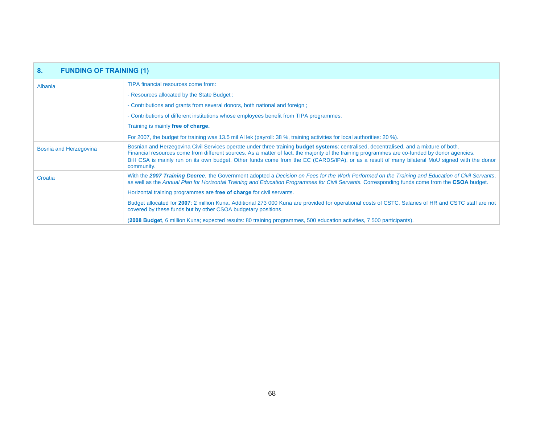| 8 <sub>1</sub><br><b>FUNDING OF TRAINING (1)</b> |                                                                                                                                                                                                                                                                                                                                                                                                                                                                 |
|--------------------------------------------------|-----------------------------------------------------------------------------------------------------------------------------------------------------------------------------------------------------------------------------------------------------------------------------------------------------------------------------------------------------------------------------------------------------------------------------------------------------------------|
| Albania                                          | TIPA financial resources come from:                                                                                                                                                                                                                                                                                                                                                                                                                             |
|                                                  | - Resources allocated by the State Budget;                                                                                                                                                                                                                                                                                                                                                                                                                      |
|                                                  | - Contributions and grants from several donors, both national and foreign;                                                                                                                                                                                                                                                                                                                                                                                      |
|                                                  | - Contributions of different institutions whose employees benefit from TIPA programmes.                                                                                                                                                                                                                                                                                                                                                                         |
|                                                  | Training is mainly free of charge.                                                                                                                                                                                                                                                                                                                                                                                                                              |
|                                                  | For 2007, the budget for training was 13.5 mil Al lek (payroll: 38 %, training activities for local authorities: 20 %).                                                                                                                                                                                                                                                                                                                                         |
| Bosnia and Herzegovina                           | Bosnian and Herzegovina Civil Services operate under three training <b>budget systems</b> : centralised, decentralised, and a mixture of both.<br>Financial resources come from different sources. As a matter of fact, the majority of the training programmes are co-funded by donor agencies.<br>BiH CSA is mainly run on its own budget. Other funds come from the EC (CARDS/IPA), or as a result of many bilateral MoU signed with the donor<br>community. |
| Croatia                                          | With the 2007 Training Decree, the Government adopted a Decision on Fees for the Work Performed on the Training and Education of Civil Servants,<br>as well as the Annual Plan for Horizontal Training and Education Programmes for Civil Servants. Corresponding funds come from the CSOA budget.                                                                                                                                                              |
|                                                  | Horizontal training programmes are free of charge for civil servants.                                                                                                                                                                                                                                                                                                                                                                                           |
|                                                  | Budget allocated for 2007: 2 million Kuna. Additional 273 000 Kuna are provided for operational costs of CSTC. Salaries of HR and CSTC staff are not<br>covered by these funds but by other CSOA budgetary positions.                                                                                                                                                                                                                                           |
|                                                  | (2008 Budget, 6 million Kuna; expected results: 80 training programmes, 500 education activities, 7 500 participants).                                                                                                                                                                                                                                                                                                                                          |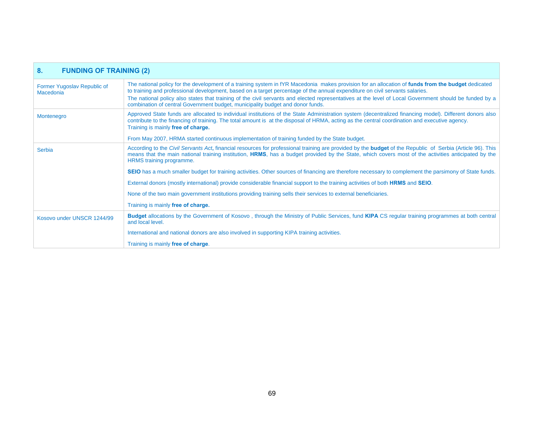| 8 <sub>1</sub><br><b>FUNDING OF TRAINING (2)</b> |                                                                                                                                                                                                                                                                                                                                                                                                                                                                                                                                |
|--------------------------------------------------|--------------------------------------------------------------------------------------------------------------------------------------------------------------------------------------------------------------------------------------------------------------------------------------------------------------------------------------------------------------------------------------------------------------------------------------------------------------------------------------------------------------------------------|
| Former Yugoslav Republic of<br>Macedonia         | The national policy for the development of a training system in fYR Macedonia makes provision for an allocation of funds from the budget dedicated<br>to training and professional development, based on a target percentage of the annual expenditure on civil servants salaries.<br>The national policy also states that training of the civil servants and elected representatives at the level of Local Government should be funded by a<br>combination of central Government budget, municipality budget and donor funds. |
| Montenegro                                       | Approved State funds are allocated to individual institutions of the State Administration system (decentralized financing model). Different donors also<br>contribute to the financing of training. The total amount is at the disposal of HRMA, acting as the central coordination and executive agency.<br>Training is mainly free of charge.                                                                                                                                                                                |
|                                                  | From May 2007, HRMA started continuous implementation of training funded by the State budget.                                                                                                                                                                                                                                                                                                                                                                                                                                  |
| Serbia                                           | According to the Civil Servants Act, financial resources for professional training are provided by the <b>budget</b> of the Republic of Serbia (Article 96). This<br>means that the main national training institution, HRMS, has a budget provided by the State, which covers most of the activities anticipated by the<br>HRMS training programme.                                                                                                                                                                           |
|                                                  | SEIO has a much smaller budget for training activities. Other sources of financing are therefore necessary to complement the parsimony of State funds.                                                                                                                                                                                                                                                                                                                                                                         |
|                                                  | External donors (mostly international) provide considerable financial support to the training activities of both HRMS and SEIO.                                                                                                                                                                                                                                                                                                                                                                                                |
|                                                  | None of the two main government institutions providing training sells their services to external beneficiaries.                                                                                                                                                                                                                                                                                                                                                                                                                |
|                                                  | Training is mainly free of charge.                                                                                                                                                                                                                                                                                                                                                                                                                                                                                             |
| Kosovo under UNSCR 1244/99                       | <b>Budget</b> allocations by the Government of Kosovo, through the Ministry of Public Services, fund <b>KIPA</b> CS regular training programmes at both central<br>and local level.                                                                                                                                                                                                                                                                                                                                            |
|                                                  | International and national donors are also involved in supporting KIPA training activities.                                                                                                                                                                                                                                                                                                                                                                                                                                    |
|                                                  | Training is mainly free of charge.                                                                                                                                                                                                                                                                                                                                                                                                                                                                                             |

л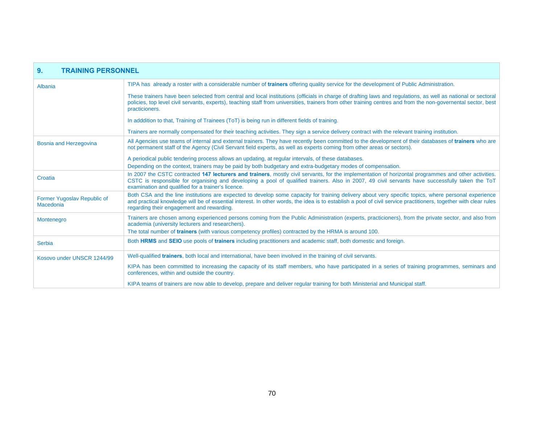| 9.<br><b>TRAINING PERSONNEL</b>                 |                                                                                                                                                                                                                                                                                                                                                                       |
|-------------------------------------------------|-----------------------------------------------------------------------------------------------------------------------------------------------------------------------------------------------------------------------------------------------------------------------------------------------------------------------------------------------------------------------|
| Albania                                         | TIPA has already a roster with a considerable number of trainers offering quality service for the development of Public Administration.                                                                                                                                                                                                                               |
|                                                 | These trainers have been selected from central and local institutions (officials in charge of drafting laws and regulations, as well as national or sectoral<br>policies, top level civil servants, experts), teaching staff from universities, trainers from other training centres and from the non-governental sector, best<br>practicioners.                      |
|                                                 | In adddition to that, Training of Trainees (ToT) is being run in different fields of training.                                                                                                                                                                                                                                                                        |
|                                                 | Trainers are normally compensated for their teaching activities. They sign a service delivery contract with the relevant training institution.                                                                                                                                                                                                                        |
| <b>Bosnia and Herzegovina</b>                   | All Agencies use teams of internal and external trainers. They have recently been committed to the development of their databases of trainers who are<br>not permanent staff of the Agency (Civil Servant field experts, as well as experts coming from other areas or sectors).                                                                                      |
|                                                 | A periodical public tendering process allows an updating, at regular intervals, of these databases.                                                                                                                                                                                                                                                                   |
|                                                 | Depending on the context, trainers may be paid by both budgetary and extra-budgetary modes of compensation.                                                                                                                                                                                                                                                           |
| Croatia                                         | In 2007 the CSTC contracted 147 lecturers and trainers, mostly civil servants, for the implementation of horizontal programmes and other activities.<br>CSTC is responsible for organising and developing a pool of qualified trainers. Also in 2007, 49 civil servants have successfully taken the ToT<br>examination and qualified for a trainer's licence.         |
| Former Yugoslav Republic of<br><b>Macedonia</b> | Both CSA and the line institutions are expected to develop some capacity for training delivery about very specific topics, where personal experience<br>and practical knowledge will be of essential interest. In other words, the idea is to establish a pool of civil service practitioners, together with clear rules<br>regarding their engagement and rewarding. |
| Montenegro                                      | Trainers are chosen among experienced persons coming from the Public Administration (experts, practicioners), from the private sector, and also from<br>academia (university lecturers and researchers).                                                                                                                                                              |
|                                                 | The total number of <b>trainers</b> (with various competency profiles) contracted by the HRMA is around 100.                                                                                                                                                                                                                                                          |
| <b>Serbia</b>                                   | Both HRMS and SEIO use pools of trainers including practitioners and academic staff, both domestic and foreign.                                                                                                                                                                                                                                                       |
| Kosovo under UNSCR 1244/99                      | Well-qualified <b>trainers</b> , both local and international, have been involved in the training of civil servants.                                                                                                                                                                                                                                                  |
|                                                 | KIPA has been committed to increasing the capacity of its staff members, who have participated in a series of training programmes, seminars and<br>conferences, within and outside the country.                                                                                                                                                                       |
|                                                 | KIPA teams of trainers are now able to develop, prepare and deliver regular training for both Ministerial and Municipal staff.                                                                                                                                                                                                                                        |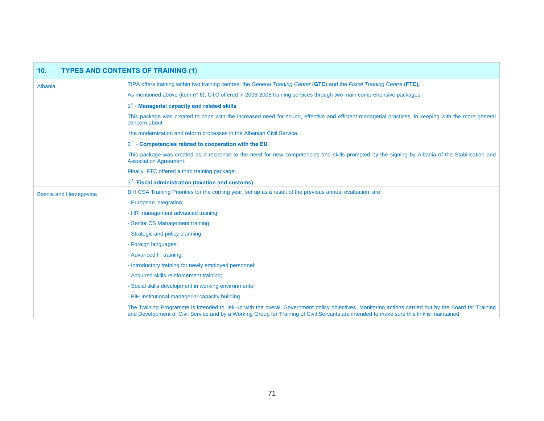| 10 <sub>1</sub>               | <b>TYPES AND CONTENTS OF TRAINING (1)</b>                                                                                                                                                                                                                                                          |  |
|-------------------------------|----------------------------------------------------------------------------------------------------------------------------------------------------------------------------------------------------------------------------------------------------------------------------------------------------|--|
| Albania                       | TIPA offers training within two training centres: the General Training Center (GTC) and the Fiscal Training Centre (FTC).                                                                                                                                                                          |  |
|                               | As mentioned above (item n° 6), GTC offered in 2006-2008 training services through two main comprehensive packages:                                                                                                                                                                                |  |
|                               | 1 <sup>st</sup> - Managerial capacity and related skills                                                                                                                                                                                                                                           |  |
|                               | This package was created to cope with the increased need for sound, effective and efficient managerial practices, in keeping with the more general<br>concern about                                                                                                                                |  |
|                               | the modernization and reform processes in the Albanian Civil Service.                                                                                                                                                                                                                              |  |
|                               | $2^{nd}$ - Competencies related to cooperation with the EU                                                                                                                                                                                                                                         |  |
|                               | This package was created as a response to the need for new competencies and skills prompted by the signing by Albania of the Stabilisation and<br><b>Association Agreement.</b>                                                                                                                    |  |
|                               | Finally, FTC offered a third training package:                                                                                                                                                                                                                                                     |  |
|                               | $3D$ - Fiscal administration (taxation and customs).                                                                                                                                                                                                                                               |  |
| <b>Bosnia and Herzegovina</b> | BiH CSA Training Priorities for the coming year, set up as a result of the previous annual evaluation, are:                                                                                                                                                                                        |  |
|                               | - European integration;                                                                                                                                                                                                                                                                            |  |
|                               | - HR management advanced training;                                                                                                                                                                                                                                                                 |  |
|                               | - Senior CS Management training:                                                                                                                                                                                                                                                                   |  |
|                               | - Strategic and policy planning;                                                                                                                                                                                                                                                                   |  |
|                               | - Foreign languages;                                                                                                                                                                                                                                                                               |  |
|                               | - Advanced IT training:                                                                                                                                                                                                                                                                            |  |
|                               | - Introductory training for newly employed personnel;                                                                                                                                                                                                                                              |  |
|                               | - Acquired skills reinforcement training;                                                                                                                                                                                                                                                          |  |
|                               | - Social skills development in working environments;                                                                                                                                                                                                                                               |  |
|                               | - BiH Institutional managerial capacity building.                                                                                                                                                                                                                                                  |  |
|                               | The Training Programme is intended to link up with the overall Government policy objectives. Monitoring actions carried out by the Board for Training<br>and Development of Civil Service and by a Working Group for Training of Civil Servants are intended to make sure this link is maintained. |  |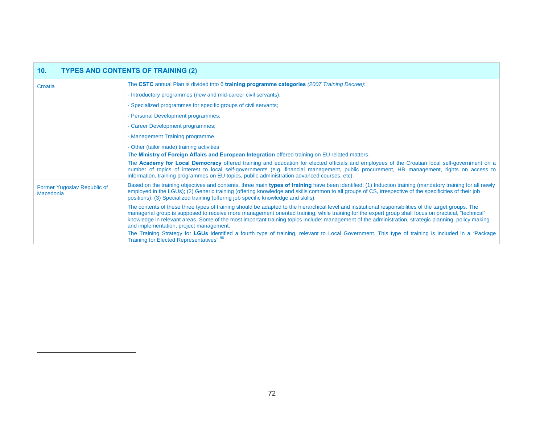<span id="page-71-0"></span>

| 10 <sub>1</sub><br><b>TYPES AND CONTENTS OF TRAINING (2)</b> |                                                                                                                                                                                                                                                                                                                                                                                                                                                                                                                   |
|--------------------------------------------------------------|-------------------------------------------------------------------------------------------------------------------------------------------------------------------------------------------------------------------------------------------------------------------------------------------------------------------------------------------------------------------------------------------------------------------------------------------------------------------------------------------------------------------|
| Croatia                                                      | The CSTC annual Plan is divided into 6 training programme categories (2007 Training Decree):                                                                                                                                                                                                                                                                                                                                                                                                                      |
|                                                              | - Introductory programmes (new and mid-career civil servants);                                                                                                                                                                                                                                                                                                                                                                                                                                                    |
|                                                              | - Specialized programmes for specific groups of civil servants;                                                                                                                                                                                                                                                                                                                                                                                                                                                   |
|                                                              | - Personal Development programmes;                                                                                                                                                                                                                                                                                                                                                                                                                                                                                |
|                                                              | - Career Development programmes;                                                                                                                                                                                                                                                                                                                                                                                                                                                                                  |
|                                                              | - Management Training programme                                                                                                                                                                                                                                                                                                                                                                                                                                                                                   |
|                                                              | - Other (tailor made) training activities<br>The Ministry of Foreign Affairs and European Integration offered training on EU related matters.                                                                                                                                                                                                                                                                                                                                                                     |
|                                                              | The Academy for Local Democracy offered training and education for elected officials and employees of the Croatian local self-government on a<br>number of topics of interest to local self-governments (e.g. financial management, public procurement, HR management, rights on access to<br>information, training programmes on EU topics, public administration advanced courses, etc).                                                                                                                        |
| Former Yugoslav Republic of<br>Macedonia                     | Based on the training objectives and contents, three main types of training have been identified: (1) Induction training (mandatory training for all newly<br>employed in the LGUs); (2) Generic training (offering knowledge and skills common to all groups of CS, irrespective of the specificities of their job<br>positions); (3) Specialized training (offering job specific knowledge and skills).                                                                                                         |
|                                                              | The contents of these three types of training should be adapted to the hierarchical level and institutional responsibilities of the target groups. The<br>managerial group is supposed to receive more management oriented training, while training for the expert group shall focus on practical, "technical"<br>knowledge in relevant areas. Some of the most important training topics include: management of the administration, strategic planning, policy making<br>and implementation, project management. |
|                                                              | The Training Strategy for LGUs identified a fourth type of training, relevant to Local Government. This type of training is included in a "Package"<br>Training for Elected Representatives". <sup>58</sup>                                                                                                                                                                                                                                                                                                       |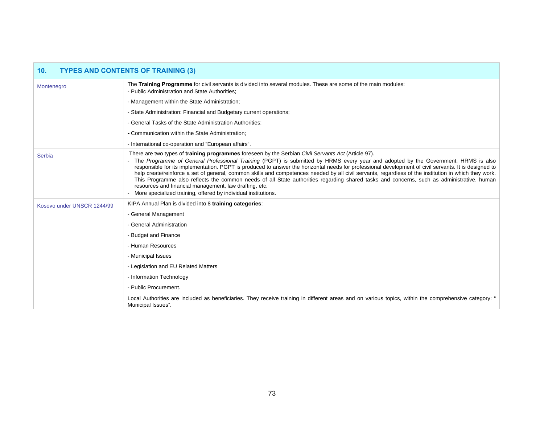| <b>TYPES AND CONTENTS OF TRAINING (3)</b><br>10 <sub>1</sub> |                                                                                                                                                                                                                                                                                                                                                                                                                                                                                                                                                                                                                                                                                                                                                                                                                                              |  |  |  |  |  |
|--------------------------------------------------------------|----------------------------------------------------------------------------------------------------------------------------------------------------------------------------------------------------------------------------------------------------------------------------------------------------------------------------------------------------------------------------------------------------------------------------------------------------------------------------------------------------------------------------------------------------------------------------------------------------------------------------------------------------------------------------------------------------------------------------------------------------------------------------------------------------------------------------------------------|--|--|--|--|--|
| Montenegro                                                   | The Training Programme for civil servants is divided into several modules. These are some of the main modules:<br>- Public Administration and State Authorities:                                                                                                                                                                                                                                                                                                                                                                                                                                                                                                                                                                                                                                                                             |  |  |  |  |  |
|                                                              | - Management within the State Administration;                                                                                                                                                                                                                                                                                                                                                                                                                                                                                                                                                                                                                                                                                                                                                                                                |  |  |  |  |  |
|                                                              | - State Administration: Financial and Budgetary current operations;                                                                                                                                                                                                                                                                                                                                                                                                                                                                                                                                                                                                                                                                                                                                                                          |  |  |  |  |  |
|                                                              | - General Tasks of the State Administration Authorities;                                                                                                                                                                                                                                                                                                                                                                                                                                                                                                                                                                                                                                                                                                                                                                                     |  |  |  |  |  |
|                                                              | - Communication within the State Administration;                                                                                                                                                                                                                                                                                                                                                                                                                                                                                                                                                                                                                                                                                                                                                                                             |  |  |  |  |  |
|                                                              | - International co-operation and "European affairs".                                                                                                                                                                                                                                                                                                                                                                                                                                                                                                                                                                                                                                                                                                                                                                                         |  |  |  |  |  |
| <b>Serbia</b>                                                | There are two types of <b>training programmes</b> foreseen by the Serbian Civil Servants Act (Article 97).<br>- The Programme of General Professional Training (PGPT) is submitted by HRMS every year and adopted by the Government. HRMS is also<br>responsible for its implementation. PGPT is produced to answer the horizontal needs for professional development of civil servants. It is designed to<br>help create/reinforce a set of general, common skills and competences needed by all civil servants, regardless of the institution in which they work.<br>This Programme also reflects the common needs of all State authorities regarding shared tasks and concerns, such as administrative, human<br>resources and financial management, law drafting, etc.<br>More specialized training, offered by individual institutions. |  |  |  |  |  |
| Kosovo under UNSCR 1244/99                                   | KIPA Annual Plan is divided into 8 training categories:                                                                                                                                                                                                                                                                                                                                                                                                                                                                                                                                                                                                                                                                                                                                                                                      |  |  |  |  |  |
|                                                              | - General Management                                                                                                                                                                                                                                                                                                                                                                                                                                                                                                                                                                                                                                                                                                                                                                                                                         |  |  |  |  |  |
|                                                              | - General Administration                                                                                                                                                                                                                                                                                                                                                                                                                                                                                                                                                                                                                                                                                                                                                                                                                     |  |  |  |  |  |
|                                                              | - Budget and Finance                                                                                                                                                                                                                                                                                                                                                                                                                                                                                                                                                                                                                                                                                                                                                                                                                         |  |  |  |  |  |
|                                                              | - Human Resources                                                                                                                                                                                                                                                                                                                                                                                                                                                                                                                                                                                                                                                                                                                                                                                                                            |  |  |  |  |  |
|                                                              | - Municipal Issues                                                                                                                                                                                                                                                                                                                                                                                                                                                                                                                                                                                                                                                                                                                                                                                                                           |  |  |  |  |  |
|                                                              | - Legislation and EU Related Matters                                                                                                                                                                                                                                                                                                                                                                                                                                                                                                                                                                                                                                                                                                                                                                                                         |  |  |  |  |  |
|                                                              | - Information Technology                                                                                                                                                                                                                                                                                                                                                                                                                                                                                                                                                                                                                                                                                                                                                                                                                     |  |  |  |  |  |
|                                                              | - Public Procurement.                                                                                                                                                                                                                                                                                                                                                                                                                                                                                                                                                                                                                                                                                                                                                                                                                        |  |  |  |  |  |
|                                                              | Local Authorities are included as beneficiaries. They receive training in different areas and on various topics, within the comprehensive category: "<br>Municipal Issues".                                                                                                                                                                                                                                                                                                                                                                                                                                                                                                                                                                                                                                                                  |  |  |  |  |  |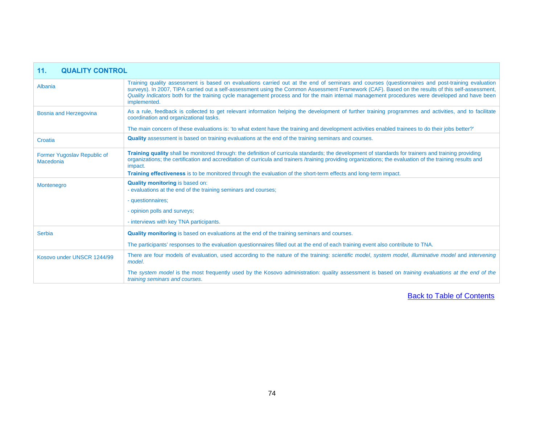| 11.<br><b>QUALITY CONTROL</b>            |                                                                                                                                                                                                                                                                                                                                                                                                                                                                       |  |  |  |  |  |
|------------------------------------------|-----------------------------------------------------------------------------------------------------------------------------------------------------------------------------------------------------------------------------------------------------------------------------------------------------------------------------------------------------------------------------------------------------------------------------------------------------------------------|--|--|--|--|--|
| Albania                                  | Training quality assessment is based on evaluations carried out at the end of seminars and courses (questionnaires and post-training evaluation<br>surveys). In 2007, TIPA carried out a self-assessment using the Common Assessment Framework (CAF). Based on the results of this self-assessment,<br>Quality Indicators both for the training cycle management process and for the main internal management procedures were developed and have been<br>implemented. |  |  |  |  |  |
| <b>Bosnia and Herzegovina</b>            | As a rule, feedback is collected to get relevant information helping the development of further training programmes and activities, and to facilitate<br>coordination and organizational tasks.                                                                                                                                                                                                                                                                       |  |  |  |  |  |
|                                          | The main concern of these evaluations is: 'to what extent have the training and development activities enabled trainees to do their jobs better?'                                                                                                                                                                                                                                                                                                                     |  |  |  |  |  |
| Croatia                                  | <b>Quality</b> assessment is based on training evaluations at the end of the training seminars and courses.                                                                                                                                                                                                                                                                                                                                                           |  |  |  |  |  |
| Former Yugoslav Republic of<br>Macedonia | Training quality shall be monitored through: the definition of curricula standards; the development of standards for trainers and training providing<br>organizations; the certification and accreditation of curricula and trainers /training providing organizations; the evaluation of the training results and<br>impact.<br>Training effectiveness is to be monitored through the evaluation of the short-term effects and long-term impact.                     |  |  |  |  |  |
| Montenegro                               | <b>Quality monitoring is based on:</b><br>- evaluations at the end of the training seminars and courses;                                                                                                                                                                                                                                                                                                                                                              |  |  |  |  |  |
|                                          | - questionnaires;                                                                                                                                                                                                                                                                                                                                                                                                                                                     |  |  |  |  |  |
|                                          | - opinion polls and surveys;                                                                                                                                                                                                                                                                                                                                                                                                                                          |  |  |  |  |  |
|                                          | - interviews with key TNA participants.                                                                                                                                                                                                                                                                                                                                                                                                                               |  |  |  |  |  |
| Serbia                                   | <b>Quality monitoring</b> is based on evaluations at the end of the training seminars and courses.                                                                                                                                                                                                                                                                                                                                                                    |  |  |  |  |  |
|                                          | The participants' responses to the evaluation questionnaires filled out at the end of each training event also contribute to TNA.                                                                                                                                                                                                                                                                                                                                     |  |  |  |  |  |
| Kosovo under UNSCR 1244/99               | There are four models of evaluation, used according to the nature of the training: scientific model, system model, illuminative model and intervening<br>model.                                                                                                                                                                                                                                                                                                       |  |  |  |  |  |
|                                          | The system model is the most frequently used by the Kosovo administration: quality assessment is based on training evaluations at the end of the<br>training seminars and courses.                                                                                                                                                                                                                                                                                    |  |  |  |  |  |

л

[Back to Table of Contents](#page-1-0)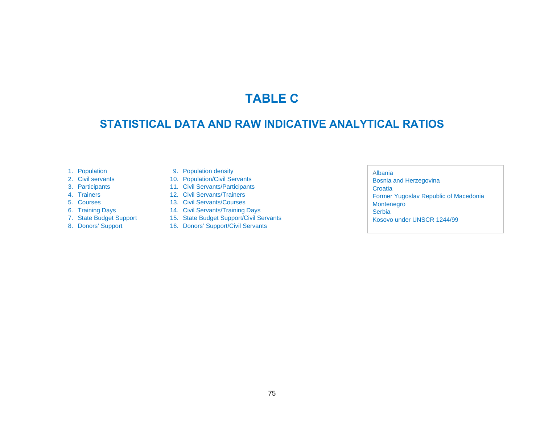## **TABLE C**

## **STATISTICAL DATA AND RAW INDICATIVE ANALYTICAL RATIOS**

- 1. Population
- 2. Civil servants
- 3. Participants
- 4. Trainers
- 5. Courses
- 6. Training Days
- 7. State Budget Support
- 8. Donors' Support
- 9. Population density
- 10. Population/Civil Servants
- 11. Civil Servants/Participants
- 12. Civil Servants/Trainers
- 13. Civil Servants/Courses
- 14. Civil Servants/Training Days
- 15. State Budget Support/Civil Servants
- 16. Donors' Support/Civil Servants

## Albania

 Bosnia and Herzegovina Croatia Former Yugoslav Republic of Macedonia Montenegro **Serbia** Kosovo under UNSCR 1244/99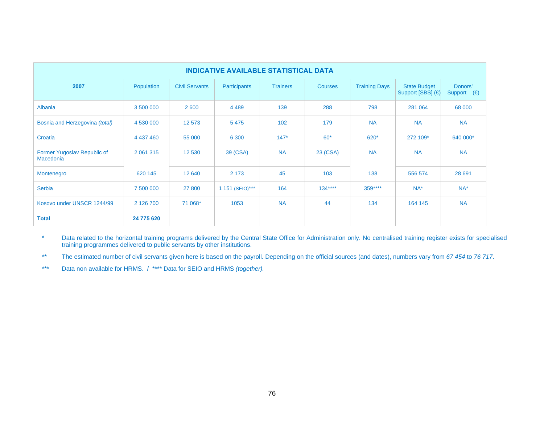| <b>INDICATIVE AVAILABLE STATISTICAL DATA</b> |            |                       |                     |                 |                |                      |                                          |                                 |  |
|----------------------------------------------|------------|-----------------------|---------------------|-----------------|----------------|----------------------|------------------------------------------|---------------------------------|--|
| 2007                                         | Population | <b>Civil Servants</b> | <b>Participants</b> | <b>Trainers</b> | <b>Courses</b> | <b>Training Days</b> | <b>State Budget</b><br>Support [SBS] (€) | Donors'<br>Support $(\epsilon)$ |  |
| Albania                                      | 3 500 000  | 2 600                 | 4 4 8 9             | 139             | 288            | 798                  | 281 064                                  | 68 000                          |  |
| Bosnia and Herzegovina (total)               | 4 530 000  | 12 573                | 5 4 7 5             | 102             | 179            | <b>NA</b>            | <b>NA</b>                                | <b>NA</b>                       |  |
| Croatia                                      | 4 437 460  | 55 000                | 6 3 0 0             | $147*$          | $60*$          | 620*                 | 272 109*                                 | 640 000*                        |  |
| Former Yugoslav Republic of<br>Macedonia     | 2 061 315  | 12 530                | 39 (CSA)            | <b>NA</b>       | 23 (CSA)       | <b>NA</b>            | <b>NA</b>                                | <b>NA</b>                       |  |
| Montenegro                                   | 620 145    | 12 640                | 2 1 7 3             | 45              | 103            | 138                  | 556 574                                  | 28 691                          |  |
| <b>Serbia</b>                                | 7 500 000  | 27 800                | 1 151 (SEIO)***     | 164             | $134***$       | $359***$             | $NA^*$                                   | $NA^*$                          |  |
| Kosovo under UNSCR 1244/99                   | 2 126 700  | 71 068*               | 1053                | <b>NA</b>       | 44             | 134                  | 164 145                                  | <b>NA</b>                       |  |
| <b>Total</b>                                 | 24 775 620 |                       |                     |                 |                |                      |                                          |                                 |  |

\* Data related to the horizontal training programs delivered by the Central State Office for Administration only. No centralised training register exists for specialised training programmes delivered to public servants by other institutions.

\*\* The estimated number of civil servants given here is based on the payroll. Depending on the official sources (and dates), numbers vary from *67 454* to *76 717*.

\*\*\* Data non available for HRMS. / \*\*\*\* Data for SEIO and HRMS *(together).*